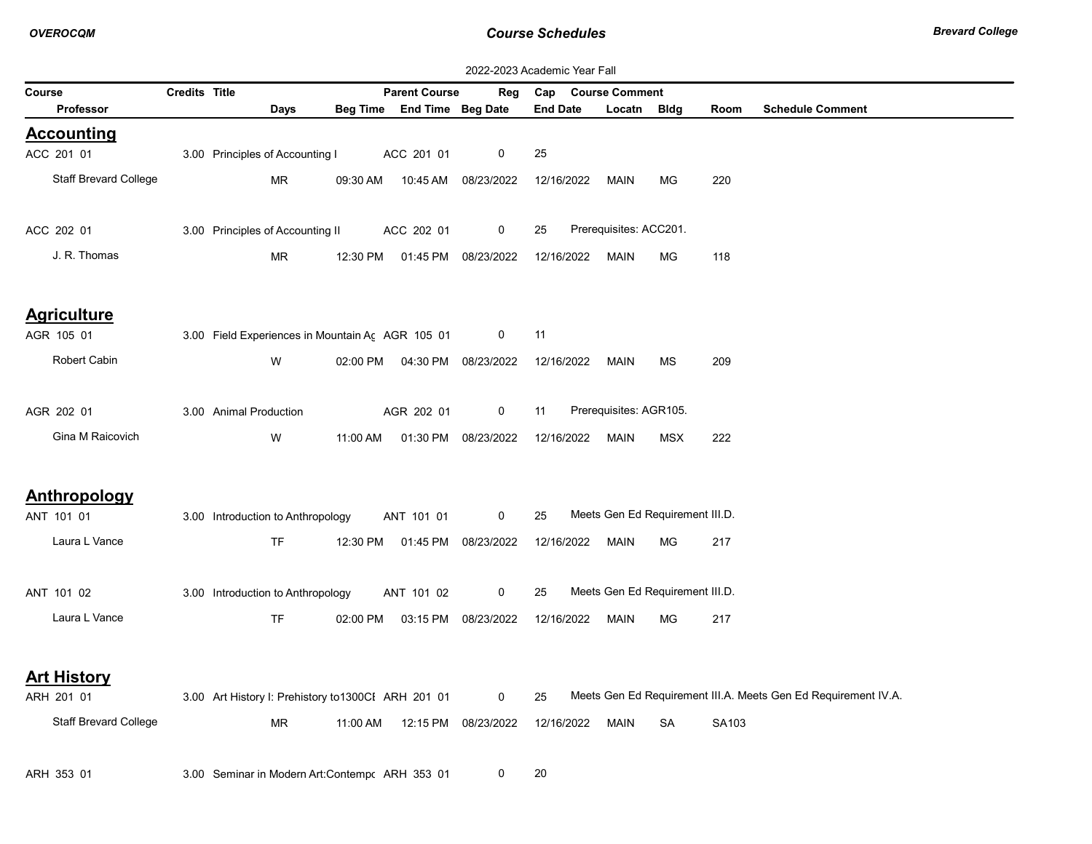|                              | 2022-2023 Academic Year Fall |                                                     |          |                                |                     |                 |                        |                                 |       |                                                                |  |  |
|------------------------------|------------------------------|-----------------------------------------------------|----------|--------------------------------|---------------------|-----------------|------------------------|---------------------------------|-------|----------------------------------------------------------------|--|--|
| Course                       | Credits Title                |                                                     |          | <b>Parent Course</b>           | Reg                 | Cap             | <b>Course Comment</b>  |                                 |       |                                                                |  |  |
| <b>Professor</b>             |                              | Days                                                |          | Beg Time End Time Beg Date     |                     | <b>End Date</b> | Locatn Bldg            |                                 | Room  | <b>Schedule Comment</b>                                        |  |  |
| <b>Accounting</b>            |                              |                                                     |          |                                |                     |                 |                        |                                 |       |                                                                |  |  |
| ACC 201 01                   |                              | 3.00 Principles of Accounting I                     |          | ACC 201 01                     | 0                   | 25              |                        |                                 |       |                                                                |  |  |
| Staff Brevard College        |                              | MR                                                  | 09:30 AM | 10:45 AM                       | 08/23/2022          | 12/16/2022      | MAIN                   | МG                              | 220   |                                                                |  |  |
|                              |                              |                                                     |          |                                |                     |                 |                        |                                 |       |                                                                |  |  |
| ACC 202 01                   |                              | 3.00 Principles of Accounting II                    |          | ACC 202 01                     | 0                   | 25              | Prerequisites: ACC201. |                                 |       |                                                                |  |  |
| J. R. Thomas                 |                              | MR                                                  | 12:30 PM |                                | 01:45 PM 08/23/2022 | 12/16/2022      | <b>MAIN</b>            | MG                              | 118   |                                                                |  |  |
| <b>Agriculture</b>           |                              |                                                     |          |                                |                     |                 |                        |                                 |       |                                                                |  |  |
| AGR 105 01                   |                              | 3.00 Field Experiences in Mountain Ac AGR 105 01    |          |                                | 0                   | 11              |                        |                                 |       |                                                                |  |  |
| Robert Cabin                 |                              | W                                                   |          | 02:00 PM  04:30 PM  08/23/2022 |                     | 12/16/2022      | MAIN                   | <b>MS</b>                       | 209   |                                                                |  |  |
|                              |                              |                                                     |          |                                |                     |                 |                        |                                 |       |                                                                |  |  |
| AGR 202 01                   |                              | 3.00 Animal Production                              |          | AGR 202 01                     | $\mathbf 0$         | 11              | Prerequisites: AGR105. |                                 |       |                                                                |  |  |
| Gina M Raicovich             |                              | W                                                   | 11:00 AM |                                | 01:30 PM 08/23/2022 | 12/16/2022      | <b>MAIN</b>            | <b>MSX</b>                      | 222   |                                                                |  |  |
|                              |                              |                                                     |          |                                |                     |                 |                        |                                 |       |                                                                |  |  |
| Anthropology                 |                              |                                                     |          |                                |                     |                 |                        |                                 |       |                                                                |  |  |
| ANT 101 01                   |                              | 3.00 Introduction to Anthropology                   |          | ANT 101 01                     | 0                   | 25              |                        | Meets Gen Ed Requirement III.D. |       |                                                                |  |  |
| Laura L Vance                |                              | <b>TF</b>                                           |          | 12:30 PM  01:45 PM  08/23/2022 |                     | 12/16/2022      | MAIN                   | МG                              | 217   |                                                                |  |  |
|                              |                              |                                                     |          |                                |                     |                 |                        |                                 |       |                                                                |  |  |
| ANT 101 02                   |                              | 3.00 Introduction to Anthropology                   |          | ANT 101 02                     | 0                   | 25              |                        | Meets Gen Ed Requirement III.D. |       |                                                                |  |  |
| Laura L Vance                |                              | <b>TF</b>                                           | 02:00 PM |                                | 03:15 PM 08/23/2022 | 12/16/2022      | MAIN                   | MG                              | 217   |                                                                |  |  |
|                              |                              |                                                     |          |                                |                     |                 |                        |                                 |       |                                                                |  |  |
| <b>Art History</b>           |                              |                                                     |          |                                |                     |                 |                        |                                 |       |                                                                |  |  |
| ARH 201 01                   |                              | 3.00 Art History I: Prehistory to 1300Cl ARH 201 01 |          |                                | $\mathbf 0$         | 25              |                        |                                 |       | Meets Gen Ed Requirement III.A. Meets Gen Ed Requirement IV.A. |  |  |
| <b>Staff Brevard College</b> |                              | <b>MR</b>                                           | 11:00 AM |                                | 12:15 PM 08/23/2022 | 12/16/2022      | <b>MAIN</b>            | SA                              | SA103 |                                                                |  |  |
|                              |                              |                                                     |          |                                |                     |                 |                        |                                 |       |                                                                |  |  |
| ARH 353 01                   |                              | 3.00 Seminar in Modern Art: Contempr ARH 353 01     |          |                                | 0                   | 20              |                        |                                 |       |                                                                |  |  |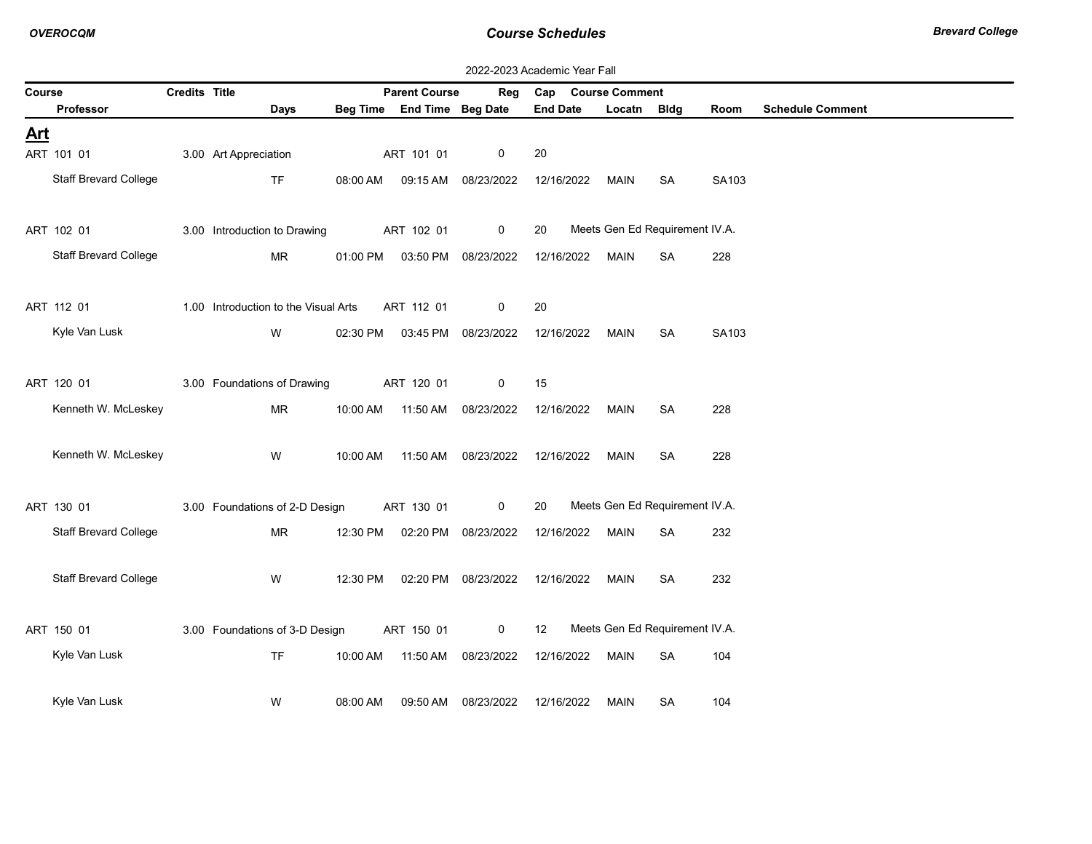|            | 2022-2023 Academic Year Fall |               |                                      |          |                            |                                |                    |                                |           |       |                         |  |  |
|------------|------------------------------|---------------|--------------------------------------|----------|----------------------------|--------------------------------|--------------------|--------------------------------|-----------|-------|-------------------------|--|--|
| Course     |                              | Credits Title |                                      |          | <b>Parent Course</b>       | Reg                            | Cap Course Comment |                                |           |       |                         |  |  |
|            | Professor                    |               | Days                                 |          | Beg Time End Time Beg Date |                                | <b>End Date</b>    | Locatn Bldg                    |           | Room  | <b>Schedule Comment</b> |  |  |
| <u>Art</u> |                              |               |                                      |          |                            |                                |                    |                                |           |       |                         |  |  |
|            | ART 101 01                   |               | 3.00 Art Appreciation                |          | ART 101 01                 | 0                              | 20                 |                                |           |       |                         |  |  |
|            | <b>Staff Brevard College</b> |               | <b>TF</b>                            | 08:00 AM |                            | 09:15 AM 08/23/2022            | 12/16/2022         | <b>MAIN</b>                    | SA        | SA103 |                         |  |  |
|            | ART 102 01                   |               | 3.00 Introduction to Drawing         |          | ART 102 01                 | $\mathbf 0$                    | 20                 | Meets Gen Ed Requirement IV.A. |           |       |                         |  |  |
|            | <b>Staff Brevard College</b> |               | <b>MR</b>                            | 01:00 PM |                            | 03:50 PM 08/23/2022            | 12/16/2022         | <b>MAIN</b>                    | <b>SA</b> | 228   |                         |  |  |
|            | ART 112 01                   |               | 1.00 Introduction to the Visual Arts |          | ART 112 01                 | 0                              | 20                 |                                |           |       |                         |  |  |
|            | Kyle Van Lusk                |               | W                                    |          |                            | 02:30 PM  03:45 PM  08/23/2022 | 12/16/2022         | MAIN                           | SA        | SA103 |                         |  |  |
|            | ART 120 01                   |               | 3.00 Foundations of Drawing          |          | ART 120 01                 | 0                              | 15                 |                                |           |       |                         |  |  |
|            | Kenneth W. McLeskey          |               | MR                                   | 10:00 AM | 11:50 AM                   | 08/23/2022                     | 12/16/2022         | MAIN                           | SA        | 228   |                         |  |  |
|            | Kenneth W. McLeskey          |               | W                                    | 10:00 AM | 11:50 AM                   | 08/23/2022                     | 12/16/2022         | MAIN                           | SA        | 228   |                         |  |  |
|            | ART 130 01                   |               | 3.00 Foundations of 2-D Design       |          | ART 130 01                 | $\mathbf 0$                    | 20                 | Meets Gen Ed Requirement IV.A. |           |       |                         |  |  |
|            | <b>Staff Brevard College</b> |               | <b>MR</b>                            | 12:30 PM |                            | 02:20 PM 08/23/2022            | 12/16/2022         | MAIN                           | <b>SA</b> | 232   |                         |  |  |
|            | <b>Staff Brevard College</b> |               | W                                    | 12:30 PM |                            | 02:20 PM 08/23/2022            | 12/16/2022         | MAIN                           | SA        | 232   |                         |  |  |
|            | ART 150 01                   |               | 3.00 Foundations of 3-D Design       |          | ART 150 01                 | $\mathbf 0$                    | 12                 | Meets Gen Ed Requirement IV.A. |           |       |                         |  |  |
|            | Kyle Van Lusk                |               | TF                                   | 10:00 AM | 11:50 AM                   | 08/23/2022                     | 12/16/2022         | MAIN                           | <b>SA</b> | 104   |                         |  |  |
|            | Kyle Van Lusk                |               | W                                    | 08:00 AM | 09:50 AM                   | 08/23/2022                     | 12/16/2022         | MAIN                           | SA        | 104   |                         |  |  |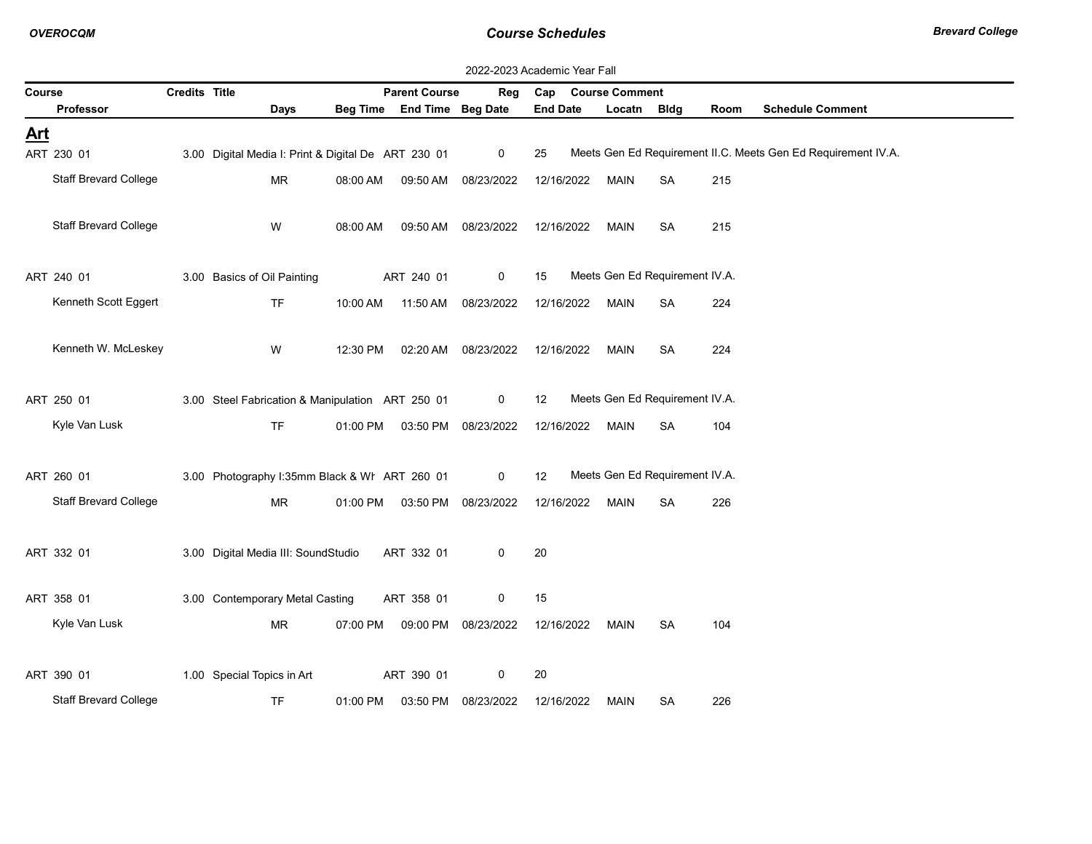|            | 2022-2023 Academic Year Fall |               |                                                     |          |                            |                                  |                 |                                |           |      |                                                               |  |  |
|------------|------------------------------|---------------|-----------------------------------------------------|----------|----------------------------|----------------------------------|-----------------|--------------------------------|-----------|------|---------------------------------------------------------------|--|--|
| Course     |                              | Credits Title |                                                     |          | <b>Parent Course</b>       | Reg                              | Cap             | <b>Course Comment</b>          |           |      |                                                               |  |  |
|            | Professor                    |               | Days                                                |          | Beg Time End Time Beg Date |                                  | <b>End Date</b> | Locatn Bldg                    |           | Room | <b>Schedule Comment</b>                                       |  |  |
| <u>Art</u> |                              |               |                                                     |          |                            |                                  |                 |                                |           |      |                                                               |  |  |
|            | ART 230 01                   |               | 3.00 Digital Media I: Print & Digital De ART 230 01 |          |                            | 0                                | 25              |                                |           |      | Meets Gen Ed Requirement II.C. Meets Gen Ed Requirement IV.A. |  |  |
|            | <b>Staff Brevard College</b> |               | MR                                                  | 08:00 AM | 09:50 AM                   | 08/23/2022                       | 12/16/2022      | MAIN                           | SA        | 215  |                                                               |  |  |
|            | <b>Staff Brevard College</b> |               | W                                                   | 08:00 AM | 09:50 AM                   | 08/23/2022                       | 12/16/2022      | MAIN                           | <b>SA</b> | 215  |                                                               |  |  |
|            | ART 240 01                   |               | 3.00 Basics of Oil Painting                         |          | ART 240 01                 | 0                                | 15              | Meets Gen Ed Requirement IV.A. |           |      |                                                               |  |  |
|            | Kenneth Scott Eggert         |               | <b>TF</b>                                           | 10:00 AM | 11:50 AM                   | 08/23/2022                       | 12/16/2022      | MAIN                           | SA        | 224  |                                                               |  |  |
|            | Kenneth W. McLeskey          |               | W                                                   | 12:30 PM |                            | 02:20 AM  08/23/2022             | 12/16/2022      | MAIN                           | <b>SA</b> | 224  |                                                               |  |  |
|            | ART 250 01                   |               | 3.00 Steel Fabrication & Manipulation ART 250 01    |          |                            | $\mathbf 0$                      | 12              | Meets Gen Ed Requirement IV.A. |           |      |                                                               |  |  |
|            | Kyle Van Lusk                |               | <b>TF</b>                                           |          |                            | 01:00 PM  03:50 PM  08/23/2022   | 12/16/2022      | MAIN                           | SA        | 104  |                                                               |  |  |
|            | ART 260 01                   |               | 3.00 Photography I:35mm Black & WI ART 260 01       |          |                            | $\mathbf 0$                      | 12              | Meets Gen Ed Requirement IV.A. |           |      |                                                               |  |  |
|            | <b>Staff Brevard College</b> |               | MR.                                                 | 01:00 PM | 03:50 PM                   | 08/23/2022                       | 12/16/2022      | MAIN                           | SA        | 226  |                                                               |  |  |
|            | ART 332 01                   |               | 3.00 Digital Media III: SoundStudio                 |          | ART 332 01                 | 0                                | 20              |                                |           |      |                                                               |  |  |
|            | ART 358 01                   |               | 3.00 Contemporary Metal Casting                     |          | ART 358 01                 | 0                                | 15              |                                |           |      |                                                               |  |  |
|            | Kyle Van Lusk                |               | MR.                                                 |          |                            | 07:00 PM   09:00 PM   08/23/2022 | 12/16/2022      | MAIN                           | <b>SA</b> | 104  |                                                               |  |  |
|            | ART 390 01                   |               | 1.00 Special Topics in Art                          |          | ART 390 01                 | 0                                | 20              |                                |           |      |                                                               |  |  |
|            | <b>Staff Brevard College</b> |               | <b>TF</b>                                           | 01:00 PM | 03:50 PM                   | 08/23/2022                       | 12/16/2022      | <b>MAIN</b>                    | SA        | 226  |                                                               |  |  |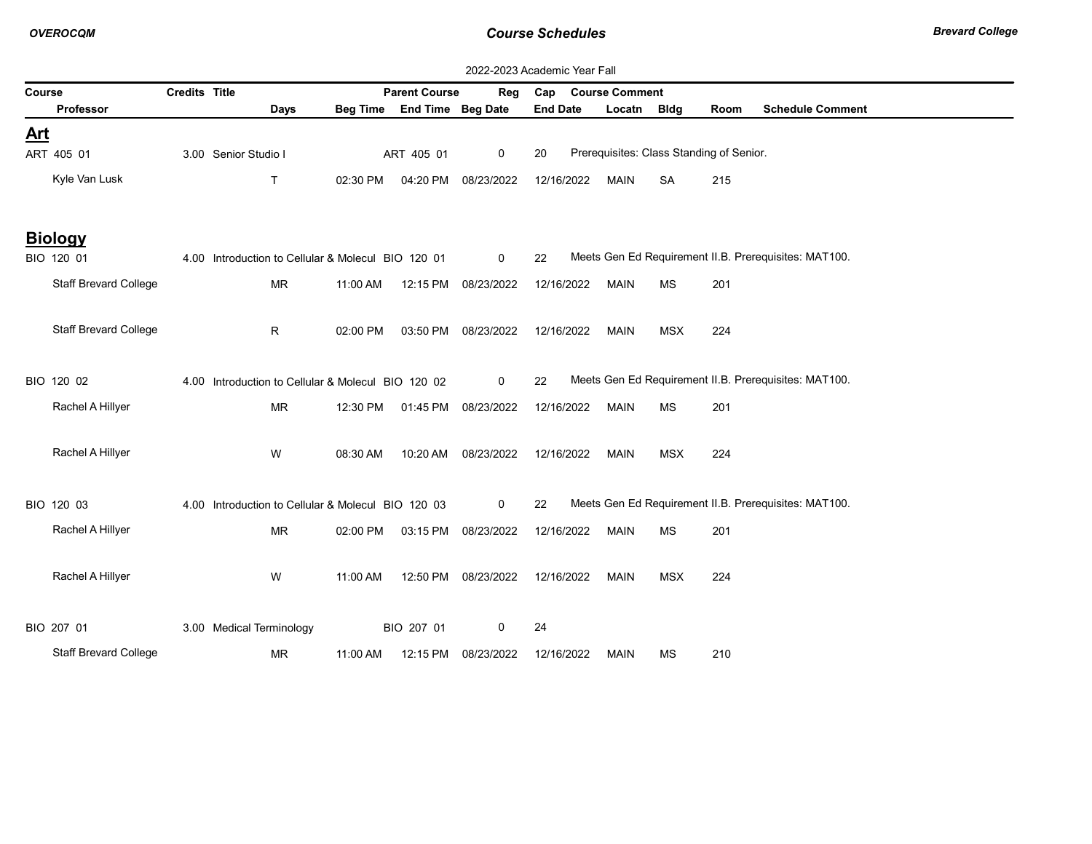|            |                              |                      |                                                    |          |                            | 2022-2023 Academic Year Fall |                 |                                          |            |      |                                                       |
|------------|------------------------------|----------------------|----------------------------------------------------|----------|----------------------------|------------------------------|-----------------|------------------------------------------|------------|------|-------------------------------------------------------|
| Course     |                              | <b>Credits Title</b> |                                                    |          | <b>Parent Course</b>       | Reg                          | Cap             | <b>Course Comment</b>                    |            |      |                                                       |
|            | Professor                    |                      | Days                                               |          | Beg Time End Time Beg Date |                              | <b>End Date</b> | Locatn Bldg                              |            | Room | <b>Schedule Comment</b>                               |
| <u>Art</u> |                              |                      |                                                    |          |                            |                              |                 |                                          |            |      |                                                       |
|            | ART 405 01                   |                      | 3.00 Senior Studio I                               |          | ART 405 01                 | $\mathbf 0$                  | 20              | Prerequisites: Class Standing of Senior. |            |      |                                                       |
|            | Kyle Van Lusk                |                      | $\mathsf{T}$                                       | 02:30 PM | 04:20 PM                   | 08/23/2022                   | 12/16/2022      | <b>MAIN</b>                              | <b>SA</b>  | 215  |                                                       |
|            | <b>Biology</b>               |                      |                                                    |          |                            |                              |                 |                                          |            |      |                                                       |
|            | BIO 120 01                   |                      | 4.00 Introduction to Cellular & Molecul BIO 120 01 |          |                            | $\mathbf 0$                  | 22              |                                          |            |      | Meets Gen Ed Requirement II.B. Prerequisites: MAT100. |
|            | <b>Staff Brevard College</b> |                      | MR                                                 | 11:00 AM |                            | 12:15 PM 08/23/2022          | 12/16/2022      | <b>MAIN</b>                              | MS         | 201  |                                                       |
|            | <b>Staff Brevard College</b> |                      | R.                                                 | 02:00 PM | 03:50 PM                   | 08/23/2022                   | 12/16/2022      | <b>MAIN</b>                              | <b>MSX</b> | 224  |                                                       |
|            | BIO 120 02                   |                      | 4.00 Introduction to Cellular & Molecul BIO 120 02 |          |                            | $\mathbf 0$                  | 22              |                                          |            |      | Meets Gen Ed Requirement II.B. Prerequisites: MAT100. |
|            | Rachel A Hillyer             |                      | <b>MR</b>                                          |          | 12:30 PM   01:45 PM        | 08/23/2022                   | 12/16/2022      | <b>MAIN</b>                              | <b>MS</b>  | 201  |                                                       |
|            | Rachel A Hillyer             |                      | W                                                  | 08:30 AM | 10:20 AM                   | 08/23/2022                   | 12/16/2022      | <b>MAIN</b>                              | <b>MSX</b> | 224  |                                                       |
|            | BIO 120 03                   |                      | 4.00 Introduction to Cellular & Molecul BIO 120 03 |          |                            | $\mathbf 0$                  | 22              |                                          |            |      | Meets Gen Ed Requirement II.B. Prerequisites: MAT100. |
|            | Rachel A Hillyer             |                      | <b>MR</b>                                          | 02:00 PM | 03:15 PM                   | 08/23/2022                   | 12/16/2022      | <b>MAIN</b>                              | MS         | 201  |                                                       |
|            | Rachel A Hillyer             |                      | W                                                  | 11:00 AM |                            | 12:50 PM 08/23/2022          | 12/16/2022      | <b>MAIN</b>                              | <b>MSX</b> | 224  |                                                       |
|            | BIO 207 01                   |                      | 3.00 Medical Terminology                           |          | BIO 207 01                 | 0                            | 24              |                                          |            |      |                                                       |
|            | <b>Staff Brevard College</b> |                      | <b>MR</b>                                          | 11:00 AM | 12:15 PM                   | 08/23/2022                   | 12/16/2022      | <b>MAIN</b>                              | MS         | 210  |                                                       |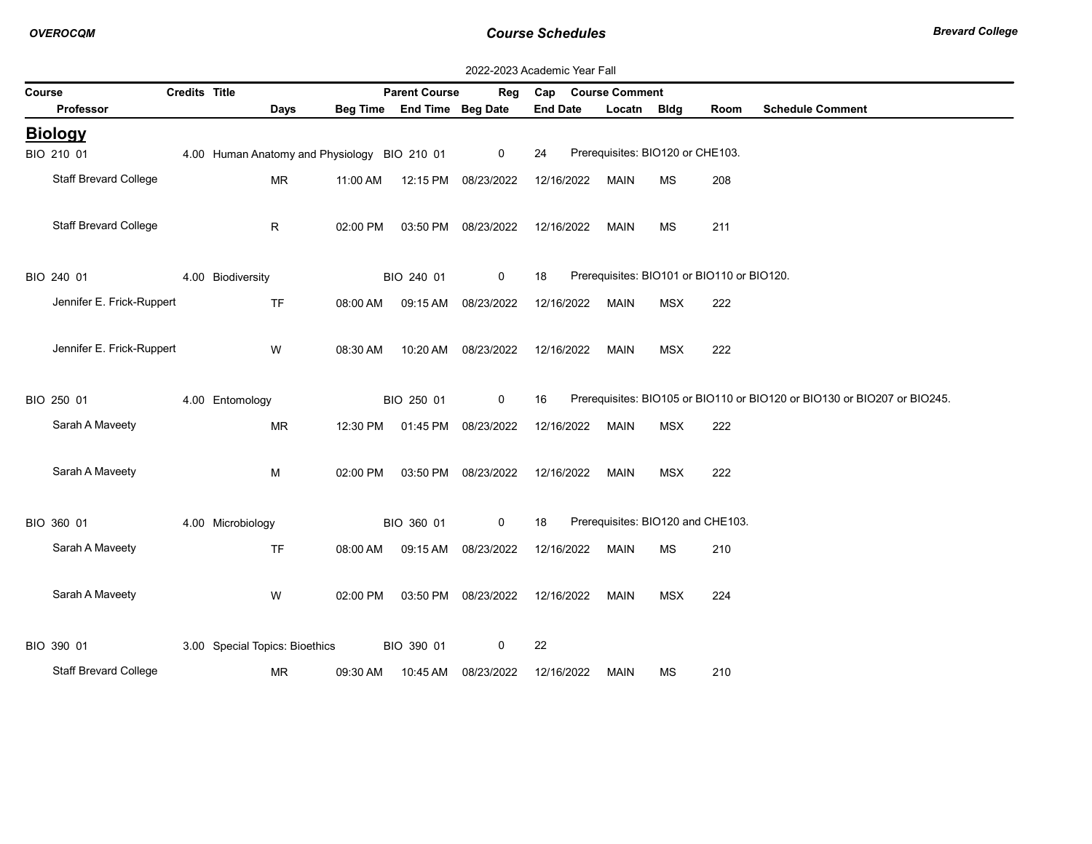|        |                              |               |                                              |          |                            |                     | 2022-2023 Academic Year Fall |                                   |            |                                            |                                                                          |
|--------|------------------------------|---------------|----------------------------------------------|----------|----------------------------|---------------------|------------------------------|-----------------------------------|------------|--------------------------------------------|--------------------------------------------------------------------------|
| Course |                              | Credits Title |                                              |          | <b>Parent Course</b>       | Reg                 | Cap Course Comment           |                                   |            |                                            |                                                                          |
|        | Professor                    |               | Days                                         |          | Beg Time End Time Beg Date |                     | <b>End Date</b>              | Locatn Bldg                       |            | Room                                       | <b>Schedule Comment</b>                                                  |
|        | <b>Biology</b>               |               |                                              |          |                            |                     |                              |                                   |            |                                            |                                                                          |
|        | BIO 210 01                   |               | 4.00 Human Anatomy and Physiology BIO 210 01 |          |                            | 0                   | 24                           | Prerequisites: BIO120 or CHE103.  |            |                                            |                                                                          |
|        | <b>Staff Brevard College</b> |               | MR                                           | 11:00 AM | 12:15 PM 08/23/2022        |                     | 12/16/2022                   | MAIN                              | <b>MS</b>  | 208                                        |                                                                          |
|        | <b>Staff Brevard College</b> |               | R.                                           | 02:00 PM |                            | 03:50 PM 08/23/2022 | 12/16/2022                   | <b>MAIN</b>                       | <b>MS</b>  | 211                                        |                                                                          |
|        | BIO 240 01                   |               | 4.00 Biodiversity                            |          | BIO 240 01                 | $\mathbf 0$         | 18                           |                                   |            | Prerequisites: BIO101 or BIO110 or BIO120. |                                                                          |
|        | Jennifer E. Frick-Ruppert    |               | <b>TF</b>                                    | 08:00 AM |                            | 09:15 AM 08/23/2022 | 12/16/2022                   | <b>MAIN</b>                       | <b>MSX</b> | 222                                        |                                                                          |
|        | Jennifer E. Frick-Ruppert    |               | W                                            | 08:30 AM | 10:20 AM                   | 08/23/2022          | 12/16/2022                   | <b>MAIN</b>                       | <b>MSX</b> | 222                                        |                                                                          |
|        | BIO 250 01                   |               | 4.00 Entomology                              |          | BIO 250 01                 | $\mathbf 0$         | 16                           |                                   |            |                                            | Prerequisites: BIO105 or BIO110 or BIO120 or BIO130 or BIO207 or BIO245. |
|        | Sarah A Maveety              |               | <b>MR</b>                                    | 12:30 PM |                            | 01:45 PM 08/23/2022 | 12/16/2022                   | <b>MAIN</b>                       | <b>MSX</b> | 222                                        |                                                                          |
|        | Sarah A Maveety              |               | M                                            | 02:00 PM |                            | 03:50 PM 08/23/2022 | 12/16/2022                   | MAIN                              | MSX        | 222                                        |                                                                          |
|        | BIO 360 01                   |               | 4.00 Microbiology                            |          | BIO 360 01                 | $\mathbf 0$         | 18                           | Prerequisites: BIO120 and CHE103. |            |                                            |                                                                          |
|        | Sarah A Maveety              |               | <b>TF</b>                                    | 08:00 AM |                            | 09:15 AM 08/23/2022 | 12/16/2022                   | <b>MAIN</b>                       | МS         | 210                                        |                                                                          |
|        | Sarah A Maveety              |               | W                                            | 02:00 PM |                            | 03:50 PM 08/23/2022 | 12/16/2022                   | MAIN                              | <b>MSX</b> | 224                                        |                                                                          |
|        | BIO 390 01                   |               | 3.00 Special Topics: Bioethics               |          | BIO 390 01                 | 0                   | 22                           |                                   |            |                                            |                                                                          |
|        | Staff Brevard College        |               | <b>MR</b>                                    | 09:30 AM | 10:45 AM                   | 08/23/2022          | 12/16/2022                   | <b>MAIN</b>                       | ΜS         | 210                                        |                                                                          |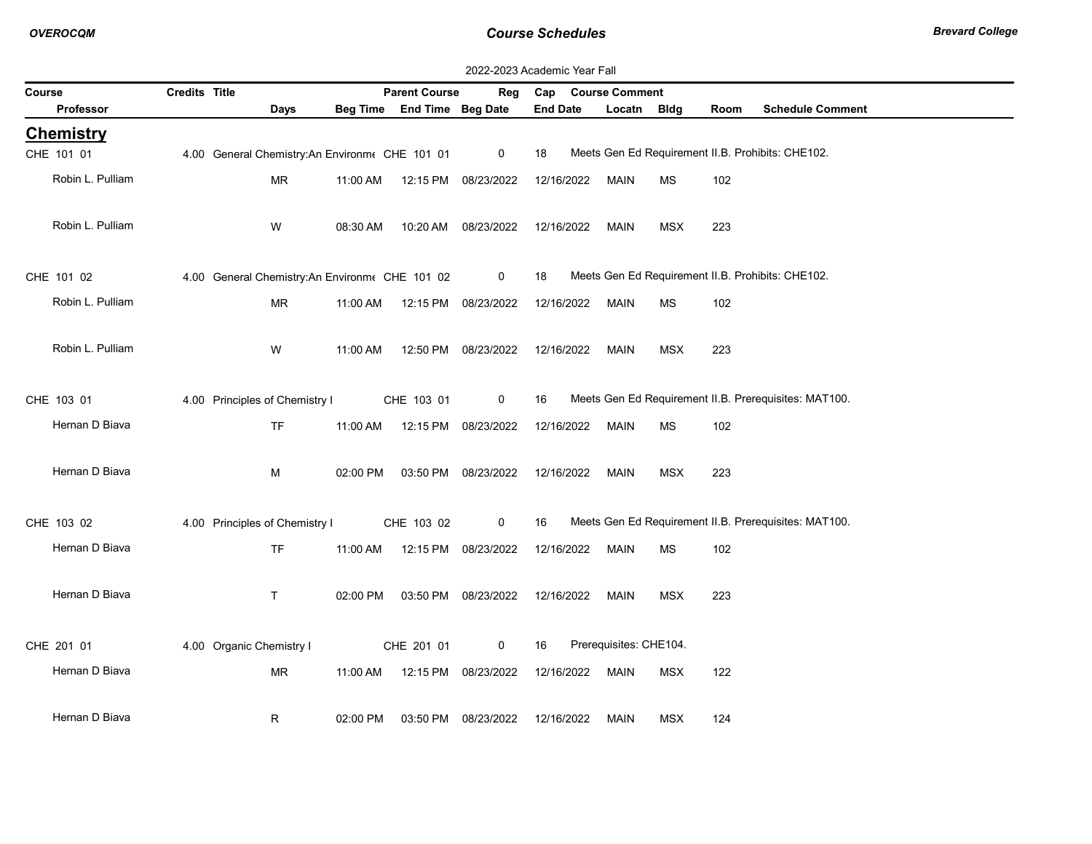$\sim$ 

|                  | 2022-2023 Academic Year Fall |                                                |          |                            |                     |                 |                        |            |      |                                                       |  |  |  |
|------------------|------------------------------|------------------------------------------------|----------|----------------------------|---------------------|-----------------|------------------------|------------|------|-------------------------------------------------------|--|--|--|
| Course           | Credits Title                |                                                |          | <b>Parent Course</b>       | Reg                 | Cap             | <b>Course Comment</b>  |            |      |                                                       |  |  |  |
| <b>Professor</b> |                              | Days                                           |          | Beg Time End Time Beg Date |                     | <b>End Date</b> | Locatn Bldg            |            | Room | <b>Schedule Comment</b>                               |  |  |  |
| <b>Chemistry</b> |                              |                                                |          |                            |                     |                 |                        |            |      |                                                       |  |  |  |
| CHE 101 01       |                              | 4.00 General Chemistry: An Environm CHE 101 01 |          |                            | $\mathbf 0$         | 18              |                        |            |      | Meets Gen Ed Requirement II.B. Prohibits: CHE102.     |  |  |  |
| Robin L. Pulliam |                              | <b>MR</b>                                      | 11:00 AM |                            | 12:15 PM 08/23/2022 | 12/16/2022      | <b>MAIN</b>            | <b>MS</b>  | 102  |                                                       |  |  |  |
| Robin L. Pulliam |                              | W                                              | 08:30 AM |                            | 10:20 AM 08/23/2022 | 12/16/2022      | <b>MAIN</b>            | <b>MSX</b> | 223  |                                                       |  |  |  |
| CHE 101 02       |                              | 4.00 General Chemistry:An Environm CHE 101 02  |          |                            | $\mathbf 0$         | 18              |                        |            |      | Meets Gen Ed Requirement II.B. Prohibits: CHE102.     |  |  |  |
| Robin L. Pulliam |                              | <b>MR</b>                                      | 11:00 AM |                            | 12:15 PM 08/23/2022 | 12/16/2022      | MAIN                   | <b>MS</b>  | 102  |                                                       |  |  |  |
| Robin L. Pulliam |                              | W                                              | 11:00 AM |                            | 12:50 PM 08/23/2022 | 12/16/2022      | MAIN                   | <b>MSX</b> | 223  |                                                       |  |  |  |
| CHE 103 01       |                              | 4.00 Principles of Chemistry I                 |          | CHE 103 01                 | $\mathbf 0$         | 16              |                        |            |      | Meets Gen Ed Requirement II.B. Prerequisites: MAT100. |  |  |  |
| Hernan D Biava   |                              | <b>TF</b>                                      | 11:00 AM |                            | 12:15 PM 08/23/2022 | 12/16/2022      | <b>MAIN</b>            | <b>MS</b>  | 102  |                                                       |  |  |  |
| Hernan D Biava   |                              | М                                              | 02:00 PM |                            | 03:50 PM 08/23/2022 | 12/16/2022      | <b>MAIN</b>            | <b>MSX</b> | 223  |                                                       |  |  |  |
| CHE 103 02       |                              | 4.00 Principles of Chemistry I                 |          | CHE 103 02                 | 0                   | 16              |                        |            |      | Meets Gen Ed Requirement II.B. Prerequisites: MAT100. |  |  |  |
| Hernan D Biava   |                              | <b>TF</b>                                      | 11:00 AM |                            | 12:15 PM 08/23/2022 | 12/16/2022      | <b>MAIN</b>            | <b>MS</b>  | 102  |                                                       |  |  |  |
| Hernan D Biava   |                              | T.                                             | 02:00 PM |                            | 03:50 PM 08/23/2022 | 12/16/2022      | <b>MAIN</b>            | <b>MSX</b> | 223  |                                                       |  |  |  |
| CHE 201 01       |                              | 4.00 Organic Chemistry I                       |          | CHE 201 01                 | $\mathbf 0$         | 16              | Prerequisites: CHE104. |            |      |                                                       |  |  |  |
| Hernan D Biava   |                              | MR                                             | 11:00 AM |                            | 12:15 PM 08/23/2022 | 12/16/2022      | <b>MAIN</b>            | <b>MSX</b> | 122  |                                                       |  |  |  |
| Hernan D Biava   |                              | R                                              | 02:00 PM |                            | 03:50 PM 08/23/2022 | 12/16/2022      | <b>MAIN</b>            | <b>MSX</b> | 124  |                                                       |  |  |  |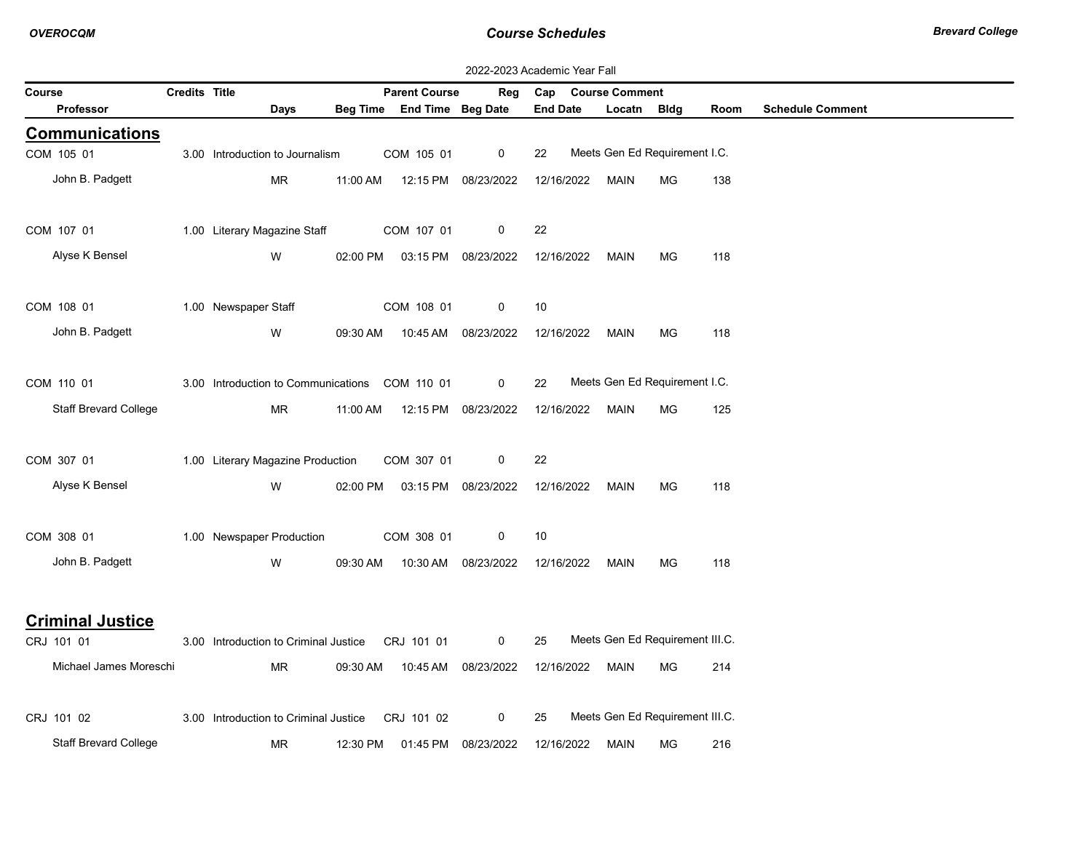|        | 2022-2023 Academic Year Fall |                      |                                                  |          |                            |                     |                    |                                 |           |      |                         |  |  |
|--------|------------------------------|----------------------|--------------------------------------------------|----------|----------------------------|---------------------|--------------------|---------------------------------|-----------|------|-------------------------|--|--|
| Course |                              | <b>Credits Title</b> |                                                  |          | <b>Parent Course</b>       | Reg                 | Cap Course Comment |                                 |           |      |                         |  |  |
|        | <b>Professor</b>             |                      | Days                                             |          | Beg Time End Time Beg Date |                     | <b>End Date</b>    | Locatn Bidg                     |           | Room | <b>Schedule Comment</b> |  |  |
|        | <b>Communications</b>        |                      |                                                  |          |                            |                     |                    |                                 |           |      |                         |  |  |
|        | COM 105 01                   |                      | 3.00 Introduction to Journalism                  |          | COM 105 01                 | 0                   | 22                 | Meets Gen Ed Requirement I.C.   |           |      |                         |  |  |
|        | John B. Padgett              |                      | MR                                               | 11:00 AM |                            | 12:15 PM 08/23/2022 | 12/16/2022         | MAIN                            | <b>MG</b> | 138  |                         |  |  |
|        | COM 107 01                   |                      | 1.00 Literary Magazine Staff                     |          | COM 107 01                 | 0                   | 22                 |                                 |           |      |                         |  |  |
|        | Alyse K Bensel               |                      | W                                                | 02:00 PM |                            | 03:15 PM 08/23/2022 | 12/16/2022         | MAIN                            | МG        | 118  |                         |  |  |
|        | COM 108 01                   |                      | 1.00 Newspaper Staff                             |          | COM 108 01                 | 0                   | 10                 |                                 |           |      |                         |  |  |
|        | John B. Padgett              |                      | W                                                | 09:30 AM |                            | 10:45 AM 08/23/2022 | 12/16/2022         | MAIN                            | MG        | 118  |                         |  |  |
|        | COM 110 01                   |                      | 3.00 Introduction to Communications COM 110 01   |          |                            | 0                   | 22                 | Meets Gen Ed Requirement I.C.   |           |      |                         |  |  |
|        | <b>Staff Brevard College</b> |                      | MR                                               | 11:00 AM |                            | 12:15 PM 08/23/2022 | 12/16/2022         | MAIN                            | MG        | 125  |                         |  |  |
|        | COM 307 01                   |                      | 1.00 Literary Magazine Production                |          | COM 307 01                 | 0                   | 22                 |                                 |           |      |                         |  |  |
|        | Alyse K Bensel               |                      | W                                                | 02:00 PM |                            | 03:15 PM 08/23/2022 | 12/16/2022         | MAIN                            | МG        | 118  |                         |  |  |
|        | COM 308 01                   |                      | 1.00 Newspaper Production                        |          | COM 308 01                 | 0                   | 10                 |                                 |           |      |                         |  |  |
|        | John B. Padgett              |                      | W                                                | 09:30 AM |                            | 10:30 AM 08/23/2022 | 12/16/2022         | MAIN                            | <b>MG</b> | 118  |                         |  |  |
|        | <b>Criminal Justice</b>      |                      |                                                  |          |                            |                     |                    |                                 |           |      |                         |  |  |
|        | CRJ 101 01                   |                      | 3.00 Introduction to Criminal Justice CRJ 101 01 |          |                            | 0                   | 25                 | Meets Gen Ed Requirement III.C. |           |      |                         |  |  |
|        | Michael James Moreschi       |                      | MR                                               | 09:30 AM |                            | 10:45 AM 08/23/2022 | 12/16/2022         | MAIN                            | МG        | 214  |                         |  |  |
|        | CRJ 101 02                   |                      | 3.00 Introduction to Criminal Justice            |          | CRJ 101 02                 | 0                   | 25                 | Meets Gen Ed Requirement III.C. |           |      |                         |  |  |
|        | <b>Staff Brevard College</b> |                      | MR                                               | 12:30 PM | 01:45 PM                   | 08/23/2022          | 12/16/2022         | <b>MAIN</b>                     | МG        | 216  |                         |  |  |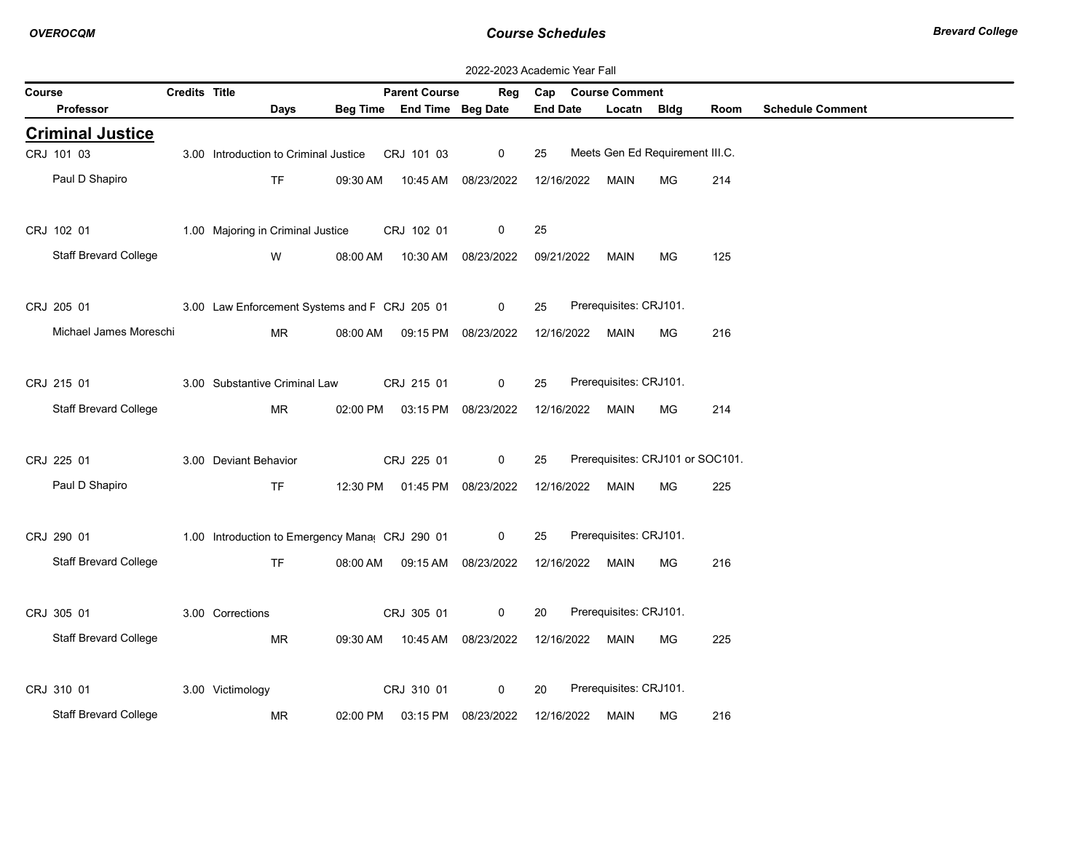|        | 2022-2023 Academic Year Fall |                      |                                                |          |                                |              |                 |            |                        |                                  |      |                         |  |
|--------|------------------------------|----------------------|------------------------------------------------|----------|--------------------------------|--------------|-----------------|------------|------------------------|----------------------------------|------|-------------------------|--|
| Course |                              | <b>Credits Title</b> |                                                |          | <b>Parent Course</b>           | Reg          |                 |            | Cap Course Comment     |                                  |      |                         |  |
|        | <b>Professor</b>             |                      | <b>Days</b>                                    |          | Beg Time End Time Beg Date     |              | <b>End Date</b> |            | Locatn                 | Bldg                             | Room | <b>Schedule Comment</b> |  |
|        | <b>Criminal Justice</b>      |                      |                                                |          |                                |              |                 |            |                        |                                  |      |                         |  |
|        | CRJ 101 03                   |                      | 3.00 Introduction to Criminal Justice          |          | CRJ 101 03                     | 0            | 25              |            |                        | Meets Gen Ed Requirement III.C.  |      |                         |  |
|        | Paul D Shapiro               |                      | <b>TF</b>                                      |          | 09:30 AM  10:45 AM  08/23/2022 |              | 12/16/2022      |            | MAIN                   | MG                               | 214  |                         |  |
|        |                              |                      |                                                |          |                                |              |                 |            |                        |                                  |      |                         |  |
|        | CRJ 102 01                   |                      | 1.00 Majoring in Criminal Justice              |          | CRJ 102 01                     | 0            | 25              |            |                        |                                  |      |                         |  |
|        | <b>Staff Brevard College</b> |                      | W                                              |          | 08:00 AM  10:30 AM  08/23/2022 |              |                 |            | 09/21/2022 MAIN        | MG                               | 125  |                         |  |
|        |                              |                      |                                                |          |                                |              |                 |            |                        |                                  |      |                         |  |
|        | CRJ 205 01                   |                      | 3.00 Law Enforcement Systems and F CRJ 205 01  |          |                                | $\mathbf 0$  | 25              |            | Prerequisites: CRJ101. |                                  |      |                         |  |
|        | Michael James Moreschi       |                      | MR                                             | 08:00 AM | 09:15 PM 08/23/2022            |              | 12/16/2022      |            | MAIN                   | MG                               | 216  |                         |  |
|        |                              |                      |                                                |          |                                |              |                 |            |                        |                                  |      |                         |  |
|        | CRJ 215 01                   |                      | 3.00 Substantive Criminal Law                  |          | CRJ 215 01                     | $\mathbf{0}$ | 25              |            | Prerequisites: CRJ101. |                                  |      |                         |  |
|        | <b>Staff Brevard College</b> |                      | <b>MR</b>                                      | 02:00 PM | 03:15 PM 08/23/2022            |              |                 | 12/16/2022 | MAIN                   | МG                               | 214  |                         |  |
|        |                              |                      |                                                |          |                                |              |                 |            |                        |                                  |      |                         |  |
|        | CRJ 225 01                   |                      | 3.00 Deviant Behavior                          |          | CRJ 225 01                     | $\mathsf{O}$ | 25              |            |                        | Prerequisites: CRJ101 or SOC101. |      |                         |  |
|        | Paul D Shapiro               |                      | <b>TF</b>                                      |          | 12:30 PM  01:45 PM  08/23/2022 |              |                 |            | 12/16/2022 MAIN        | MG                               | 225  |                         |  |
|        |                              |                      |                                                |          |                                |              |                 |            |                        |                                  |      |                         |  |
|        | CRJ 290 01                   |                      | 1.00 Introduction to Emergency Mana CRJ 290 01 |          |                                | $\mathbf 0$  | 25              |            | Prerequisites: CRJ101. |                                  |      |                         |  |
|        | <b>Staff Brevard College</b> |                      | TF.                                            | 08:00 AM | 09:15 AM 08/23/2022            |              | 12/16/2022      |            | Main                   | МG                               | 216  |                         |  |
|        |                              |                      |                                                |          |                                |              |                 |            |                        |                                  |      |                         |  |
|        | CRJ 305 01                   |                      | 3.00 Corrections                               |          | CRJ 305 01                     | 0            | 20              |            | Prerequisites: CRJ101. |                                  |      |                         |  |
|        | <b>Staff Brevard College</b> |                      | <b>MR</b>                                      | 09:30 AM | 10:45 AM 08/23/2022            |              |                 |            | 12/16/2022 MAIN        | MG                               | 225  |                         |  |
|        |                              |                      |                                                |          |                                |              |                 |            |                        |                                  |      |                         |  |
|        | CRJ 310 01                   |                      | 3.00 Victimology                               |          | CRJ 310 01                     | 0            | 20              |            | Prerequisites: CRJ101. |                                  |      |                         |  |
|        | Staff Brevard College        |                      | MR                                             | 02:00 PM | 03:15 PM 08/23/2022            |              |                 |            | 12/16/2022 MAIN        | MG                               | 216  |                         |  |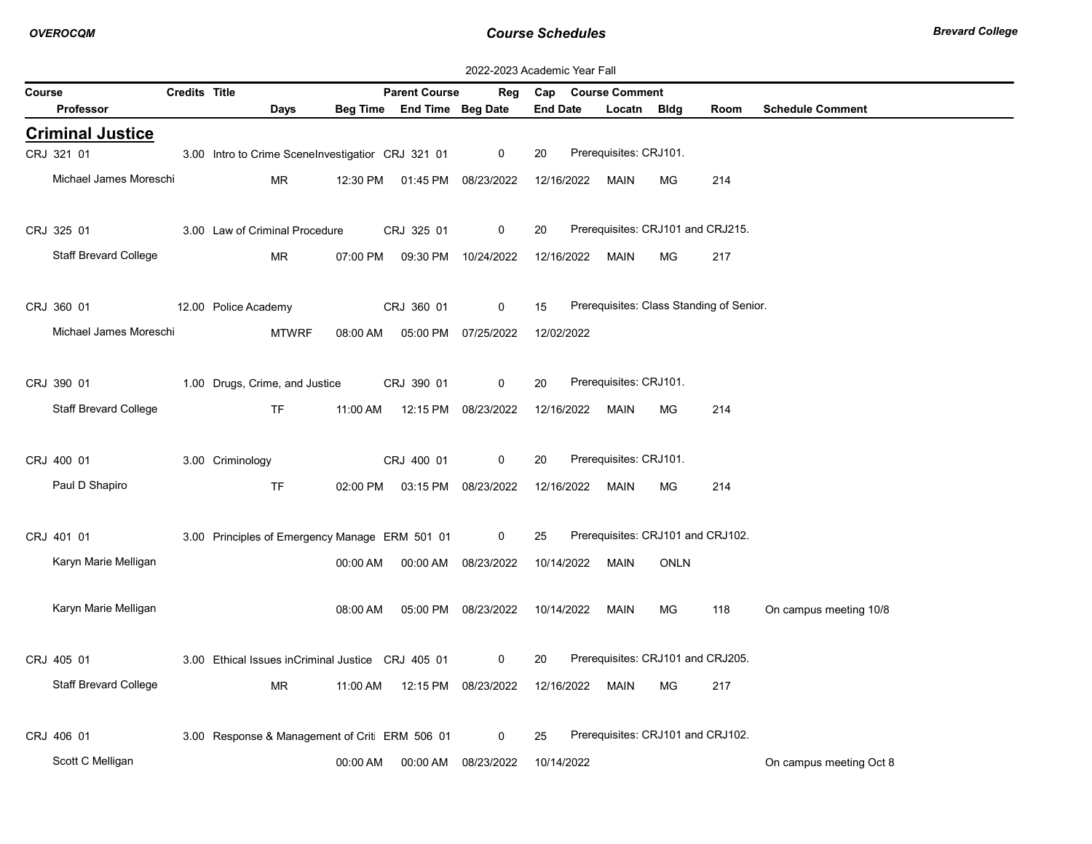|        | 2022-2023 Academic Year Fall |               |                                                   |          |                            |                     |                 |                                          |             |      |                         |  |  |
|--------|------------------------------|---------------|---------------------------------------------------|----------|----------------------------|---------------------|-----------------|------------------------------------------|-------------|------|-------------------------|--|--|
| Course |                              | Credits Title |                                                   |          | <b>Parent Course</b>       | Reg                 |                 | Cap Course Comment                       |             |      |                         |  |  |
|        | <b>Professor</b>             |               | Days                                              |          | Beg Time End Time Beg Date |                     | <b>End Date</b> | Locatn                                   | <b>Bldg</b> | Room | <b>Schedule Comment</b> |  |  |
|        | <b>Criminal Justice</b>      |               |                                                   |          |                            |                     |                 |                                          |             |      |                         |  |  |
|        | CRJ 321 01                   |               | 3.00 Intro to Crime SceneInvestigatior CRJ 321 01 |          |                            | 0                   | 20              | Prerequisites: CRJ101.                   |             |      |                         |  |  |
|        | Michael James Moreschi       |               | <b>MR</b>                                         | 12:30 PM | 01:45 PM                   | 08/23/2022          | 12/16/2022      | MAIN                                     | MG.         | 214  |                         |  |  |
|        |                              |               |                                                   |          |                            |                     |                 |                                          |             |      |                         |  |  |
|        | CRJ 325 01                   |               | 3.00 Law of Criminal Procedure                    |          | CRJ 325 01                 | 0                   | 20              | Prerequisites: CRJ101 and CRJ215.        |             |      |                         |  |  |
|        | Staff Brevard College        |               | <b>MR</b>                                         | 07:00 PM |                            | 09:30 PM 10/24/2022 | 12/16/2022      | MAIN                                     | <b>MG</b>   | 217  |                         |  |  |
|        |                              |               |                                                   |          |                            |                     |                 |                                          |             |      |                         |  |  |
|        | CRJ 360 01                   |               | 12.00 Police Academy                              |          | CRJ 360 01                 | $\mathbf 0$         | 15              | Prerequisites: Class Standing of Senior. |             |      |                         |  |  |
|        | Michael James Moreschi       |               | <b>MTWRF</b>                                      | 08:00 AM |                            | 05:00 PM 07/25/2022 | 12/02/2022      |                                          |             |      |                         |  |  |
|        |                              |               |                                                   |          |                            |                     |                 |                                          |             |      |                         |  |  |
|        | CRJ 390 01                   |               | 1.00 Drugs, Crime, and Justice                    |          | CRJ 390 01                 | 0                   | 20              | Prerequisites: CRJ101.                   |             |      |                         |  |  |
|        | <b>Staff Brevard College</b> |               | TF.                                               |          |                            |                     |                 |                                          |             | 214  |                         |  |  |
|        |                              |               |                                                   | 11:00 AM | 12:15 PM                   | 08/23/2022          | 12/16/2022      | MAIN                                     | MG.         |      |                         |  |  |
|        |                              |               |                                                   |          |                            | 0                   | 20              | Prerequisites: CRJ101.                   |             |      |                         |  |  |
|        | CRJ 400 01                   |               | 3.00 Criminology                                  |          | CRJ 400 01                 |                     |                 |                                          |             |      |                         |  |  |
|        | Paul D Shapiro               |               | <b>TF</b>                                         | 02:00 PM | 03:15 PM                   | 08/23/2022          | 12/16/2022      | MAIN                                     | MG.         | 214  |                         |  |  |
|        |                              |               |                                                   |          |                            |                     |                 |                                          |             |      |                         |  |  |
|        | CRJ 401 01                   |               | 3.00 Principles of Emergency Manage ERM 501 01    |          |                            | $\mathbf 0$         | 25              | Prerequisites: CRJ101 and CRJ102.        |             |      |                         |  |  |
|        | Karyn Marie Melligan         |               |                                                   | 00:00 AM | 00:00 AM                   | 08/23/2022          | 10/14/2022      | MAIN                                     | <b>ONLN</b> |      |                         |  |  |
|        |                              |               |                                                   |          |                            |                     |                 |                                          |             |      |                         |  |  |
|        | Karyn Marie Melligan         |               |                                                   | 08:00 AM |                            | 05:00 PM 08/23/2022 | 10/14/2022      | MAIN                                     | MG.         | 118  | On campus meeting 10/8  |  |  |
|        |                              |               |                                                   |          |                            |                     |                 |                                          |             |      |                         |  |  |
|        | CRJ 405 01                   |               | 3.00 Ethical Issues inCriminal Justice CRJ 405 01 |          |                            | 0                   | 20              | Prerequisites: CRJ101 and CRJ205.        |             |      |                         |  |  |
|        | <b>Staff Brevard College</b> |               | MR.                                               | 11:00 AM | 12:15 PM                   | 08/23/2022          |                 | 12/16/2022 MAIN                          | MG.         | 217  |                         |  |  |
|        |                              |               |                                                   |          |                            |                     |                 |                                          |             |      |                         |  |  |
|        | CRJ 406 01                   |               | 3.00 Response & Management of Crit ERM 506 01     |          |                            | 0                   | 25              | Prerequisites: CRJ101 and CRJ102.        |             |      |                         |  |  |
|        | Scott C Melligan             |               |                                                   | 00:00 AM | 00:00 AM                   | 08/23/2022          | 10/14/2022      |                                          |             |      | On campus meeting Oct 8 |  |  |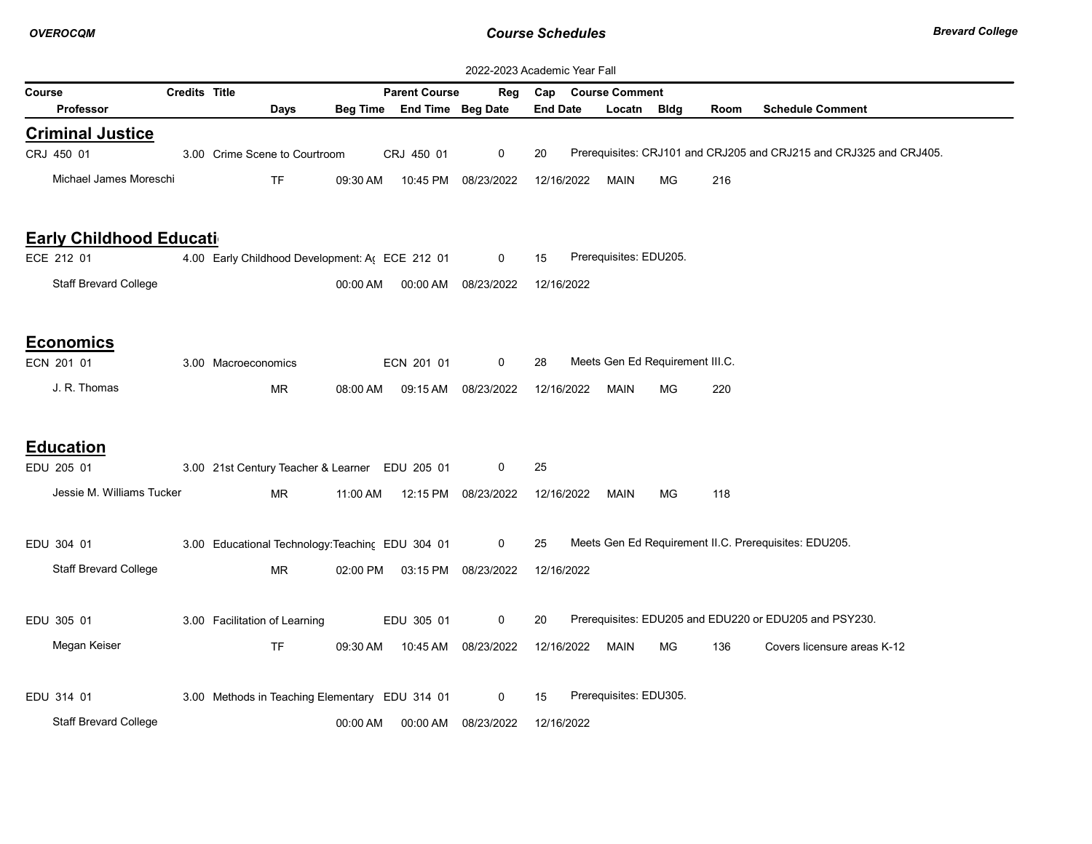|                                | 2022-2023 Academic Year Fall |                                                  |          |                      |                     |                 |                                 |             |      |                                                                    |  |  |
|--------------------------------|------------------------------|--------------------------------------------------|----------|----------------------|---------------------|-----------------|---------------------------------|-------------|------|--------------------------------------------------------------------|--|--|
| Course                         | Credits Title                |                                                  |          | <b>Parent Course</b> | Reg                 | Cap             | <b>Course Comment</b>           |             |      |                                                                    |  |  |
| <b>Professor</b>               |                              | Days                                             | Beg Time | End Time Beg Date    |                     | <b>End Date</b> | Locatn                          | <b>Bldg</b> | Room | <b>Schedule Comment</b>                                            |  |  |
| <b>Criminal Justice</b>        |                              |                                                  |          |                      |                     |                 |                                 |             |      |                                                                    |  |  |
| CRJ 450 01                     |                              | 3.00 Crime Scene to Courtroom                    |          | CRJ 450 01           | 0                   | 20              |                                 |             |      | Prerequisites: CRJ101 and CRJ205 and CRJ215 and CRJ325 and CRJ405. |  |  |
| Michael James Moreschi         |                              | <b>TF</b>                                        | 09:30 AM |                      | 10:45 PM 08/23/2022 | 12/16/2022      | <b>MAIN</b>                     | MG          | 216  |                                                                    |  |  |
| <b>Early Childhood Educati</b> |                              |                                                  |          |                      |                     |                 |                                 |             |      |                                                                    |  |  |
| ECE 212 01                     |                              | 4.00 Early Childhood Development: A ECE 212 01   |          |                      | 0                   | 15              | Prerequisites: EDU205.          |             |      |                                                                    |  |  |
| <b>Staff Brevard College</b>   |                              |                                                  | 00:00 AM | 00:00 AM             | 08/23/2022          | 12/16/2022      |                                 |             |      |                                                                    |  |  |
| <b>Economics</b>               |                              |                                                  |          |                      |                     |                 |                                 |             |      |                                                                    |  |  |
| ECN 201 01                     |                              | 3.00 Macroeconomics                              |          | ECN 201 01           | 0                   | 28              | Meets Gen Ed Requirement III.C. |             |      |                                                                    |  |  |
| J. R. Thomas                   |                              | <b>MR</b>                                        | 08:00 AM | 09:15 AM             | 08/23/2022          | 12/16/2022      | MAIN                            | MG          | 220  |                                                                    |  |  |
| <b>Education</b>               |                              |                                                  |          |                      |                     |                 |                                 |             |      |                                                                    |  |  |
| EDU 205 01                     |                              | 3.00 21st Century Teacher & Learner EDU 205 01   |          |                      | 0                   | 25              |                                 |             |      |                                                                    |  |  |
| Jessie M. Williams Tucker      |                              | <b>MR</b>                                        | 11:00 AM |                      | 12:15 PM 08/23/2022 | 12/16/2022      | MAIN                            | MG          | 118  |                                                                    |  |  |
| EDU 304 01                     |                              | 3.00 Educational Technology: Teaching EDU 304 01 |          |                      | 0                   | 25              |                                 |             |      | Meets Gen Ed Requirement II.C. Prerequisites: EDU205.              |  |  |
| <b>Staff Brevard College</b>   |                              | <b>MR</b>                                        | 02:00 PM |                      | 03:15 PM 08/23/2022 | 12/16/2022      |                                 |             |      |                                                                    |  |  |
| EDU 305 01                     |                              | 3.00 Facilitation of Learning                    |          | EDU 305 01           | 0                   | 20              |                                 |             |      | Prerequisites: EDU205 and EDU220 or EDU205 and PSY230.             |  |  |
| Megan Keiser                   |                              | <b>TF</b>                                        | 09:30 AM |                      | 10:45 AM 08/23/2022 | 12/16/2022      | <b>MAIN</b>                     | MG          | 136  | Covers licensure areas K-12                                        |  |  |
| EDU 314 01                     |                              | 3.00 Methods in Teaching Elementary EDU 314 01   |          |                      | 0                   | 15              | Prerequisites: EDU305.          |             |      |                                                                    |  |  |
| <b>Staff Brevard College</b>   |                              |                                                  | 00:00 AM |                      | 00:00 AM 08/23/2022 | 12/16/2022      |                                 |             |      |                                                                    |  |  |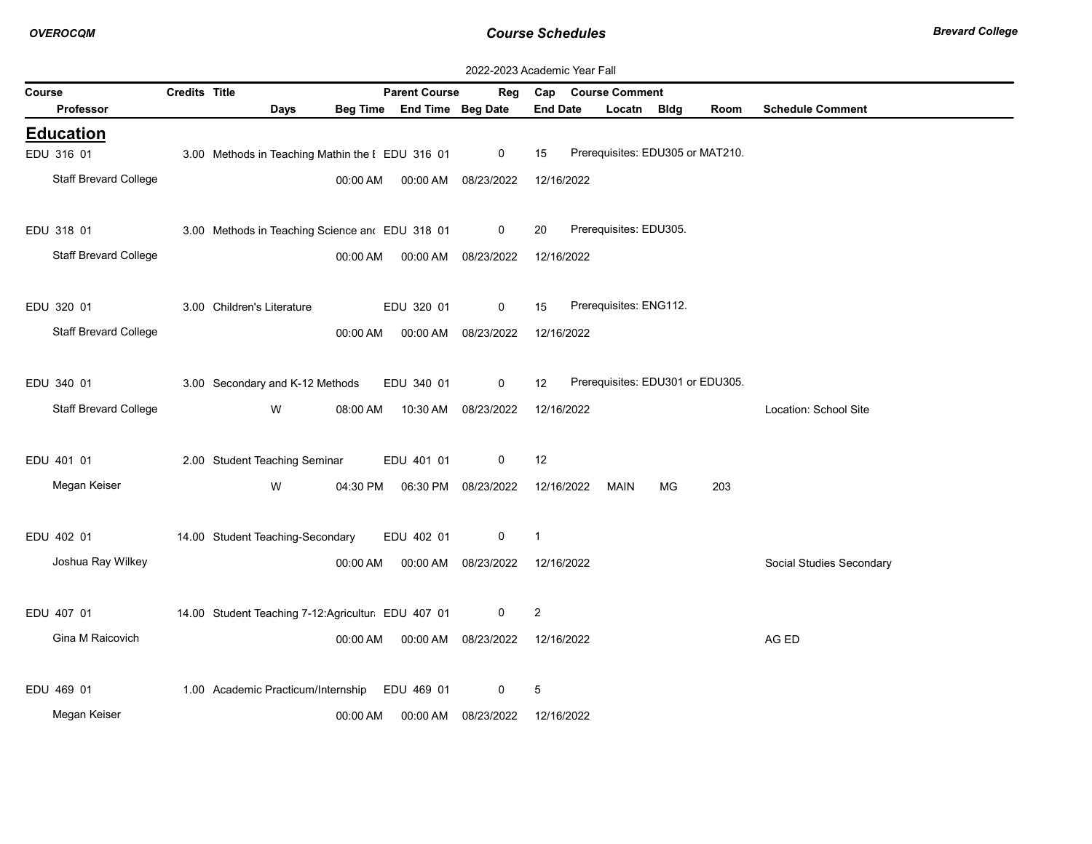|                              | 2022-2023 Academic Year Fall |                                                   |                 |                          |                     |                 |                                  |    |      |                          |  |  |  |
|------------------------------|------------------------------|---------------------------------------------------|-----------------|--------------------------|---------------------|-----------------|----------------------------------|----|------|--------------------------|--|--|--|
| Course                       | Credits Title                |                                                   |                 | <b>Parent Course</b>     | Reg                 |                 | Cap Course Comment               |    |      |                          |  |  |  |
| <b>Professor</b>             |                              | <b>Days</b>                                       | <b>Beg Time</b> | <b>End Time Beg Date</b> |                     | <b>End Date</b> | Locatn Bldg                      |    | Room | <b>Schedule Comment</b>  |  |  |  |
| <b>Education</b>             |                              |                                                   |                 |                          |                     |                 |                                  |    |      |                          |  |  |  |
| EDU 316 01                   |                              | 3.00 Methods in Teaching Mathin the I EDU 316 01  |                 |                          | $\mathbf 0$         | 15              | Prerequisites: EDU305 or MAT210. |    |      |                          |  |  |  |
| <b>Staff Brevard College</b> |                              |                                                   | 00:00 AM        | 00:00 AM 08/23/2022      |                     | 12/16/2022      |                                  |    |      |                          |  |  |  |
|                              |                              |                                                   |                 |                          |                     |                 |                                  |    |      |                          |  |  |  |
| EDU 318 01                   |                              | 3.00 Methods in Teaching Science and EDU 318 01   |                 |                          | 0                   | 20              | Prerequisites: EDU305.           |    |      |                          |  |  |  |
| <b>Staff Brevard College</b> |                              |                                                   | 00:00 AM        | 00:00 AM 08/23/2022      |                     | 12/16/2022      |                                  |    |      |                          |  |  |  |
|                              |                              |                                                   |                 |                          |                     |                 |                                  |    |      |                          |  |  |  |
| EDU 320 01                   |                              | 3.00 Children's Literature                        |                 | EDU 320 01               | $\mathbf 0$         | 15              | Prerequisites: ENG112.           |    |      |                          |  |  |  |
| <b>Staff Brevard College</b> |                              |                                                   | 00:00 AM        | 00:00 AM 08/23/2022      |                     | 12/16/2022      |                                  |    |      |                          |  |  |  |
|                              |                              |                                                   |                 |                          |                     |                 |                                  |    |      |                          |  |  |  |
| EDU 340 01                   |                              | 3.00 Secondary and K-12 Methods                   |                 | EDU 340 01               | 0                   | 12              | Prerequisites: EDU301 or EDU305. |    |      |                          |  |  |  |
| <b>Staff Brevard College</b> |                              |                                                   |                 |                          |                     |                 |                                  |    |      |                          |  |  |  |
|                              |                              | W                                                 | 08:00 AM        |                          | 10:30 AM 08/23/2022 | 12/16/2022      |                                  |    |      | Location: School Site    |  |  |  |
|                              |                              |                                                   |                 |                          |                     |                 |                                  |    |      |                          |  |  |  |
| EDU 401 01                   |                              | 2.00 Student Teaching Seminar                     |                 | EDU 401 01               | $\mathbf 0$         | 12              |                                  |    |      |                          |  |  |  |
| Megan Keiser                 |                              | W                                                 | 04:30 PM        | 06:30 PM 08/23/2022      |                     | 12/16/2022      | MAIN                             | MG | 203  |                          |  |  |  |
|                              |                              |                                                   |                 |                          |                     |                 |                                  |    |      |                          |  |  |  |
| EDU 402 01                   |                              | 14.00 Student Teaching-Secondary                  |                 | EDU 402 01               | 0                   | $\overline{1}$  |                                  |    |      |                          |  |  |  |
| Joshua Ray Wilkey            |                              |                                                   | 00:00 AM        |                          | 00:00 AM 08/23/2022 | 12/16/2022      |                                  |    |      | Social Studies Secondary |  |  |  |
|                              |                              |                                                   |                 |                          |                     |                 |                                  |    |      |                          |  |  |  |
| EDU 407 01                   |                              | 14.00 Student Teaching 7-12:Agricultur EDU 407 01 |                 |                          | 0                   | $\overline{c}$  |                                  |    |      |                          |  |  |  |
| Gina M Raicovich             |                              |                                                   | 00:00 AM        | 00:00 AM 08/23/2022      |                     | 12/16/2022      |                                  |    |      | AG ED                    |  |  |  |
|                              |                              |                                                   |                 |                          |                     |                 |                                  |    |      |                          |  |  |  |
| EDU 469 01                   |                              | 1.00 Academic Practicum/Internship                |                 | EDU 469 01               | 0                   | 5               |                                  |    |      |                          |  |  |  |
| Megan Keiser                 |                              |                                                   | 00:00 AM        |                          | 00:00 AM 08/23/2022 | 12/16/2022      |                                  |    |      |                          |  |  |  |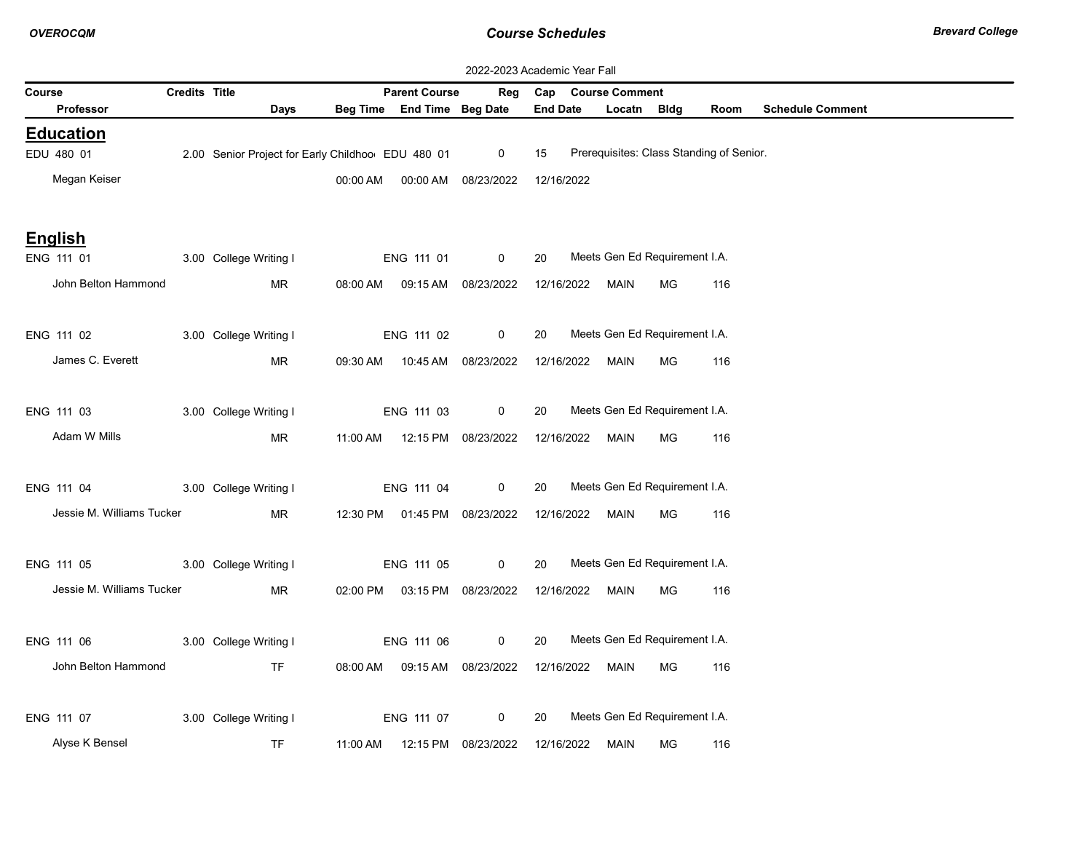|        |                           |               | 2022-2023 Academic Year Fall                      |          |                                  |             |                 |                                          |           |      |                         |  |
|--------|---------------------------|---------------|---------------------------------------------------|----------|----------------------------------|-------------|-----------------|------------------------------------------|-----------|------|-------------------------|--|
| Course |                           | Credits Title |                                                   |          | <b>Parent Course</b>             | Reg         | Cap             | <b>Course Comment</b>                    |           |      |                         |  |
|        | Professor                 |               | Days                                              |          | Beg Time End Time Beg Date       |             | <b>End Date</b> | Locatn Bldg                              |           | Room | <b>Schedule Comment</b> |  |
|        | <b>Education</b>          |               |                                                   |          |                                  |             |                 |                                          |           |      |                         |  |
|        | EDU 480 01                |               | 2.00 Senior Project for Early Childhoo EDU 480 01 |          |                                  | $\mathbf 0$ | 15              | Prerequisites: Class Standing of Senior. |           |      |                         |  |
|        | Megan Keiser              |               |                                                   | 00:00 AM | 00:00 AM                         | 08/23/2022  | 12/16/2022      |                                          |           |      |                         |  |
|        | <b>English</b>            |               |                                                   |          |                                  |             |                 |                                          |           |      |                         |  |
|        | ENG 111 01                |               | 3.00 College Writing I                            |          | ENG 111 01                       | $\mathbf 0$ | 20              | Meets Gen Ed Requirement I.A.            |           |      |                         |  |
|        | John Belton Hammond       |               | MR                                                |          | 08:00 AM  09:15 AM  08/23/2022   |             | 12/16/2022 MAIN |                                          | MG        | 116  |                         |  |
|        | ENG 111 02                |               | 3.00 College Writing I                            |          | ENG 111 02                       | 0           | 20              | Meets Gen Ed Requirement I.A.            |           |      |                         |  |
|        | James C. Everett          |               | MR                                                |          | 09:30 AM  10:45 AM  08/23/2022   |             | 12/16/2022      | MAIN                                     | МG        | 116  |                         |  |
|        | ENG 111 03                |               | 3.00 College Writing I                            |          | ENG 111 03                       | 0           | 20              | Meets Gen Ed Requirement I.A.            |           |      |                         |  |
|        | Adam W Mills              |               | MR                                                |          | 11:00 AM  12:15 PM  08/23/2022   |             | 12/16/2022      | MAIN                                     | <b>MG</b> | 116  |                         |  |
|        | ENG 111 04                |               | 3.00 College Writing I                            |          | ENG 111 04                       | $\mathbf 0$ | 20              | Meets Gen Ed Requirement I.A.            |           |      |                         |  |
|        | Jessie M. Williams Tucker |               | MR                                                |          | 12:30 PM  01:45 PM  08/23/2022   |             | 12/16/2022      | MAIN                                     | MG        | 116  |                         |  |
|        | ENG 111 05                |               | 3.00 College Writing I                            |          | ENG 111 05                       | $\mathbf 0$ | 20              | Meets Gen Ed Requirement I.A.            |           |      |                         |  |
|        | Jessie M. Williams Tucker |               | MR                                                |          | 02:00 PM  03:15 PM  08/23/2022   |             | 12/16/2022      | MAIN                                     | МG        | 116  |                         |  |
|        | ENG 111 06                |               | 3.00 College Writing I                            |          | ENG 111 06                       | $\mathbf 0$ | 20              | Meets Gen Ed Requirement I.A.            |           |      |                         |  |
|        | John Belton Hammond       |               | <b>TF</b>                                         |          | 08:00 AM  09:15 AM  08/23/2022   |             | 12/16/2022      | MAIN                                     | МG        | 116  |                         |  |
|        | ENG 111 07                |               | 3.00 College Writing I                            |          | ENG 111 07                       | 0           | 20              | Meets Gen Ed Requirement I.A.            |           |      |                         |  |
|        | Alyse K Bensel            |               | <b>TF</b>                                         |          | 11:00 AM   12:15 PM   08/23/2022 |             | 12/16/2022      | MAIN                                     | МG        | 116  |                         |  |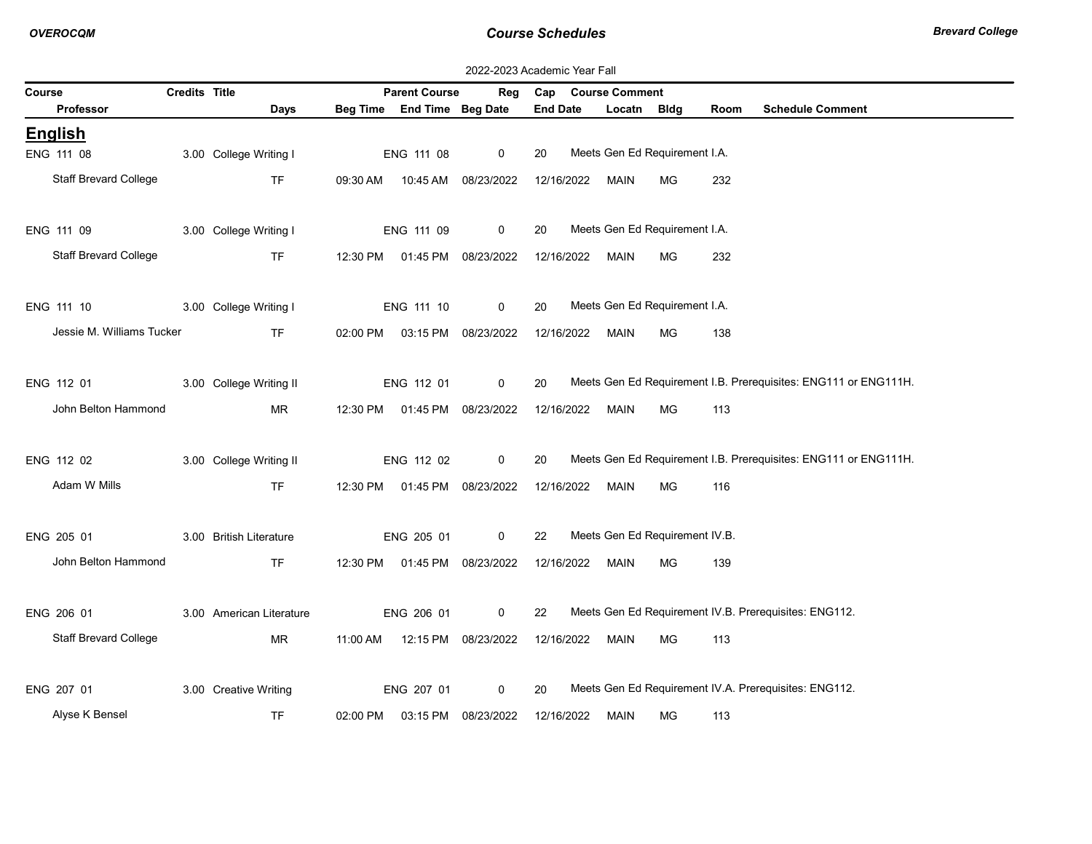| 2022-2023 Academic Year Fall |               |                          |          |                                |                     |                 |            |                                |           |      |                                                                 |
|------------------------------|---------------|--------------------------|----------|--------------------------------|---------------------|-----------------|------------|--------------------------------|-----------|------|-----------------------------------------------------------------|
| Course                       | Credits Title |                          |          | <b>Parent Course</b>           | Reg                 |                 |            | Cap Course Comment             |           |      |                                                                 |
| Professor                    |               | Days                     |          | Beg Time End Time Beg Date     |                     | <b>End Date</b> |            | Locatn                         | Bldg      | Room | <b>Schedule Comment</b>                                         |
| <b>English</b>               |               |                          |          |                                |                     |                 |            |                                |           |      |                                                                 |
| ENG 111 08                   |               | 3.00 College Writing I   |          | ENG 111 08                     | $\mathbf 0$         | 20              |            | Meets Gen Ed Requirement I.A.  |           |      |                                                                 |
| <b>Staff Brevard College</b> |               | <b>TF</b>                | 09:30 AM |                                | 10:45 AM 08/23/2022 |                 | 12/16/2022 | MAIN                           | <b>MG</b> | 232  |                                                                 |
|                              |               |                          |          |                                |                     |                 |            |                                |           |      |                                                                 |
| ENG 111 09                   |               | 3.00 College Writing I   |          | ENG 111 09                     | $\mathbf 0$         | 20              |            | Meets Gen Ed Requirement I.A.  |           |      |                                                                 |
| Staff Brevard College        |               | TF.                      |          | 12:30 PM  01:45 PM  08/23/2022 |                     |                 |            | 12/16/2022 MAIN                | MG.       | 232  |                                                                 |
|                              |               |                          |          |                                |                     |                 |            |                                |           |      |                                                                 |
| ENG 111 10                   |               | 3.00 College Writing I   |          | ENG 111 10                     | 0                   | 20              |            | Meets Gen Ed Requirement I.A.  |           |      |                                                                 |
| Jessie M. Williams Tucker    |               | <b>TF</b>                |          | 02:00 PM  03:15 PM  08/23/2022 |                     |                 | 12/16/2022 | MAIN                           | MG        | 138  |                                                                 |
|                              |               |                          |          |                                |                     |                 |            |                                |           |      |                                                                 |
| ENG 112 01                   |               | 3.00 College Writing II  |          | ENG 112 01                     | 0                   | 20              |            |                                |           |      | Meets Gen Ed Requirement I.B. Prerequisites: ENG111 or ENG111H. |
| John Belton Hammond          |               | <b>MR</b>                |          | 12:30 PM  01:45 PM  08/23/2022 |                     |                 |            | 12/16/2022 MAIN                | <b>MG</b> | 113  |                                                                 |
|                              |               |                          |          |                                |                     |                 |            |                                |           |      |                                                                 |
| ENG 112 02                   |               | 3.00 College Writing II  |          | ENG 112 02                     | $\mathbf 0$         | 20              |            |                                |           |      | Meets Gen Ed Requirement I.B. Prerequisites: ENG111 or ENG111H. |
| Adam W Mills                 |               | TF                       |          | 12:30 PM  01:45 PM  08/23/2022 |                     |                 |            | 12/16/2022 MAIN                | MG.       | 116  |                                                                 |
|                              |               |                          |          |                                |                     |                 |            |                                |           |      |                                                                 |
| ENG 205 01                   |               | 3.00 British Literature  |          | ENG 205 01                     | $\mathbf 0$         | 22              |            | Meets Gen Ed Requirement IV.B. |           |      |                                                                 |
| John Belton Hammond          |               | <b>TF</b>                |          | 12:30 PM  01:45 PM  08/23/2022 |                     |                 | 12/16/2022 | MAIN                           | MG.       | 139  |                                                                 |
|                              |               |                          |          |                                |                     |                 |            |                                |           |      |                                                                 |
| ENG 206 01                   |               | 3.00 American Literature |          | ENG 206 01                     | $\mathbf 0$         | 22              |            |                                |           |      | Meets Gen Ed Requirement IV.B. Prerequisites: ENG112.           |
| <b>Staff Brevard College</b> |               | MR.                      | 11:00 AM |                                | 12:15 PM 08/23/2022 |                 | 12/16/2022 | MAIN                           | MG.       | 113  |                                                                 |
|                              |               |                          |          |                                |                     |                 |            |                                |           |      |                                                                 |
| ENG 207 01                   |               | 3.00 Creative Writing    |          | ENG 207 01                     | 0                   | 20              |            |                                |           |      | Meets Gen Ed Requirement IV.A. Prerequisites: ENG112.           |
| Alyse K Bensel               |               | <b>TF</b>                | 02:00 PM | 03:15 PM                       | 08/23/2022          |                 | 12/16/2022 | MAIN                           | MG        | 113  |                                                                 |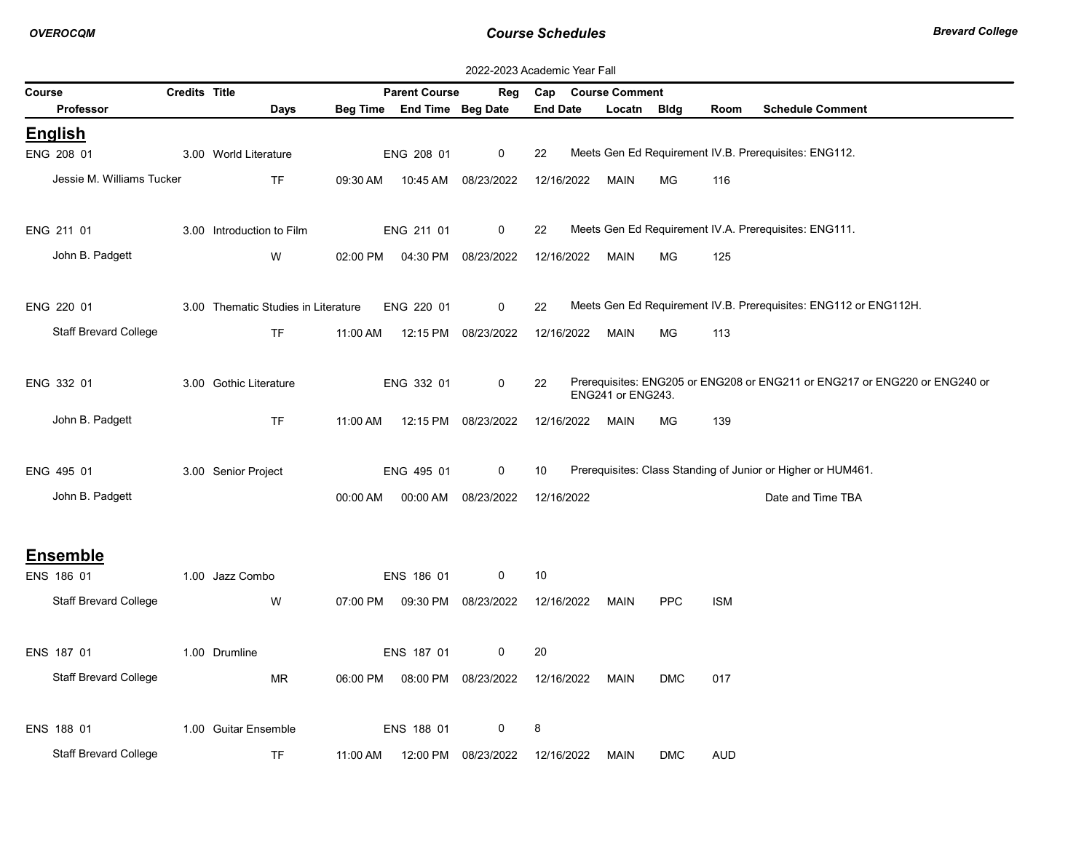|        | 2022-2023 Academic Year Fall |                      |                                     |          |                            |                     |                 |                       |            |            |                                                                            |
|--------|------------------------------|----------------------|-------------------------------------|----------|----------------------------|---------------------|-----------------|-----------------------|------------|------------|----------------------------------------------------------------------------|
| Course |                              | <b>Credits Title</b> |                                     |          | <b>Parent Course</b>       | Reg                 | Cap             | <b>Course Comment</b> |            |            |                                                                            |
|        | Professor                    |                      | Days                                |          | Beg Time End Time Beg Date |                     | <b>End Date</b> | Locatn Bldg           |            | Room       | <b>Schedule Comment</b>                                                    |
|        | <b>English</b>               |                      |                                     |          |                            |                     |                 |                       |            |            |                                                                            |
|        | ENG 208 01                   |                      | 3.00 World Literature               |          | ENG 208 01                 | 0                   | 22              |                       |            |            | Meets Gen Ed Requirement IV.B. Prerequisites: ENG112.                      |
|        | Jessie M. Williams Tucker    |                      | <b>TF</b>                           | 09:30 AM | 10:45 AM                   | 08/23/2022          | 12/16/2022      | MAIN                  | <b>MG</b>  | 116        |                                                                            |
|        |                              |                      |                                     |          |                            |                     |                 |                       |            |            |                                                                            |
|        | ENG 211 01                   |                      | 3.00 Introduction to Film           |          | ENG 211 01                 | 0                   | 22              |                       |            |            | Meets Gen Ed Requirement IV.A. Prerequisites: ENG111.                      |
|        | John B. Padgett              |                      | W                                   | 02:00 PM |                            | 04:30 PM 08/23/2022 | 12/16/2022      | MAIN                  | <b>MG</b>  | 125        |                                                                            |
|        |                              |                      |                                     |          |                            |                     |                 |                       |            |            |                                                                            |
|        | ENG 220 01                   |                      | 3.00 Thematic Studies in Literature |          | ENG 220 01                 | $\mathbf 0$         | 22              |                       |            |            | Meets Gen Ed Requirement IV.B. Prerequisites: ENG112 or ENG112H.           |
|        | <b>Staff Brevard College</b> |                      | <b>TF</b>                           | 11:00 AM |                            | 12:15 PM 08/23/2022 | 12/16/2022      | MAIN                  | МG         | 113        |                                                                            |
|        | ENG 332 01                   |                      | 3.00 Gothic Literature              |          | ENG 332 01                 | 0                   | 22              |                       |            |            | Prerequisites: ENG205 or ENG208 or ENG211 or ENG217 or ENG220 or ENG240 or |
|        |                              |                      |                                     |          |                            |                     |                 | ENG241 or ENG243.     |            |            |                                                                            |
|        | John B. Padgett              |                      | <b>TF</b>                           | 11:00 AM |                            | 12:15 PM 08/23/2022 | 12/16/2022      | <b>MAIN</b>           | <b>MG</b>  | 139        |                                                                            |
|        |                              |                      |                                     |          |                            |                     |                 |                       |            |            |                                                                            |
|        | ENG 495 01                   |                      | 3.00 Senior Project                 |          | ENG 495 01                 | 0                   | 10              |                       |            |            | Prerequisites: Class Standing of Junior or Higher or HUM461.               |
|        | John B. Padgett              |                      |                                     | 00:00 AM |                            | 00:00 AM 08/23/2022 | 12/16/2022      |                       |            |            | Date and Time TBA                                                          |
|        |                              |                      |                                     |          |                            |                     |                 |                       |            |            |                                                                            |
|        | <b>Ensemble</b>              |                      |                                     |          |                            |                     |                 |                       |            |            |                                                                            |
|        | ENS 186 01                   |                      | 1.00 Jazz Combo                     |          | ENS 186 01                 | 0                   | 10              |                       |            |            |                                                                            |
|        | <b>Staff Brevard College</b> |                      | W                                   | 07:00 PM |                            | 09:30 PM 08/23/2022 | 12/16/2022      | MAIN                  | <b>PPC</b> | <b>ISM</b> |                                                                            |
|        |                              |                      |                                     |          |                            |                     |                 |                       |            |            |                                                                            |
|        | ENS 187 01                   |                      | 1.00 Drumline                       |          | ENS 187 01                 | 0                   | 20              |                       |            |            |                                                                            |
|        | <b>Staff Brevard College</b> |                      | <b>MR</b>                           | 06:00 PM |                            | 08:00 PM 08/23/2022 | 12/16/2022      | MAIN                  | <b>DMC</b> | 017        |                                                                            |
|        |                              |                      |                                     |          |                            |                     |                 |                       |            |            |                                                                            |
|        | ENS 188 01                   |                      | 1.00 Guitar Ensemble                |          | ENS 188 01                 | 0                   | 8               |                       |            |            |                                                                            |
|        | <b>Staff Brevard College</b> |                      | <b>TF</b>                           | 11:00 AM | 12:00 PM                   | 08/23/2022          | 12/16/2022      | MAIN                  | <b>DMC</b> | AUD        |                                                                            |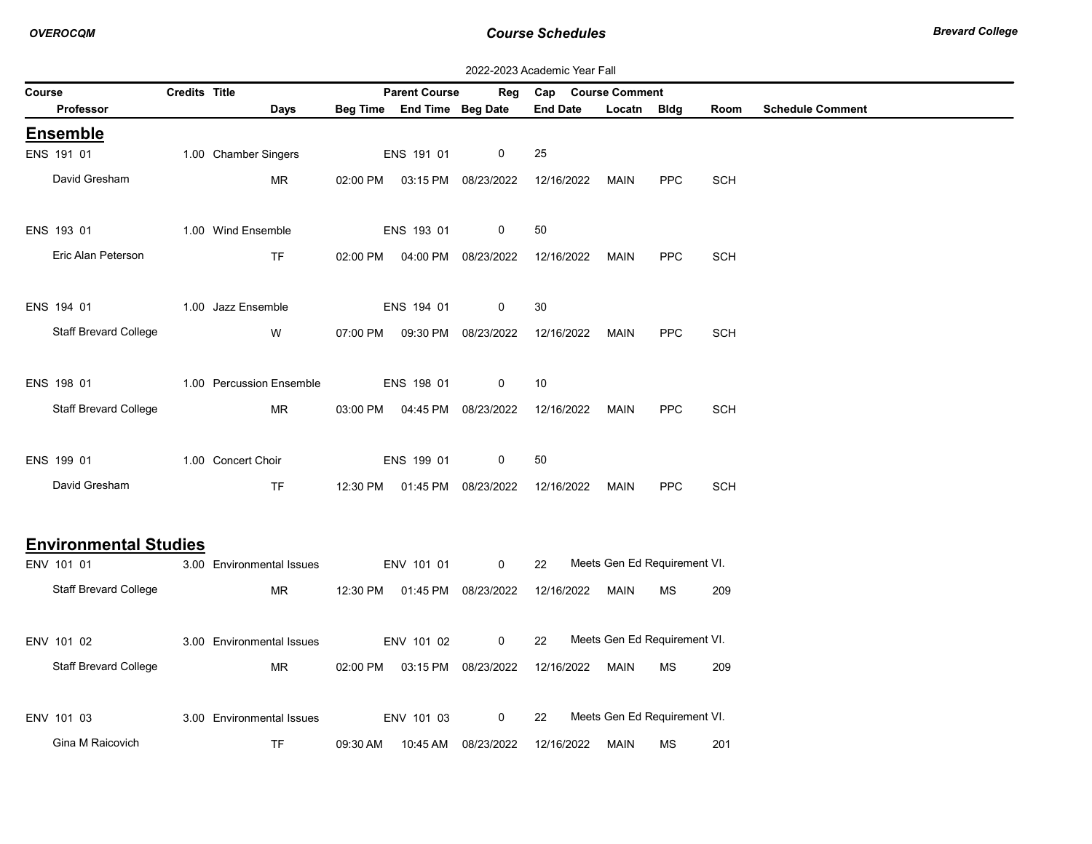|        | 2022-2023 Academic Year Fall |                      |                           |          |                                |                                |                 |                              |            |            |                         |  |
|--------|------------------------------|----------------------|---------------------------|----------|--------------------------------|--------------------------------|-----------------|------------------------------|------------|------------|-------------------------|--|
| Course |                              | <b>Credits Title</b> |                           |          | <b>Parent Course</b>           | Reg                            |                 | Cap Course Comment           |            |            |                         |  |
|        | Professor                    |                      | Days                      |          | Beg Time End Time Beg Date     |                                | <b>End Date</b> | Locatn Bldg                  |            | Room       | <b>Schedule Comment</b> |  |
|        | <b>Ensemble</b>              |                      |                           |          |                                |                                |                 |                              |            |            |                         |  |
|        | ENS 191 01                   |                      | 1.00 Chamber Singers      |          | ENS 191 01                     | 0                              | 25              |                              |            |            |                         |  |
|        | David Gresham                |                      | <b>MR</b>                 |          | 02:00 PM  03:15 PM  08/23/2022 |                                | 12/16/2022      | MAIN                         | <b>PPC</b> | <b>SCH</b> |                         |  |
|        |                              |                      |                           |          |                                |                                |                 |                              |            |            |                         |  |
|        | ENS 193 01                   |                      | 1.00 Wind Ensemble        |          | ENS 193 01                     | 0                              | 50              |                              |            |            |                         |  |
|        | Eric Alan Peterson           |                      | <b>TF</b>                 | 02:00 PM |                                | 04:00 PM 08/23/2022            | 12/16/2022      | MAIN                         | <b>PPC</b> | <b>SCH</b> |                         |  |
|        |                              |                      |                           |          |                                |                                |                 |                              |            |            |                         |  |
|        | ENS 194 01                   |                      | 1.00 Jazz Ensemble        |          | ENS 194 01                     | 0                              | 30              |                              |            |            |                         |  |
|        | <b>Staff Brevard College</b> |                      | W                         | 07:00 PM |                                | 09:30 PM 08/23/2022            | 12/16/2022      | MAIN                         | <b>PPC</b> | <b>SCH</b> |                         |  |
|        |                              |                      |                           |          |                                |                                |                 |                              |            |            |                         |  |
|        | ENS 198 01                   |                      | 1.00 Percussion Ensemble  |          | ENS 198 01                     | 0                              | 10              |                              |            |            |                         |  |
|        | <b>Staff Brevard College</b> |                      | MR                        |          | 03:00 PM  04:45 PM  08/23/2022 |                                | 12/16/2022      | MAIN                         | <b>PPC</b> | <b>SCH</b> |                         |  |
|        |                              |                      |                           |          |                                |                                |                 |                              |            |            |                         |  |
|        | ENS 199 01                   |                      | 1.00 Concert Choir        |          | ENS 199 01                     | 0                              | 50              |                              |            |            |                         |  |
|        | David Gresham                |                      | TF.                       |          |                                | 12:30 PM  01:45 PM  08/23/2022 | 12/16/2022      | MAIN                         | <b>PPC</b> | <b>SCH</b> |                         |  |
|        |                              |                      |                           |          |                                |                                |                 |                              |            |            |                         |  |
|        | <b>Environmental Studies</b> |                      |                           |          |                                |                                |                 |                              |            |            |                         |  |
|        | ENV 101 01                   |                      | 3.00 Environmental Issues |          | ENV 101 01                     | $\mathbf 0$                    | 22              | Meets Gen Ed Requirement VI. |            |            |                         |  |
|        | <b>Staff Brevard College</b> |                      | MR                        |          | 12:30 PM  01:45 PM  08/23/2022 |                                | 12/16/2022      | MAIN                         | MS         | 209        |                         |  |
|        |                              |                      |                           |          |                                |                                |                 |                              |            |            |                         |  |
|        | ENV 101 02                   |                      | 3.00 Environmental Issues |          | ENV 101 02                     | 0                              | 22              | Meets Gen Ed Requirement VI. |            |            |                         |  |
|        | <b>Staff Brevard College</b> |                      | MR.                       | 02:00 PM |                                | 03:15 PM 08/23/2022            | 12/16/2022      | MAIN                         | MS         | 209        |                         |  |
|        |                              |                      |                           |          |                                |                                |                 |                              |            |            |                         |  |
|        | ENV 101 03                   |                      | 3.00 Environmental Issues |          | ENV 101 03                     | 0                              | 22              | Meets Gen Ed Requirement VI. |            |            |                         |  |
|        | Gina M Raicovich             |                      | <b>TF</b>                 |          | 09:30 AM  10:45 AM  08/23/2022 |                                | 12/16/2022      | MAIN                         | МS         | 201        |                         |  |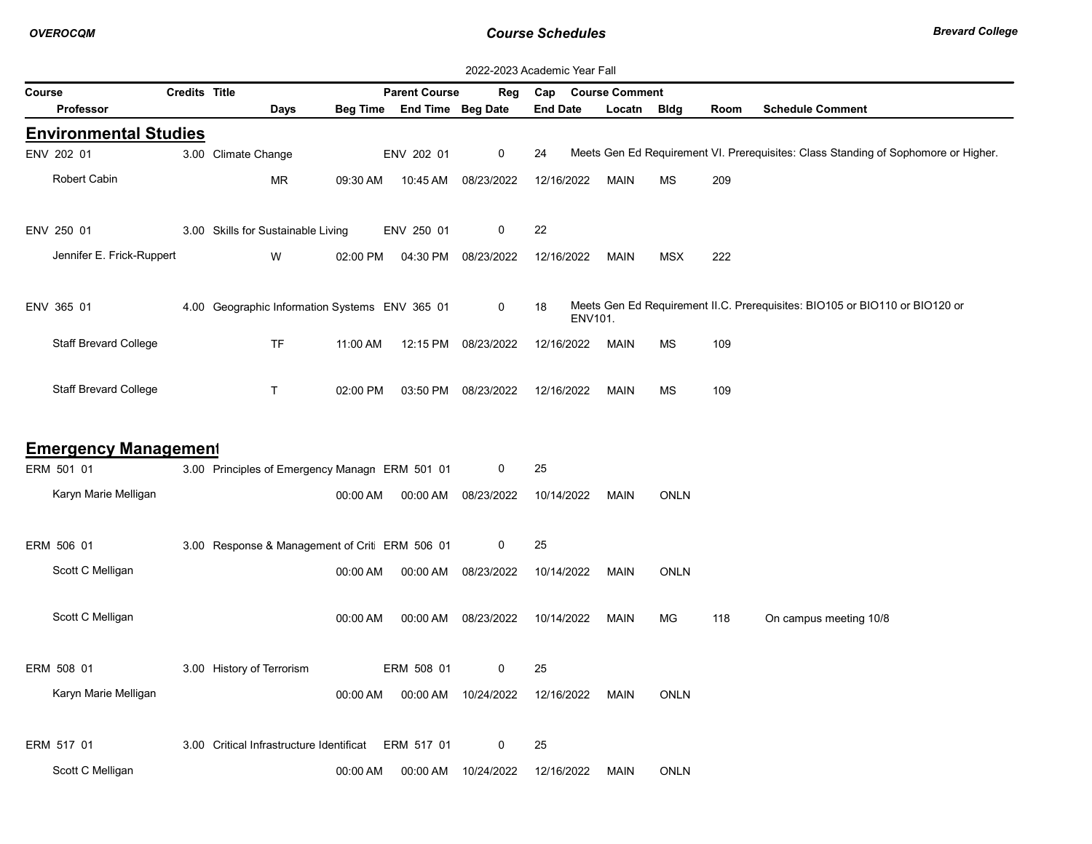|                              | 2022-2023 Academic Year Fall |                                                     |          |                            |                     |                 |             |             |      |                                                                                    |  |  |
|------------------------------|------------------------------|-----------------------------------------------------|----------|----------------------------|---------------------|-----------------|-------------|-------------|------|------------------------------------------------------------------------------------|--|--|
| Course                       | <b>Parent Course</b>         | Reg                                                 | Cap      | <b>Course Comment</b>      |                     |                 |             |             |      |                                                                                    |  |  |
| <b>Professor</b>             |                              | Days                                                |          | Beg Time End Time Beg Date |                     | <b>End Date</b> | Locatn      | Bldg        | Room | <b>Schedule Comment</b>                                                            |  |  |
| <b>Environmental Studies</b> |                              |                                                     |          |                            |                     |                 |             |             |      |                                                                                    |  |  |
| ENV 202 01                   |                              | 3.00 Climate Change                                 |          | ENV 202 01                 | 0                   | 24              |             |             |      | Meets Gen Ed Requirement VI. Prerequisites: Class Standing of Sophomore or Higher. |  |  |
| Robert Cabin                 |                              | <b>MR</b>                                           | 09:30 AM | 10:45 AM                   | 08/23/2022          | 12/16/2022      | <b>MAIN</b> | <b>MS</b>   | 209  |                                                                                    |  |  |
| ENV 250 01                   |                              | 3.00 Skills for Sustainable Living                  |          | ENV 250 01                 | 0                   | 22              |             |             |      |                                                                                    |  |  |
| Jennifer E. Frick-Ruppert    |                              | W                                                   | 02:00 PM | 04:30 PM                   | 08/23/2022          | 12/16/2022      | MAIN        | <b>MSX</b>  | 222  |                                                                                    |  |  |
| ENV 365 01                   |                              | 4.00 Geographic Information Systems ENV 365 01      |          |                            | 0                   | 18<br>ENV101.   |             |             |      | Meets Gen Ed Requirement II.C. Prerequisites: BIO105 or BIO110 or BIO120 or        |  |  |
| <b>Staff Brevard College</b> |                              | <b>TF</b>                                           | 11:00 AM |                            | 12:15 PM 08/23/2022 | 12/16/2022      | <b>MAIN</b> | <b>MS</b>   | 109  |                                                                                    |  |  |
| <b>Staff Brevard College</b> |                              | T.                                                  | 02:00 PM | 03:50 PM                   | 08/23/2022          | 12/16/2022      | <b>MAIN</b> | <b>MS</b>   | 109  |                                                                                    |  |  |
| <b>Emergency Management</b>  |                              |                                                     |          |                            |                     |                 |             |             |      |                                                                                    |  |  |
| ERM 501 01                   |                              | 3.00 Principles of Emergency Managn ERM 501 01      |          |                            | 0                   | 25              |             |             |      |                                                                                    |  |  |
| Karyn Marie Melligan         |                              |                                                     | 00:00 AM |                            | 00:00 AM 08/23/2022 | 10/14/2022      | <b>MAIN</b> | <b>ONLN</b> |      |                                                                                    |  |  |
| ERM 506 01                   |                              | 3.00 Response & Management of Crit ERM 506 01       |          |                            | 0                   | 25              |             |             |      |                                                                                    |  |  |
| Scott C Melligan             |                              |                                                     | 00:00 AM | 00:00 AM                   | 08/23/2022          | 10/14/2022      | MAIN        | <b>ONLN</b> |      |                                                                                    |  |  |
| Scott C Melligan             |                              |                                                     | 00:00 AM |                            | 00:00 AM 08/23/2022 | 10/14/2022      | <b>MAIN</b> | МG          | 118  | On campus meeting 10/8                                                             |  |  |
| ERM 508 01                   |                              | 3.00 History of Terrorism                           |          | ERM 508 01                 | $\mathbf 0$         | 25              |             |             |      |                                                                                    |  |  |
| Karyn Marie Melligan         |                              |                                                     | 00:00 AM |                            | 00:00 AM 10/24/2022 | 12/16/2022      | <b>MAIN</b> | <b>ONLN</b> |      |                                                                                    |  |  |
| ERM 517 01                   |                              | 3.00 Critical Infrastructure Identificat ERM 517 01 |          |                            | 0                   | 25              |             |             |      |                                                                                    |  |  |
| Scott C Melligan             |                              |                                                     | 00:00 AM | 00:00 AM                   | 10/24/2022          | 12/16/2022      | <b>MAIN</b> | <b>ONLN</b> |      |                                                                                    |  |  |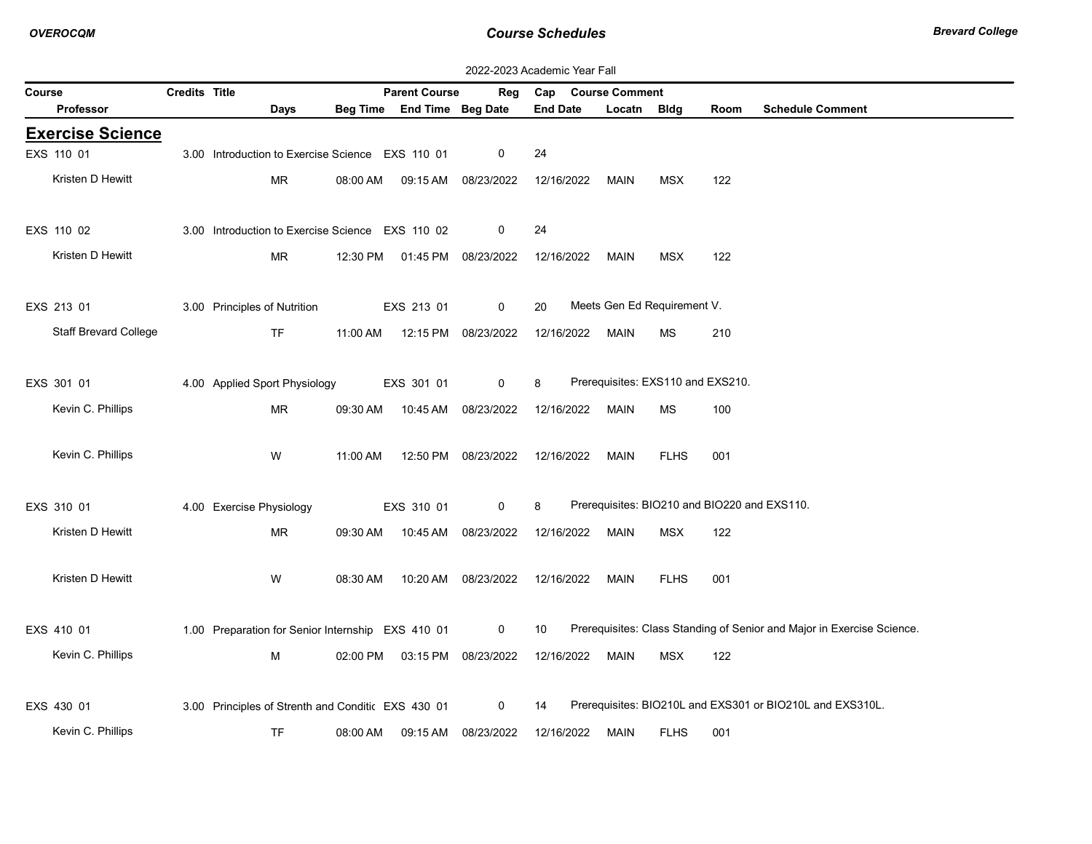|        | 2022-2023 Academic Year Fall |                      |                                                    |          |                                |                     |                 |                                              |             |      |                                                                        |
|--------|------------------------------|----------------------|----------------------------------------------------|----------|--------------------------------|---------------------|-----------------|----------------------------------------------|-------------|------|------------------------------------------------------------------------|
| Course |                              | <b>Credits Title</b> |                                                    |          | <b>Parent Course</b>           | Reg                 |                 | Cap Course Comment                           |             |      |                                                                        |
|        | Professor                    |                      | Days                                               |          | Beg Time End Time Beg Date     |                     | <b>End Date</b> | Locatn                                       | <b>Bldg</b> | Room | <b>Schedule Comment</b>                                                |
|        | <b>Exercise Science</b>      |                      |                                                    |          |                                |                     |                 |                                              |             |      |                                                                        |
|        | EXS 110 01                   |                      | 3.00 Introduction to Exercise Science EXS 110 01   |          |                                | 0                   | 24              |                                              |             |      |                                                                        |
|        | Kristen D Hewitt             |                      | MR                                                 | 08:00 AM |                                | 09:15 AM 08/23/2022 | 12/16/2022      | MAIN                                         | <b>MSX</b>  | 122  |                                                                        |
|        | EXS 110 02                   |                      | 3.00 Introduction to Exercise Science EXS 110 02   |          |                                | 0                   | 24              |                                              |             |      |                                                                        |
|        | Kristen D Hewitt             |                      |                                                    |          |                                |                     |                 |                                              |             |      |                                                                        |
|        |                              |                      | MR.                                                |          | 12:30 PM  01:45 PM  08/23/2022 |                     | 12/16/2022      | MAIN                                         | MSX         | 122  |                                                                        |
|        | EXS 213 01                   |                      | 3.00 Principles of Nutrition                       |          | EXS 213 01                     | 0                   | 20              | Meets Gen Ed Requirement V.                  |             |      |                                                                        |
|        | <b>Staff Brevard College</b> |                      | <b>TF</b>                                          |          | 11:00 AM  12:15 PM  08/23/2022 |                     | 12/16/2022      | MAIN                                         | МS          | 210  |                                                                        |
|        |                              |                      | 4.00 Applied Sport Physiology                      |          |                                | 0                   | 8               | Prerequisites: EXS110 and EXS210.            |             |      |                                                                        |
|        | EXS 301 01                   |                      |                                                    |          | EXS 301 01                     |                     |                 |                                              |             |      |                                                                        |
|        | Kevin C. Phillips            |                      | MR                                                 | 09:30 AM | 10:45 AM                       | 08/23/2022          | 12/16/2022      | MAIN                                         | ΜS          | 100  |                                                                        |
|        | Kevin C. Phillips            |                      | W                                                  | 11:00 AM |                                | 12:50 PM 08/23/2022 | 12/16/2022      | MAIN                                         | <b>FLHS</b> | 001  |                                                                        |
|        |                              |                      |                                                    |          |                                |                     |                 |                                              |             |      |                                                                        |
|        | EXS 310 01                   |                      | 4.00 Exercise Physiology                           |          | EXS 310 01                     | 0                   | 8               | Prerequisites: BIO210 and BIO220 and EXS110. |             |      |                                                                        |
|        | Kristen D Hewitt             |                      | MR                                                 | 09:30 AM |                                | 10:45 AM 08/23/2022 | 12/16/2022      | MAIN                                         | <b>MSX</b>  | 122  |                                                                        |
|        | Kristen D Hewitt             |                      | W                                                  | 08:30 AM | 10:20 AM                       | 08/23/2022          | 12/16/2022      | MAIN                                         | <b>FLHS</b> | 001  |                                                                        |
|        |                              |                      |                                                    |          |                                |                     |                 |                                              |             |      |                                                                        |
|        | EXS 410 01                   |                      | 1.00 Preparation for Senior Internship EXS 410 01  |          |                                | $\mathsf{O}$        | 10              |                                              |             |      | Prerequisites: Class Standing of Senior and Major in Exercise Science. |
|        | Kevin C. Phillips            |                      | м                                                  | 02:00 PM |                                | 03:15 PM 08/23/2022 | 12/16/2022      | MAIN                                         | MSX         | 122  |                                                                        |
|        | EXS 430 01                   |                      | 3.00 Principles of Strenth and Conditic EXS 430 01 |          |                                | 0                   | 14              |                                              |             |      | Prerequisites: BIO210L and EXS301 or BIO210L and EXS310L.              |
|        |                              |                      |                                                    |          |                                |                     |                 |                                              |             |      |                                                                        |
|        | Kevin C. Phillips            |                      | <b>TF</b>                                          | 08:00 AM |                                | 09:15 AM 08/23/2022 | 12/16/2022      | MAIN                                         | <b>FLHS</b> | 001  |                                                                        |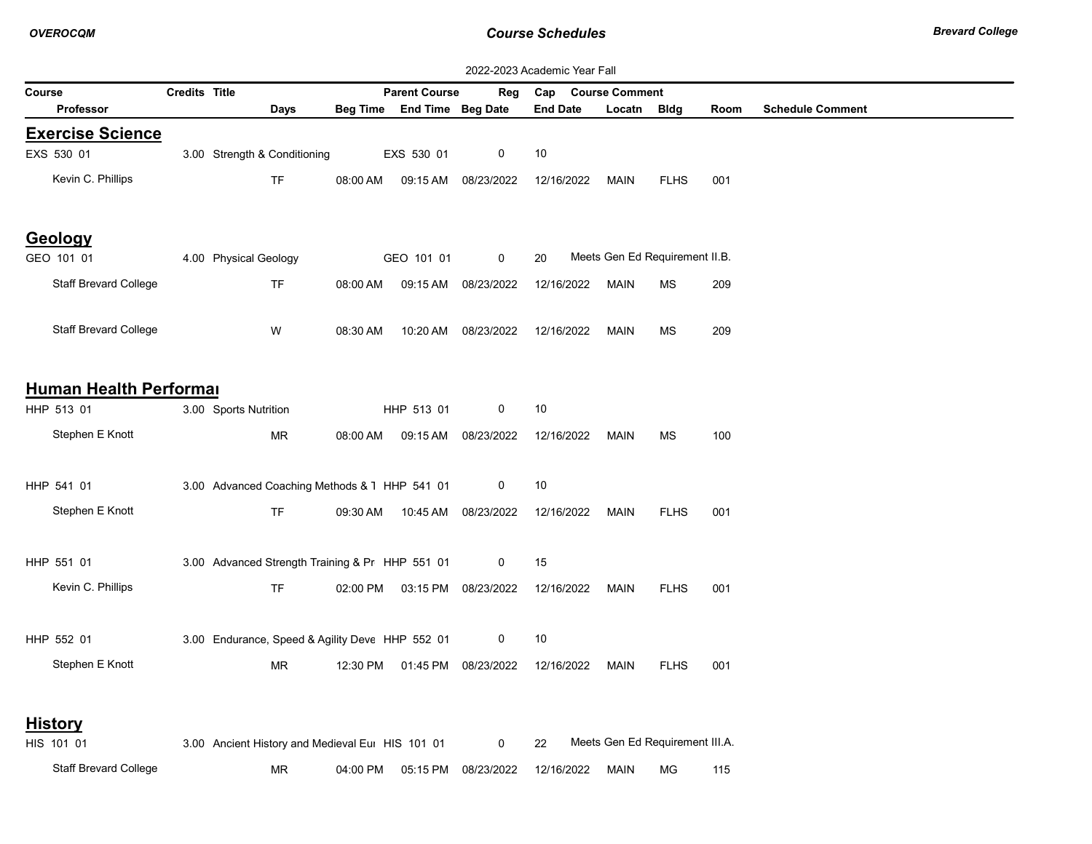|                              |                      |                                                  |          |                            |                                | 2022-2023 Academic Year Fall |                       |                                 |      |                         |
|------------------------------|----------------------|--------------------------------------------------|----------|----------------------------|--------------------------------|------------------------------|-----------------------|---------------------------------|------|-------------------------|
| Course                       | <b>Credits Title</b> |                                                  |          | <b>Parent Course</b>       | Reg                            | Cap                          | <b>Course Comment</b> |                                 |      |                         |
| Professor                    |                      | <b>Days</b>                                      |          | Beg Time End Time Beg Date |                                | <b>End Date</b>              | Locatn                | Bldg                            | Room | <b>Schedule Comment</b> |
| <b>Exercise Science</b>      |                      |                                                  |          |                            |                                |                              |                       |                                 |      |                         |
| EXS 530 01                   |                      | 3.00 Strength & Conditioning                     |          | EXS 530 01                 | 0                              | $10$                         |                       |                                 |      |                         |
| Kevin C. Phillips            |                      | TF                                               | 08:00 AM | 09:15 AM                   | 08/23/2022                     | 12/16/2022                   | <b>MAIN</b>           | <b>FLHS</b>                     | 001  |                         |
| Geology                      |                      |                                                  |          |                            |                                |                              |                       |                                 |      |                         |
| GEO 101 01                   |                      | 4.00 Physical Geology                            |          | GEO 101 01                 | 0                              | 20                           |                       | Meets Gen Ed Requirement II.B.  |      |                         |
| Staff Brevard College        |                      | <b>TF</b>                                        | 08:00 AM | 09:15 AM                   | 08/23/2022                     | 12/16/2022                   | <b>MAIN</b>           | <b>MS</b>                       | 209  |                         |
| Staff Brevard College        |                      | W                                                | 08:30 AM | 10:20 AM                   | 08/23/2022                     | 12/16/2022                   | <b>MAIN</b>           | MS                              | 209  |                         |
| Human Health Performal       |                      |                                                  |          |                            |                                |                              |                       |                                 |      |                         |
| HHP 513 01                   |                      | 3.00 Sports Nutrition                            |          | HHP 513 01                 | 0                              | 10                           |                       |                                 |      |                         |
| Stephen E Knott              |                      | MR                                               | 08:00 AM | 09:15 AM                   | 08/23/2022                     | 12/16/2022                   | MAIN                  | МS                              | 100  |                         |
| HHP 541 01                   |                      | 3.00 Advanced Coaching Methods & 1 HHP 541 01    |          |                            | 0                              | 10                           |                       |                                 |      |                         |
| Stephen E Knott              |                      | <b>TF</b>                                        | 09:30 AM |                            | 10:45 AM 08/23/2022            | 12/16/2022                   | <b>MAIN</b>           | <b>FLHS</b>                     | 001  |                         |
| HHP 551 01                   |                      | 3.00 Advanced Strength Training & Pr HHP 551 01  |          |                            | 0                              | 15                           |                       |                                 |      |                         |
| Kevin C. Phillips            |                      | <b>TF</b>                                        |          |                            | 02:00 PM  03:15 PM  08/23/2022 | 12/16/2022                   | MAIN                  | <b>FLHS</b>                     | 001  |                         |
| HHP 552 01                   |                      | 3.00 Endurance, Speed & Agility Deve HHP 552 01  |          |                            | 0                              | 10                           |                       |                                 |      |                         |
| Stephen E Knott              |                      | MR.                                              | 12:30 PM |                            | 01:45 PM 08/23/2022            | 12/16/2022                   | MAIN                  | <b>FLHS</b>                     | 001  |                         |
| <b>History</b>               |                      |                                                  |          |                            |                                |                              |                       |                                 |      |                         |
| HIS 101 01                   |                      | 3.00 Ancient History and Medieval Eur HIS 101 01 |          |                            | 0                              | 22                           |                       | Meets Gen Ed Requirement III.A. |      |                         |
| <b>Staff Brevard College</b> |                      | MR                                               | 04:00 PM | 05:15 PM                   | 08/23/2022                     | 12/16/2022                   | <b>MAIN</b>           | МG                              | 115  |                         |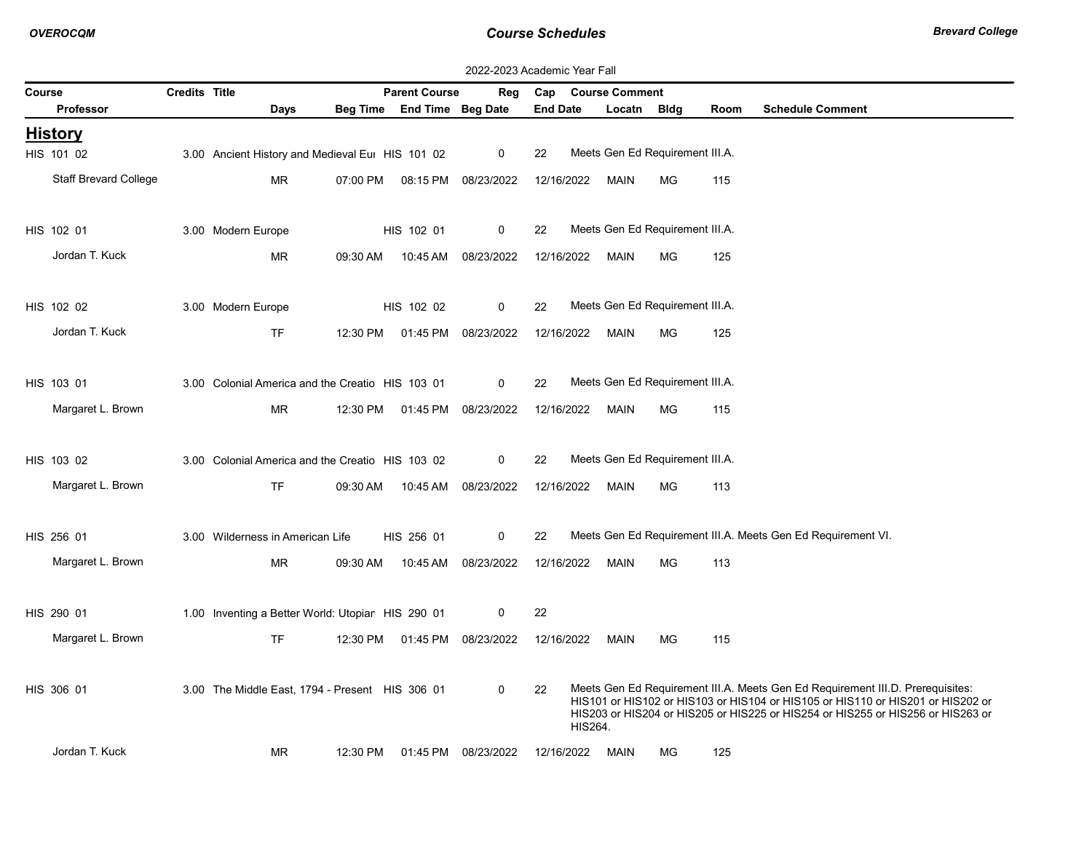|        | 2022-2023 Academic Year Fall |                      |                                                   |          |                          |                     |                 |                                 |           |      |                                                                                                                                                                                                                                                      |
|--------|------------------------------|----------------------|---------------------------------------------------|----------|--------------------------|---------------------|-----------------|---------------------------------|-----------|------|------------------------------------------------------------------------------------------------------------------------------------------------------------------------------------------------------------------------------------------------------|
| Course |                              | <b>Credits Title</b> |                                                   |          | <b>Parent Course</b>     | Reg                 |                 | Cap Course Comment              |           |      |                                                                                                                                                                                                                                                      |
|        | <b>Professor</b>             |                      | Days                                              | Beg Time | <b>End Time Beg Date</b> |                     | <b>End Date</b> | Locatn                          | Bldg      | Room | <b>Schedule Comment</b>                                                                                                                                                                                                                              |
|        | <u>History</u>               |                      |                                                   |          |                          |                     |                 |                                 |           |      |                                                                                                                                                                                                                                                      |
|        | HIS 101 02                   |                      | 3.00 Ancient History and Medieval Eur HIS 101 02  |          |                          | 0                   | 22              | Meets Gen Ed Requirement III.A. |           |      |                                                                                                                                                                                                                                                      |
|        | <b>Staff Brevard College</b> |                      | <b>MR</b>                                         | 07:00 PM |                          | 08:15 PM 08/23/2022 | 12/16/2022      | MAIN                            | <b>MG</b> | 115  |                                                                                                                                                                                                                                                      |
|        | HIS 102 01                   |                      | 3.00 Modern Europe                                |          | HIS 102 01               | 0                   | 22              | Meets Gen Ed Requirement III.A. |           |      |                                                                                                                                                                                                                                                      |
|        | Jordan T. Kuck               |                      |                                                   |          |                          |                     |                 |                                 |           |      |                                                                                                                                                                                                                                                      |
|        |                              |                      | <b>MR</b>                                         | 09:30 AM |                          | 10:45 AM 08/23/2022 | 12/16/2022      | MAIN                            | ΜG        | 125  |                                                                                                                                                                                                                                                      |
|        | HIS 102 02                   |                      | 3.00 Modern Europe                                |          | HIS 102 02               | 0                   | 22              | Meets Gen Ed Requirement III.A. |           |      |                                                                                                                                                                                                                                                      |
|        | Jordan T. Kuck               |                      | <b>TF</b>                                         | 12:30 PM |                          | 01:45 PM 08/23/2022 | 12/16/2022      | MAIN                            | MG        |      |                                                                                                                                                                                                                                                      |
|        |                              |                      |                                                   |          |                          |                     |                 |                                 |           | 125  |                                                                                                                                                                                                                                                      |
|        | HIS 103 01                   |                      | 3.00 Colonial America and the Creatio HIS 103 01  |          |                          | 0                   | 22              | Meets Gen Ed Requirement III.A. |           |      |                                                                                                                                                                                                                                                      |
|        | Margaret L. Brown            |                      | <b>MR</b>                                         | 12:30 PM |                          | 01:45 PM 08/23/2022 | 12/16/2022      | MAIN                            | MG.       | 115  |                                                                                                                                                                                                                                                      |
|        |                              |                      |                                                   |          |                          |                     |                 |                                 |           |      |                                                                                                                                                                                                                                                      |
|        | HIS 103 02                   |                      | 3.00 Colonial America and the Creatio HIS 103 02  |          |                          | 0                   | 22              | Meets Gen Ed Requirement III.A. |           |      |                                                                                                                                                                                                                                                      |
|        | Margaret L. Brown            |                      | <b>TF</b>                                         | 09:30 AM |                          | 10:45 AM 08/23/2022 | 12/16/2022      | <b>MAIN</b>                     | MG.       |      |                                                                                                                                                                                                                                                      |
|        |                              |                      |                                                   |          |                          |                     |                 |                                 |           | 113  |                                                                                                                                                                                                                                                      |
|        | HIS 256 01                   |                      | 3.00 Wilderness in American Life                  |          | HIS 256 01               | $\mathbf 0$         | 22              |                                 |           |      | Meets Gen Ed Requirement III.A. Meets Gen Ed Requirement VI.                                                                                                                                                                                         |
|        | Margaret L. Brown            |                      | MR.                                               | 09:30 AM | 10:45 AM                 | 08/23/2022          | 12/16/2022      | MAIN                            | MG        | 113  |                                                                                                                                                                                                                                                      |
|        |                              |                      |                                                   |          |                          |                     |                 |                                 |           |      |                                                                                                                                                                                                                                                      |
|        | HIS 290 01                   |                      | 1.00 Inventing a Better World: Utopiar HIS 290 01 |          |                          | 0                   | 22              |                                 |           |      |                                                                                                                                                                                                                                                      |
|        | Margaret L. Brown            |                      | TF                                                | 12:30 PM | 01:45 PM                 | 08/23/2022          | 12/16/2022      | MAIN                            | МG        | 115  |                                                                                                                                                                                                                                                      |
|        |                              |                      |                                                   |          |                          |                     |                 |                                 |           |      |                                                                                                                                                                                                                                                      |
|        | HIS 306 01                   |                      | 3.00 The Middle East, 1794 - Present HIS 306 01   |          |                          | 0                   | 22              | HIS264.                         |           |      | Meets Gen Ed Requirement III.A. Meets Gen Ed Requirement III.D. Prerequisites:<br>HIS101 or HIS102 or HIS103 or HIS104 or HIS105 or HIS110 or HIS201 or HIS202 or<br>HIS203 or HIS204 or HIS205 or HIS225 or HIS254 or HIS255 or HIS256 or HIS263 or |
|        | Jordan T. Kuck               |                      | MR                                                | 12:30 PM | 01:45 PM                 | 08/23/2022          | 12/16/2022      | MAIN                            | MG        | 125  |                                                                                                                                                                                                                                                      |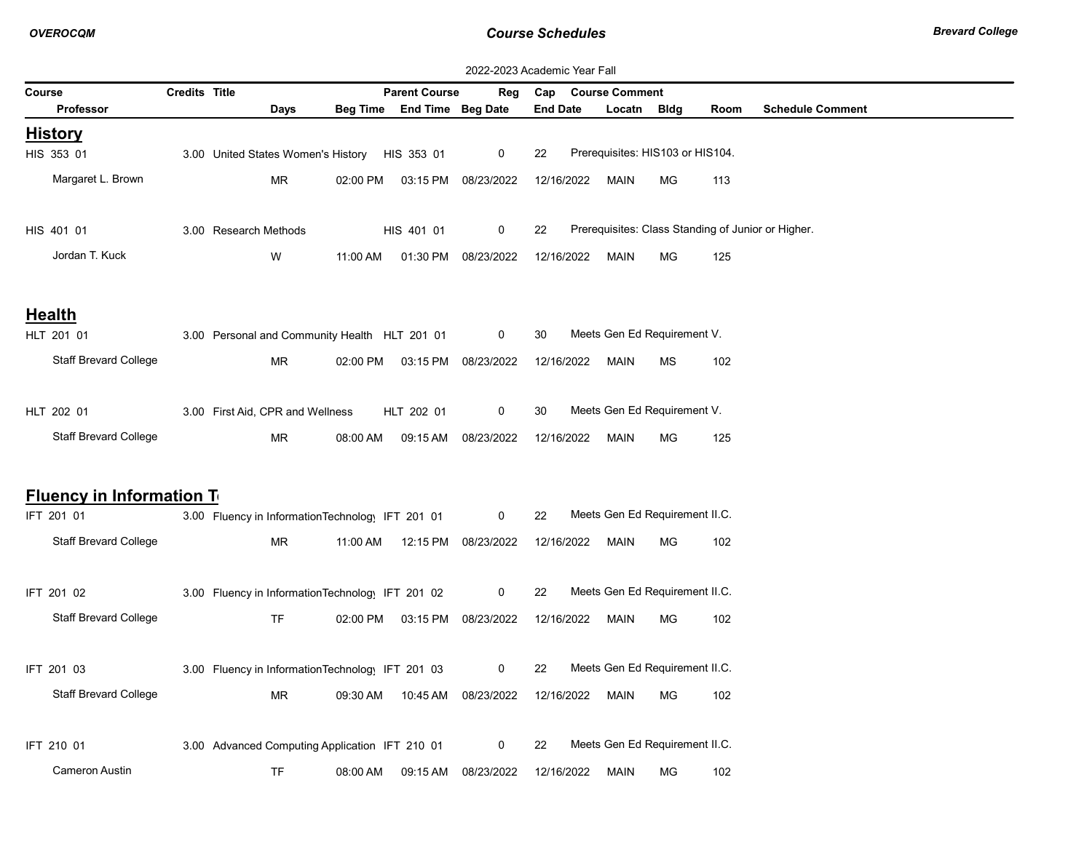|                                  | 2022-2023 Academic Year Fall |                                                  |          |                                |                     |                 |                                                    |    |      |                         |  |
|----------------------------------|------------------------------|--------------------------------------------------|----------|--------------------------------|---------------------|-----------------|----------------------------------------------------|----|------|-------------------------|--|
| Course                           | <b>Credits Title</b>         |                                                  |          | <b>Parent Course</b>           | Reg                 | Cap             | <b>Course Comment</b>                              |    |      |                         |  |
| <b>Professor</b>                 |                              | Days                                             |          | Beg Time End Time Beg Date     |                     | <b>End Date</b> | Locatn Bldg                                        |    | Room | <b>Schedule Comment</b> |  |
| <u>History</u>                   |                              |                                                  |          |                                |                     |                 |                                                    |    |      |                         |  |
| HIS 353 01                       |                              | 3.00 United States Women's History HIS 353 01    |          |                                | $\mathbf 0$         | 22              | Prerequisites: HIS103 or HIS104.                   |    |      |                         |  |
| Margaret L. Brown                |                              | <b>MR</b>                                        |          | 02:00 PM  03:15 PM  08/23/2022 |                     | 12/16/2022      | MAIN                                               | МG | 113  |                         |  |
| HIS 401 01                       |                              | 3.00 Research Methods                            |          | HIS 401 01                     | $\mathbf 0$         | 22              | Prerequisites: Class Standing of Junior or Higher. |    |      |                         |  |
| Jordan T. Kuck                   |                              | W                                                | 11:00 AM |                                | 01:30 PM 08/23/2022 | 12/16/2022      | MAIN                                               | МG | 125  |                         |  |
| <b>Health</b>                    |                              |                                                  |          |                                |                     |                 |                                                    |    |      |                         |  |
| HLT 201 01                       |                              | 3.00 Personal and Community Health HLT 201 01    |          |                                | 0                   | 30              | Meets Gen Ed Requirement V.                        |    |      |                         |  |
| Staff Brevard College            |                              | <b>MR</b>                                        | 02:00 PM |                                | 03:15 PM 08/23/2022 | 12/16/2022      | MAIN                                               | МS | 102  |                         |  |
| HLT 202 01                       |                              | 3.00 First Aid, CPR and Wellness                 |          | HLT 202 01                     | $\mathbf 0$         | 30              | Meets Gen Ed Requirement V.                        |    |      |                         |  |
| <b>Staff Brevard College</b>     |                              | <b>MR</b>                                        | 08:00 AM | 09:15 AM                       | 08/23/2022          | 12/16/2022      | MAIN                                               | МG | 125  |                         |  |
| <b>Fluency in Information To</b> |                              |                                                  |          |                                |                     |                 |                                                    |    |      |                         |  |
| IFT 201 01                       |                              | 3.00 Fluency in InformationTechnology IFT 201 01 |          |                                | 0                   | 22              | Meets Gen Ed Requirement II.C.                     |    |      |                         |  |
| <b>Staff Brevard College</b>     |                              | MR.                                              | 11:00 AM | 12:15 PM                       | 08/23/2022          | 12/16/2022      | MAIN                                               | МG | 102  |                         |  |
| IFT 201 02                       |                              | 3.00 Fluency in InformationTechnology IFT 201 02 |          |                                | 0                   | 22              | Meets Gen Ed Requirement II.C.                     |    |      |                         |  |
| Staff Brevard College            |                              | TF.                                              |          | 02:00 PM 03:15 PM              | 08/23/2022          | 12/16/2022      | MAIN                                               | МG | 102  |                         |  |
| IFT 201 03                       |                              | 3.00 Fluency in InformationTechnology IFT 201 03 |          |                                | 0                   | 22              | Meets Gen Ed Requirement II.C.                     |    |      |                         |  |
| <b>Staff Brevard College</b>     |                              | <b>MR</b>                                        | 09:30 AM | 10:45 AM                       | 08/23/2022          | 12/16/2022      | MAIN                                               | МG | 102  |                         |  |
| IFT 210 01                       |                              | 3.00 Advanced Computing Application IFT 210 01   |          |                                | 0                   | 22              | Meets Gen Ed Requirement II.C.                     |    |      |                         |  |
| <b>Cameron Austin</b>            |                              | <b>TF</b>                                        | 08:00 AM | 09:15 AM                       | 08/23/2022          | 12/16/2022      | <b>MAIN</b>                                        | МG | 102  |                         |  |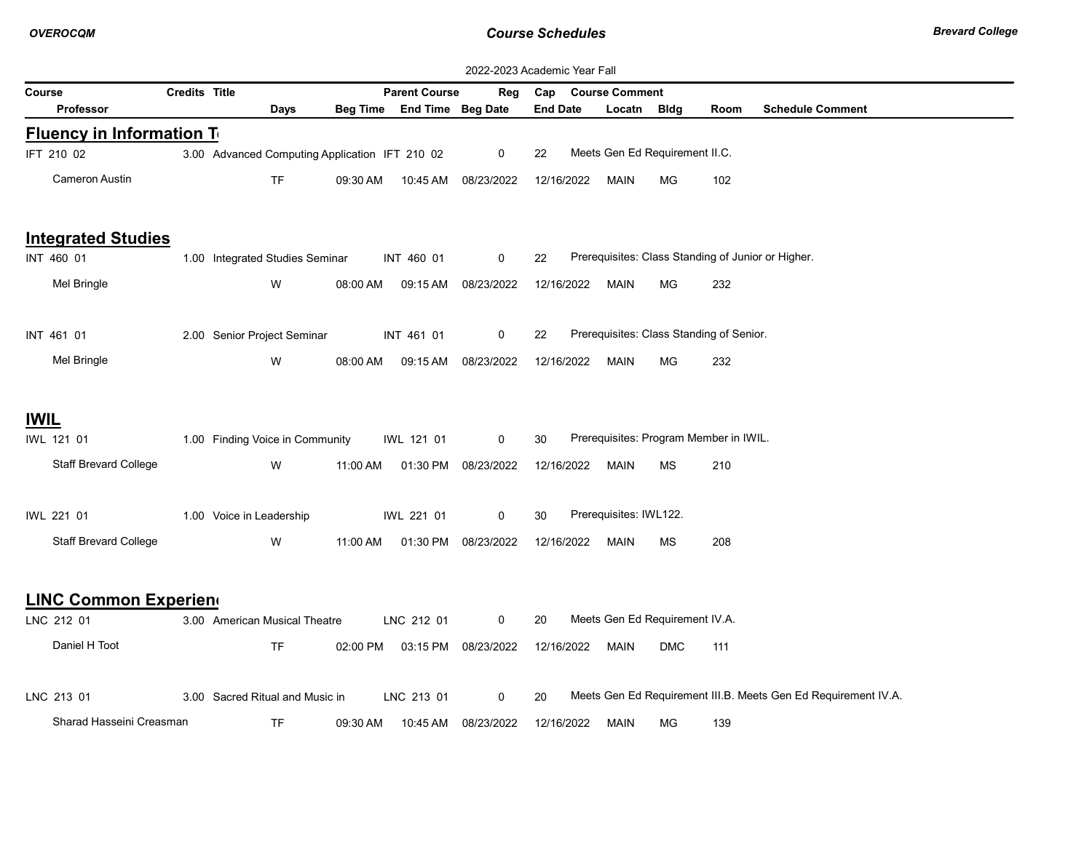| 2022-2023 Academic Year Fall    |                      |                                                |          |                            |                     |                 |  |                        |                                          |      |                                                                |
|---------------------------------|----------------------|------------------------------------------------|----------|----------------------------|---------------------|-----------------|--|------------------------|------------------------------------------|------|----------------------------------------------------------------|
| Course                          | <b>Credits Title</b> |                                                |          | <b>Parent Course</b>       | Reg                 | Cap             |  | <b>Course Comment</b>  |                                          |      |                                                                |
| <b>Professor</b>                |                      | Days                                           |          | Beg Time End Time Beg Date |                     | <b>End Date</b> |  | Locatn Bldg            |                                          | Room | <b>Schedule Comment</b>                                        |
| <b>Fluency in Information T</b> |                      |                                                |          |                            |                     |                 |  |                        |                                          |      |                                                                |
| IFT 210 02                      |                      | 3.00 Advanced Computing Application IFT 210 02 |          |                            | $\mathbf 0$         | 22              |  |                        | Meets Gen Ed Requirement II.C.           |      |                                                                |
| Cameron Austin                  |                      | <b>TF</b>                                      | 09:30 AM |                            | 10:45 AM 08/23/2022 | 12/16/2022      |  | MAIN                   | MG                                       | 102  |                                                                |
| <b>Integrated Studies</b>       |                      |                                                |          |                            |                     |                 |  |                        |                                          |      |                                                                |
| INT 460 01                      |                      | 1.00 Integrated Studies Seminar                |          | INT 460 01                 | 0                   | 22              |  |                        |                                          |      | Prerequisites: Class Standing of Junior or Higher.             |
| Mel Bringle                     |                      | W                                              | 08:00 AM | 09:15 AM                   | 08/23/2022          | 12/16/2022      |  | <b>MAIN</b>            | MG                                       | 232  |                                                                |
| INT 461 01                      |                      | 2.00 Senior Project Seminar                    |          | INT 461 01                 | 0                   | 22              |  |                        | Prerequisites: Class Standing of Senior. |      |                                                                |
| Mel Bringle                     |                      | W                                              | 08:00 AM | 09:15 AM                   | 08/23/2022          | 12/16/2022      |  | MAIN                   | МG                                       | 232  |                                                                |
| <b>IWIL</b>                     |                      |                                                |          |                            |                     |                 |  |                        |                                          |      |                                                                |
| IWL 121 01                      |                      | 1.00 Finding Voice in Community                |          | IWL 121 01                 | 0                   | 30              |  |                        | Prerequisites: Program Member in IWIL.   |      |                                                                |
| <b>Staff Brevard College</b>    |                      | W                                              | 11:00 AM |                            | 01:30 PM 08/23/2022 | 12/16/2022      |  | MAIN                   | ΜS                                       | 210  |                                                                |
| IWL 221 01                      |                      | 1.00 Voice in Leadership                       |          | IWL 221 01                 | 0                   | 30              |  | Prerequisites: IWL122. |                                          |      |                                                                |
| <b>Staff Brevard College</b>    |                      | W                                              | 11:00 AM |                            | 01:30 PM 08/23/2022 | 12/16/2022      |  | MAIN                   | ΜS                                       | 208  |                                                                |
| <b>LINC Common Experien</b>     |                      |                                                |          |                            |                     |                 |  |                        |                                          |      |                                                                |
| LNC 212 01                      |                      | 3.00 American Musical Theatre                  |          | LNC 212 01                 | 0                   | 20              |  |                        | Meets Gen Ed Requirement IV.A.           |      |                                                                |
| Daniel H Toot                   |                      | <b>TF</b>                                      | 02:00 PM |                            | 03:15 PM 08/23/2022 | 12/16/2022      |  | <b>MAIN</b>            | <b>DMC</b>                               | 111  |                                                                |
| LNC 213 01                      |                      | 3.00 Sacred Ritual and Music in                |          | LNC 213 01                 | 0                   | 20              |  |                        |                                          |      | Meets Gen Ed Requirement III.B. Meets Gen Ed Requirement IV.A. |
| Sharad Hasseini Creasman        |                      | <b>TF</b>                                      | 09:30 AM | 10:45 AM                   | 08/23/2022          | 12/16/2022      |  | MAIN                   | МG                                       | 139  |                                                                |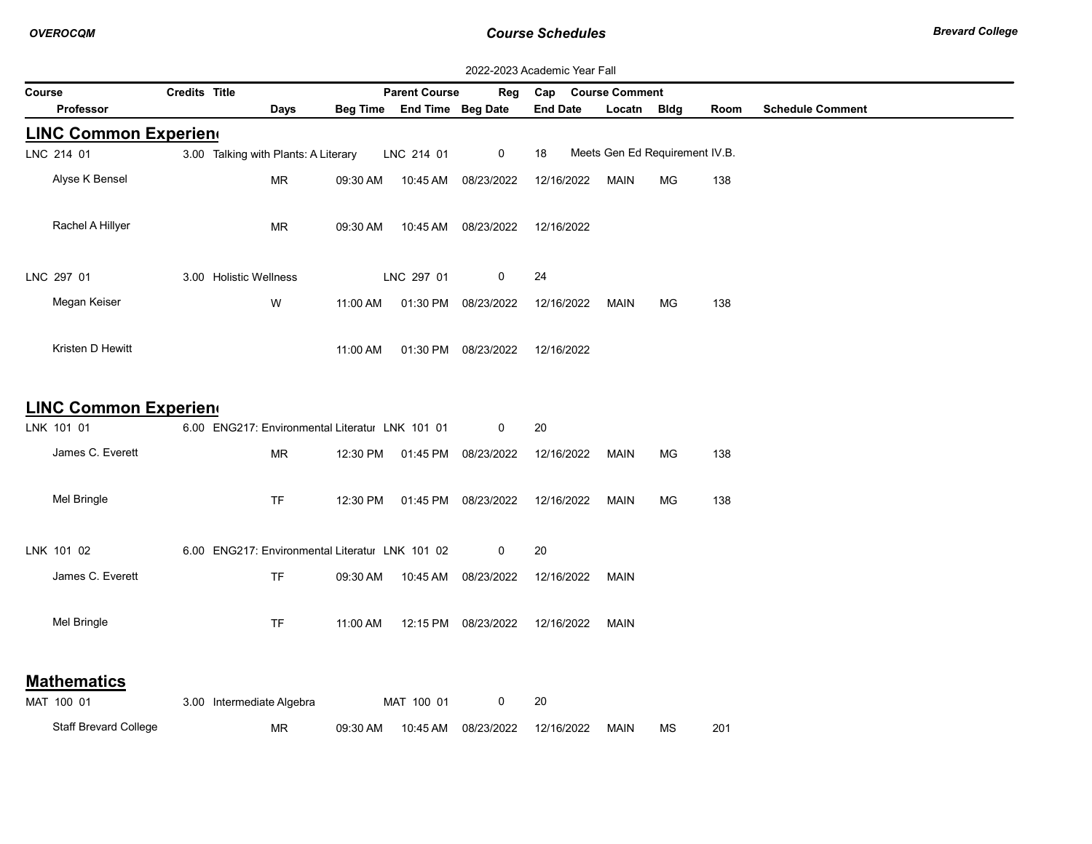| 2022-2023 Academic Year Fall |                      |                                                 |          |                            |                     |                 |                       |                                |      |                         |
|------------------------------|----------------------|-------------------------------------------------|----------|----------------------------|---------------------|-----------------|-----------------------|--------------------------------|------|-------------------------|
| Course                       | <b>Credits Title</b> |                                                 |          | <b>Parent Course</b>       | Reg                 | Cap             | <b>Course Comment</b> |                                |      |                         |
| Professor                    |                      | Days                                            |          | Beg Time End Time Beg Date |                     | <b>End Date</b> | Locatn                | Bldg                           | Room | <b>Schedule Comment</b> |
| <b>LINC Common Experien</b>  |                      |                                                 |          |                            |                     |                 |                       |                                |      |                         |
| LNC 214 01                   |                      | 3.00 Talking with Plants: A Literary            |          | LNC 214 01                 | 0                   | 18              |                       | Meets Gen Ed Requirement IV.B. |      |                         |
| Alyse K Bensel               |                      | MR                                              | 09:30 AM | 10:45 AM                   | 08/23/2022          | 12/16/2022      | MAIN                  | MG                             | 138  |                         |
| Rachel A Hillyer             |                      | <b>MR</b>                                       | 09:30 AM | 10:45 AM                   | 08/23/2022          | 12/16/2022      |                       |                                |      |                         |
| LNC 297 01                   |                      | 3.00 Holistic Wellness                          |          | LNC 297 01                 | 0                   | 24              |                       |                                |      |                         |
| Megan Keiser                 |                      | W                                               | 11:00 AM | 01:30 PM                   | 08/23/2022          | 12/16/2022      | MAIN                  | МG                             | 138  |                         |
| Kristen D Hewitt             |                      |                                                 | 11:00 AM |                            | 01:30 PM 08/23/2022 | 12/16/2022      |                       |                                |      |                         |
| <b>LINC Common Experien</b>  |                      |                                                 |          |                            |                     |                 |                       |                                |      |                         |
| LNK 101 01                   |                      | 6.00 ENG217: Environmental Literatur LNK 101 01 |          |                            | 0                   | 20              |                       |                                |      |                         |
| James C. Everett             |                      | <b>MR</b>                                       | 12:30 PM |                            | 01:45 PM 08/23/2022 | 12/16/2022      | MAIN                  | МG                             | 138  |                         |
| Mel Bringle                  |                      | <b>TF</b>                                       | 12:30 PM | 01:45 PM                   | 08/23/2022          | 12/16/2022      | MAIN                  | МG                             | 138  |                         |
| LNK 101 02                   |                      | 6.00 ENG217: Environmental Literatul LNK 101 02 |          |                            | 0                   | 20              |                       |                                |      |                         |
| James C. Everett             |                      | TF                                              | 09:30 AM |                            | 10:45 AM 08/23/2022 | 12/16/2022      | <b>MAIN</b>           |                                |      |                         |
| Mel Bringle                  |                      | <b>TF</b>                                       | 11:00 AM |                            | 12:15 PM 08/23/2022 | 12/16/2022      | MAIN                  |                                |      |                         |
| <b>Mathematics</b>           |                      |                                                 |          |                            |                     |                 |                       |                                |      |                         |
| MAT 100 01                   |                      | 3.00 Intermediate Algebra                       |          | MAT 100 01                 | 0                   | 20              |                       |                                |      |                         |
| <b>Staff Brevard College</b> |                      | MR                                              | 09:30 AM | 10:45 AM                   | 08/23/2022          | 12/16/2022      | <b>MAIN</b>           | ΜS                             | 201  |                         |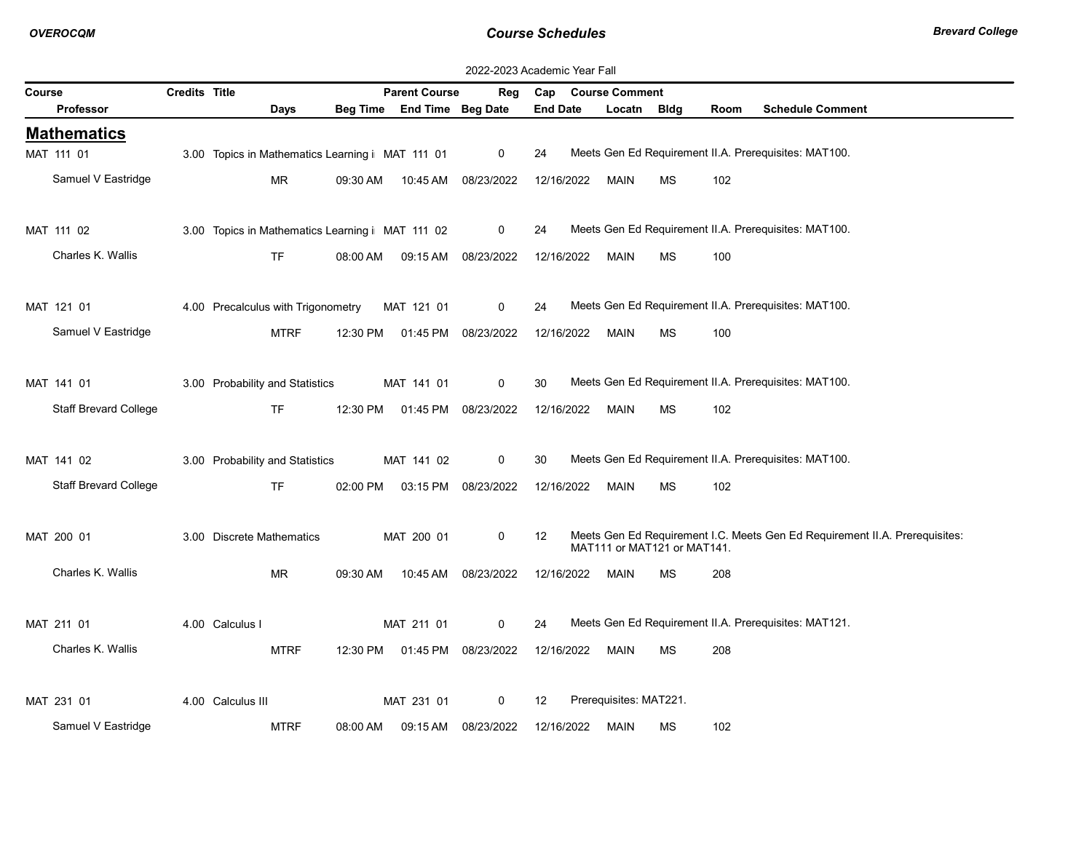|        | 2022-2023 Academic Year Fall |                      |                                                  |          |                            |                     |                 |  |                        |                             |      |                                                                             |
|--------|------------------------------|----------------------|--------------------------------------------------|----------|----------------------------|---------------------|-----------------|--|------------------------|-----------------------------|------|-----------------------------------------------------------------------------|
| Course |                              | <b>Credits Title</b> |                                                  |          | <b>Parent Course</b>       | Reg                 | Cap             |  | <b>Course Comment</b>  |                             |      |                                                                             |
|        | <b>Professor</b>             |                      | Days                                             |          | Beg Time End Time Beg Date |                     | <b>End Date</b> |  | Locatn                 | <b>Bldg</b>                 | Room | <b>Schedule Comment</b>                                                     |
|        | <b>Mathematics</b>           |                      |                                                  |          |                            |                     |                 |  |                        |                             |      |                                                                             |
|        | MAT 111 01                   |                      | 3.00 Topics in Mathematics Learning i MAT 111 01 |          |                            | $\mathbf 0$         | 24              |  |                        |                             |      | Meets Gen Ed Requirement II.A. Prerequisites: MAT100.                       |
|        | Samuel V Eastridge           |                      | <b>MR</b>                                        | 09:30 AM | 10:45 AM                   | 08/23/2022          | 12/16/2022      |  | <b>MAIN</b>            | <b>MS</b>                   | 102  |                                                                             |
|        |                              |                      |                                                  |          |                            |                     |                 |  |                        |                             |      |                                                                             |
|        | MAT 111 02                   |                      | 3.00 Topics in Mathematics Learning i MAT 111 02 |          |                            | $\mathbf 0$         | 24              |  |                        |                             |      | Meets Gen Ed Requirement II.A. Prerequisites: MAT100.                       |
|        | Charles K. Wallis            |                      | <b>TF</b>                                        | 08:00 AM | 09:15 AM                   | 08/23/2022          | 12/16/2022      |  | <b>MAIN</b>            | MS                          | 100  |                                                                             |
|        |                              |                      |                                                  |          |                            |                     |                 |  |                        |                             |      |                                                                             |
|        | MAT 121 01                   |                      | 4.00 Precalculus with Trigonometry               |          | MAT 121 01                 | 0                   | 24              |  |                        |                             |      | Meets Gen Ed Requirement II.A. Prerequisites: MAT100.                       |
|        |                              |                      |                                                  |          |                            |                     |                 |  |                        |                             |      |                                                                             |
|        | Samuel V Eastridge           |                      | <b>MTRF</b>                                      | 12:30 PM | 01:45 PM                   | 08/23/2022          | 12/16/2022      |  | <b>MAIN</b>            | MS                          | 100  |                                                                             |
|        |                              |                      |                                                  |          |                            |                     |                 |  |                        |                             |      |                                                                             |
|        | MAT 141 01                   |                      | 3.00 Probability and Statistics                  |          | MAT 141 01                 | $\mathbf 0$         | 30              |  |                        |                             |      | Meets Gen Ed Requirement II.A. Prerequisites: MAT100.                       |
|        | <b>Staff Brevard College</b> |                      | <b>TF</b>                                        | 12:30 PM | 01:45 PM                   | 08/23/2022          | 12/16/2022      |  | <b>MAIN</b>            | <b>MS</b>                   | 102  |                                                                             |
|        |                              |                      |                                                  |          |                            |                     |                 |  |                        |                             |      |                                                                             |
|        | MAT 141 02                   |                      | 3.00 Probability and Statistics                  |          | MAT 141 02                 | $\mathbf 0$         | 30              |  |                        |                             |      | Meets Gen Ed Requirement II.A. Prerequisites: MAT100.                       |
|        | <b>Staff Brevard College</b> |                      | <b>TF</b>                                        | 02:00 PM |                            | 03:15 PM 08/23/2022 | 12/16/2022      |  | <b>MAIN</b>            | <b>MS</b>                   | 102  |                                                                             |
|        |                              |                      |                                                  |          |                            |                     |                 |  |                        |                             |      |                                                                             |
|        | MAT 200 01                   |                      | 3.00 Discrete Mathematics                        |          | MAT 200 01                 | $\mathbf 0$         | 12              |  |                        |                             |      | Meets Gen Ed Requirement I.C. Meets Gen Ed Requirement II.A. Prerequisites: |
|        |                              |                      |                                                  |          |                            |                     |                 |  |                        | MAT111 or MAT121 or MAT141. |      |                                                                             |
|        | Charles K. Wallis            |                      | <b>MR</b>                                        | 09:30 AM |                            | 10:45 AM 08/23/2022 | 12/16/2022      |  | MAIN                   | МS                          | 208  |                                                                             |
|        |                              |                      |                                                  |          |                            |                     |                 |  |                        |                             |      |                                                                             |
|        | MAT 211 01                   |                      | 4.00 Calculus I                                  |          | MAT 211 01                 | $\mathbf 0$         | 24              |  |                        |                             |      | Meets Gen Ed Requirement II.A. Prerequisites: MAT121.                       |
|        | Charles K. Wallis            |                      | <b>MTRF</b>                                      | 12:30 PM |                            | 01:45 PM 08/23/2022 | 12/16/2022      |  | <b>MAIN</b>            | MS                          | 208  |                                                                             |
|        |                              |                      |                                                  |          |                            |                     |                 |  |                        |                             |      |                                                                             |
|        | MAT 231 01                   |                      | 4.00 Calculus III                                |          | MAT 231 01                 | 0                   | 12              |  | Prerequisites: MAT221. |                             |      |                                                                             |
|        | Samuel V Eastridge           |                      | <b>MTRF</b>                                      | 08:00 AM | 09:15 AM                   | 08/23/2022          | 12/16/2022      |  | <b>MAIN</b>            | ΜS                          | 102  |                                                                             |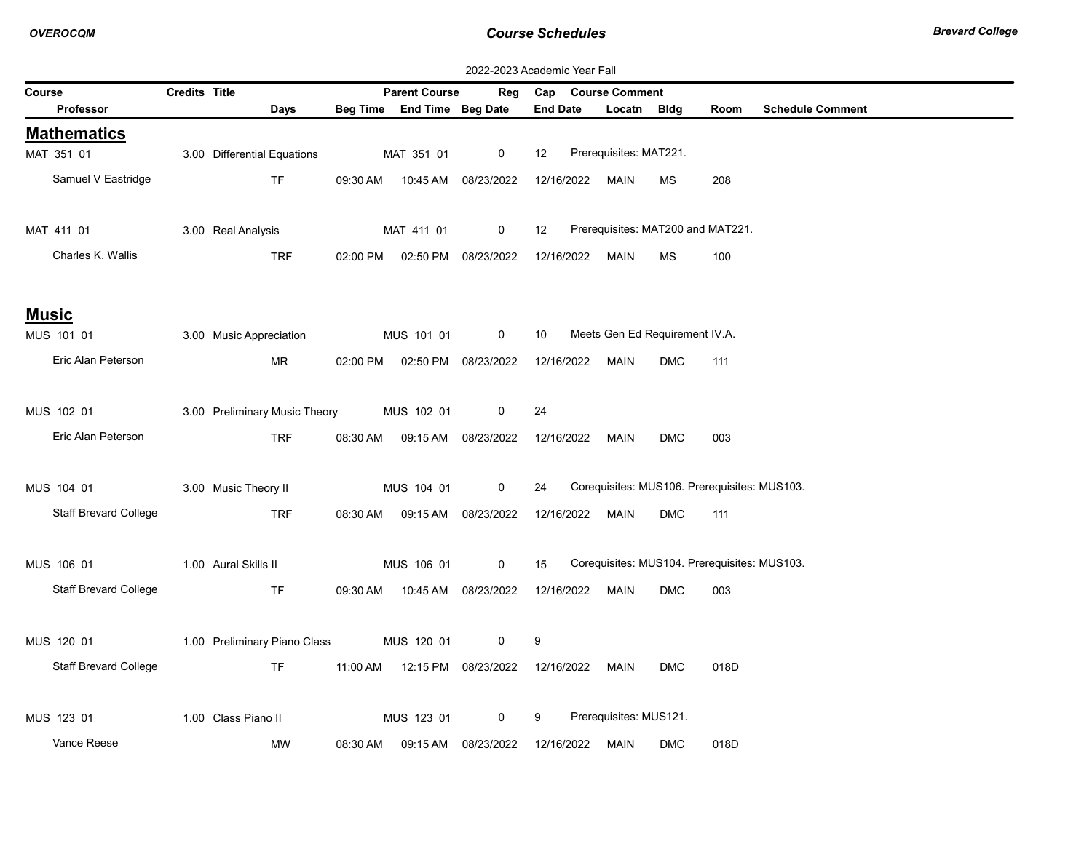| 2022-2023 Academic Year Fall |               |                               |          |                                  |                     |                   |                                              |            |      |                         |
|------------------------------|---------------|-------------------------------|----------|----------------------------------|---------------------|-------------------|----------------------------------------------|------------|------|-------------------------|
| Course                       | Credits Title |                               |          | <b>Parent Course</b>             | Reg                 |                   | Cap Course Comment                           |            |      |                         |
| Professor                    |               | Days                          |          | Beg Time End Time Beg Date       |                     | <b>End Date</b>   | Locatn Bldg                                  |            | Room | <b>Schedule Comment</b> |
| <b>Mathematics</b>           |               |                               |          |                                  |                     |                   |                                              |            |      |                         |
| MAT 351 01                   |               | 3.00 Differential Equations   |          | MAT 351 01                       | $\mathbf 0$         | $12 \overline{ }$ | Prerequisites: MAT221.                       |            |      |                         |
| Samuel V Eastridge           |               | TF.                           |          | 09:30 AM  10:45 AM  08/23/2022   |                     | 12/16/2022        | MAIN                                         | МS         | 208  |                         |
| MAT 411 01                   |               | 3.00 Real Analysis            |          | MAT 411 01                       | $\mathbf 0$         | $12 \overline{ }$ | Prerequisites: MAT200 and MAT221.            |            |      |                         |
| Charles K. Wallis            |               | TRF                           |          | 02:00 PM   02:50 PM   08/23/2022 |                     |                   | 12/16/2022 MAIN                              | MS         | 100  |                         |
| <b>Music</b>                 |               |                               |          |                                  |                     |                   |                                              |            |      |                         |
| MUS 101 01                   |               | 3.00 Music Appreciation       |          | MUS 101 01                       | $\mathbf 0$         | 10                | Meets Gen Ed Requirement IV.A.               |            |      |                         |
| Eric Alan Peterson           |               | MR                            |          | 02:00 PM  02:50 PM  08/23/2022   |                     |                   | 12/16/2022 MAIN                              | <b>DMC</b> | 111  |                         |
| MUS 102 01                   |               | 3.00 Preliminary Music Theory |          | MUS 102 01                       | 0                   | 24                |                                              |            |      |                         |
| Eric Alan Peterson           |               | TRF                           |          | 08:30 AM  09:15 AM  08/23/2022   |                     | 12/16/2022        | Main                                         | <b>DMC</b> | 003  |                         |
|                              |               |                               |          |                                  |                     |                   |                                              |            |      |                         |
| MUS 104 01                   |               | 3.00 Music Theory II          |          | MUS 104 01                       | 0                   | 24                | Corequisites: MUS106. Prerequisites: MUS103. |            |      |                         |
| <b>Staff Brevard College</b> |               | <b>TRF</b>                    |          | 08:30 AM  09:15 AM  08/23/2022   |                     | 12/16/2022        | MAIN                                         | <b>DMC</b> | 111  |                         |
| MUS 106 01                   |               | 1.00 Aural Skills II          |          | MUS 106 01                       | $\mathbf 0$         | 15                | Corequisites: MUS104. Prerequisites: MUS103. |            |      |                         |
| <b>Staff Brevard College</b> |               | <b>TF</b>                     |          | 09:30 AM  10:45 AM  08/23/2022   |                     |                   | 12/16/2022 MAIN                              | <b>DMC</b> | 003  |                         |
| MUS 120 01                   |               | 1.00 Preliminary Piano Class  |          | MUS 120 01                       | 0                   | 9                 |                                              |            |      |                         |
| <b>Staff Brevard College</b> |               | TF.                           | 11:00 AM |                                  | 12:15 PM 08/23/2022 | 12/16/2022        | MAIN                                         | <b>DMC</b> | 018D |                         |
|                              |               |                               |          |                                  |                     |                   |                                              |            |      |                         |
| MUS 123 01                   |               | 1.00 Class Piano II           |          | MUS 123 01                       | 0                   | 9                 | Prerequisites: MUS121.                       |            |      |                         |
| Vance Reese                  |               | MW                            | 08:30 AM |                                  | 09:15 AM 08/23/2022 | 12/16/2022        | MAIN                                         | <b>DMC</b> | 018D |                         |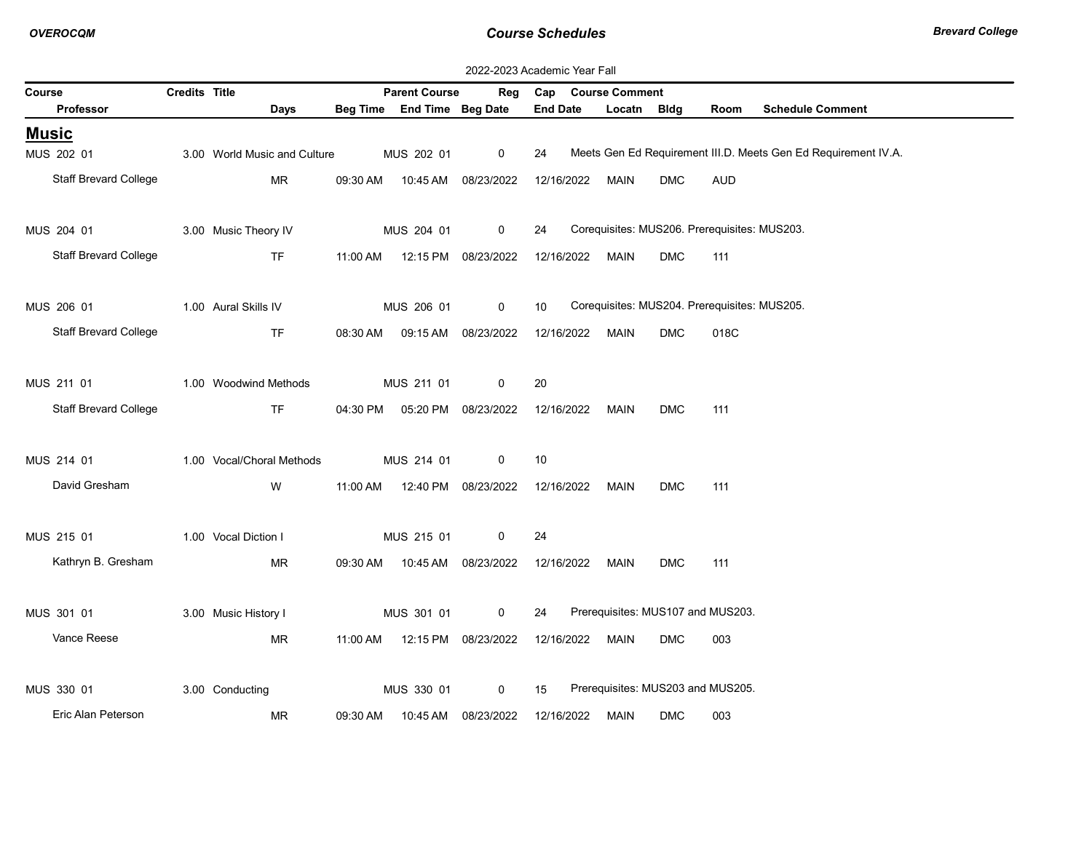|        |                              | 2022-2023 Academic Year Fall |                              |          |                                |                     |                 |  |                       |                                              |            |                                                                |
|--------|------------------------------|------------------------------|------------------------------|----------|--------------------------------|---------------------|-----------------|--|-----------------------|----------------------------------------------|------------|----------------------------------------------------------------|
| Course |                              | Credits Title                |                              |          | <b>Parent Course</b>           | Reg                 | Cap             |  | <b>Course Comment</b> |                                              |            |                                                                |
|        | <b>Professor</b>             |                              | Days                         |          | Beg Time End Time Beg Date     |                     | <b>End Date</b> |  | Locatn                | Bldg                                         | Room       | <b>Schedule Comment</b>                                        |
|        | <u>Music</u>                 |                              |                              |          |                                |                     |                 |  |                       |                                              |            |                                                                |
|        | MUS 202 01                   |                              | 3.00 World Music and Culture |          | MUS 202 01                     | 0                   | 24              |  |                       |                                              |            | Meets Gen Ed Requirement III.D. Meets Gen Ed Requirement IV.A. |
|        | <b>Staff Brevard College</b> |                              | <b>MR</b>                    | 09:30 AM | 10:45 AM                       | 08/23/2022          | 12/16/2022      |  | <b>MAIN</b>           | <b>DMC</b>                                   | <b>AUD</b> |                                                                |
|        | MUS 204 01                   |                              | 3.00 Music Theory IV         |          | MUS 204 01                     | 0                   | 24              |  |                       | Corequisites: MUS206. Prerequisites: MUS203. |            |                                                                |
|        | <b>Staff Brevard College</b> |                              | <b>TF</b>                    | 11:00 AM | 12:15 PM 08/23/2022            |                     | 12/16/2022      |  | <b>MAIN</b>           | <b>DMC</b>                                   | 111        |                                                                |
|        | MUS 206 01                   |                              | 1.00 Aural Skills IV         |          | MUS 206 01                     | 0                   | 10              |  |                       | Corequisites: MUS204. Prerequisites: MUS205. |            |                                                                |
|        | <b>Staff Brevard College</b> |                              | <b>TF</b>                    | 08:30 AM | 09:15 AM                       | 08/23/2022          | 12/16/2022      |  | <b>MAIN</b>           | <b>DMC</b>                                   | 018C       |                                                                |
|        | MUS 211 01                   |                              | 1.00 Woodwind Methods        |          | MUS 211 01                     | 0                   | 20              |  |                       |                                              |            |                                                                |
|        | <b>Staff Brevard College</b> |                              | <b>TF</b>                    |          | 04:30 PM  05:20 PM  08/23/2022 |                     | 12/16/2022      |  | MAIN                  | <b>DMC</b>                                   | 111        |                                                                |
|        | MUS 214 01                   |                              | 1.00 Vocal/Choral Methods    |          | MUS 214 01                     | 0                   | 10              |  |                       |                                              |            |                                                                |
|        | David Gresham                |                              | W                            | 11:00 AM |                                | 12:40 PM 08/23/2022 | 12/16/2022      |  | <b>MAIN</b>           | <b>DMC</b>                                   | 111        |                                                                |
|        | MUS 215 01                   |                              | 1.00 Vocal Diction I         |          | MUS 215 01                     | 0                   | 24              |  |                       |                                              |            |                                                                |
|        | Kathryn B. Gresham           |                              | <b>MR</b>                    | 09:30 AM |                                | 10:45 AM 08/23/2022 | 12/16/2022      |  | <b>MAIN</b>           | <b>DMC</b>                                   | 111        |                                                                |
|        | MUS 301 01                   |                              | 3.00 Music History I         |          | MUS 301 01                     | 0                   | 24              |  |                       | Prerequisites: MUS107 and MUS203.            |            |                                                                |
|        | Vance Reese                  |                              | ΜR                           | 11:00 AM |                                | 12:15 PM 08/23/2022 | 12/16/2022      |  | <b>MAIN</b>           | <b>DMC</b>                                   | 003        |                                                                |
|        | MUS 330 01                   |                              | 3.00 Conducting              |          | MUS 330 01                     | 0                   | 15              |  |                       | Prerequisites: MUS203 and MUS205.            |            |                                                                |
|        | Eric Alan Peterson           |                              | ΜR                           | 09:30 AM |                                | 10:45 AM 08/23/2022 | 12/16/2022      |  | <b>MAIN</b>           | <b>DMC</b>                                   | 003        |                                                                |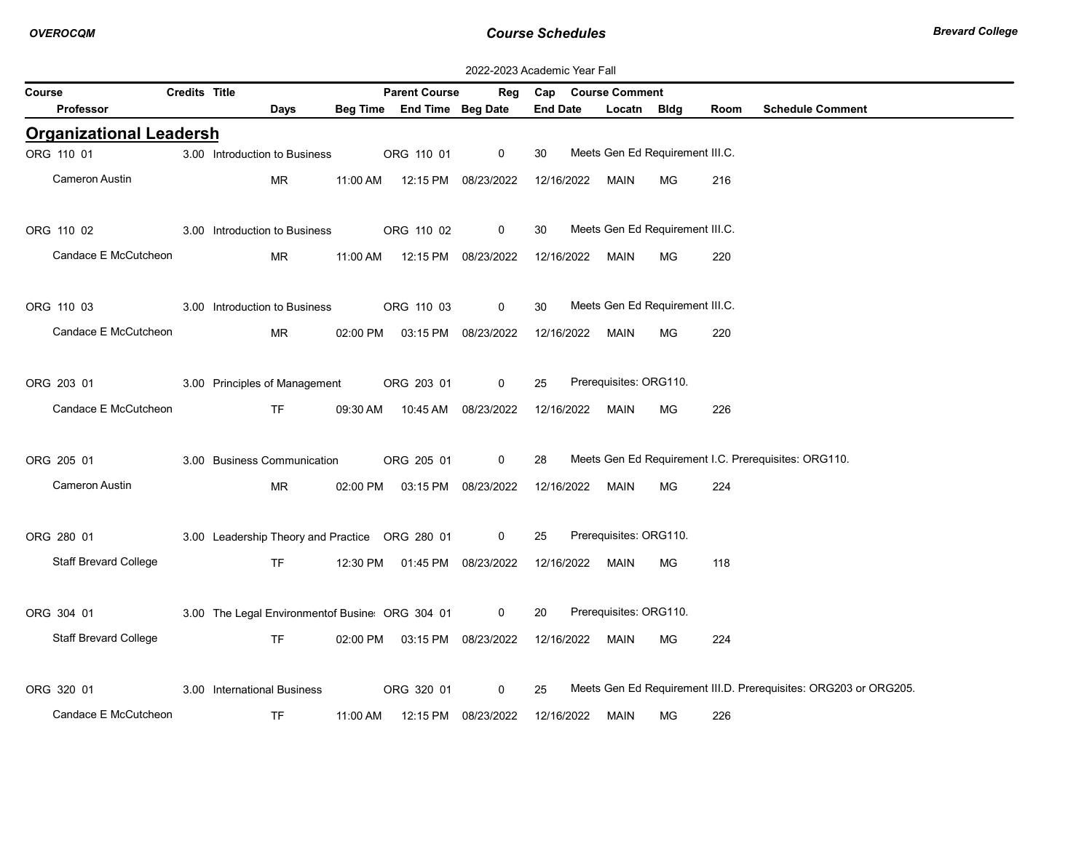| 2022-2023 Academic Year Fall   |                      |                                                |          |                                |                     |                 |            |                                 |             |      |                                                                  |
|--------------------------------|----------------------|------------------------------------------------|----------|--------------------------------|---------------------|-----------------|------------|---------------------------------|-------------|------|------------------------------------------------------------------|
| Course                         | <b>Credits Title</b> |                                                |          | <b>Parent Course</b>           | Reg                 |                 |            | Cap Course Comment              |             |      |                                                                  |
| <b>Professor</b>               |                      | Days                                           |          | Beg Time End Time Beg Date     |                     | <b>End Date</b> |            | Locatn                          | <b>Bldg</b> | Room | <b>Schedule Comment</b>                                          |
| <b>Organizational Leadersh</b> |                      |                                                |          |                                |                     |                 |            |                                 |             |      |                                                                  |
| ORG 110 01                     |                      | 3.00 Introduction to Business                  |          | ORG 110 01                     | $\mathbf 0$         | 30              |            | Meets Gen Ed Requirement III.C. |             |      |                                                                  |
| Cameron Austin                 |                      | <b>MR</b>                                      | 11:00 AM | 12:15 PM 08/23/2022            |                     |                 | 12/16/2022 | MAIN                            | MG          | 216  |                                                                  |
|                                |                      |                                                |          |                                |                     |                 |            |                                 |             |      |                                                                  |
| ORG 110 02                     |                      | 3.00 Introduction to Business                  |          | ORG 110 02                     | $\mathbf 0$         | 30              |            | Meets Gen Ed Requirement III.C. |             |      |                                                                  |
| Candace E McCutcheon           |                      | MR                                             | 11:00 AM | 12:15 PM 08/23/2022            |                     |                 |            | 12/16/2022 MAIN                 | MG.         | 220  |                                                                  |
|                                |                      |                                                |          |                                |                     |                 |            |                                 |             |      |                                                                  |
| ORG 110 03                     |                      | 3.00 Introduction to Business                  |          | ORG 110 03                     | 0                   | 30              |            | Meets Gen Ed Requirement III.C. |             |      |                                                                  |
| Candace E McCutcheon           |                      | <b>MR</b>                                      | 02:00 PM |                                | 03:15 PM 08/23/2022 | 12/16/2022      |            | MAIN                            | MG          | 220  |                                                                  |
|                                |                      |                                                |          |                                |                     |                 |            |                                 |             |      |                                                                  |
| ORG 203 01                     |                      | 3.00 Principles of Management                  |          | ORG 203 01                     | $\mathbf 0$         | 25              |            | Prerequisites: ORG110.          |             |      |                                                                  |
| Candace E McCutcheon           |                      | TF.                                            | 09:30 AM |                                | 10:45 AM 08/23/2022 |                 | 12/16/2022 | MAIN                            | MG          | 226  |                                                                  |
|                                |                      |                                                |          |                                |                     |                 |            |                                 |             |      |                                                                  |
| ORG 205 01                     |                      | 3.00 Business Communication                    |          | ORG 205 01                     | $\mathbf 0$         | 28              |            |                                 |             |      | Meets Gen Ed Requirement I.C. Prerequisites: ORG110.             |
| Cameron Austin                 |                      | MR.                                            |          | 02:00 PM  03:15 PM  08/23/2022 |                     |                 |            | 12/16/2022 MAIN                 | MG.         | 224  |                                                                  |
|                                |                      |                                                |          |                                |                     |                 |            |                                 |             |      |                                                                  |
| ORG 280 01                     |                      | 3.00 Leadership Theory and Practice ORG 280 01 |          |                                | $\mathbf 0$         | 25              |            | Prerequisites: ORG110.          |             |      |                                                                  |
| <b>Staff Brevard College</b>   |                      | <b>TF</b>                                      |          | 12:30 PM  01:45 PM  08/23/2022 |                     | 12/16/2022      |            | MAIN                            | MG          | 118  |                                                                  |
|                                |                      |                                                |          |                                |                     |                 |            |                                 |             |      |                                                                  |
| ORG 304 01                     |                      | 3.00 The Legal Environmentof Busine ORG 304 01 |          |                                | $\mathbf 0$         | 20              |            | Prerequisites: ORG110.          |             |      |                                                                  |
| <b>Staff Brevard College</b>   |                      | <b>TF</b>                                      |          | 02:00 PM  03:15 PM  08/23/2022 |                     |                 | 12/16/2022 | MAIN                            | MG.         | 224  |                                                                  |
|                                |                      |                                                |          |                                |                     |                 |            |                                 |             |      |                                                                  |
| ORG 320 01                     |                      | 3.00 International Business                    |          | ORG 320 01                     | $\mathbf 0$         | 25              |            |                                 |             |      | Meets Gen Ed Requirement III.D. Prerequisites: ORG203 or ORG205. |
| Candace E McCutcheon           |                      | <b>TF</b>                                      | 11:00 AM | 12:15 PM                       | 08/23/2022          | 12/16/2022      |            | <b>MAIN</b>                     | <b>MG</b>   | 226  |                                                                  |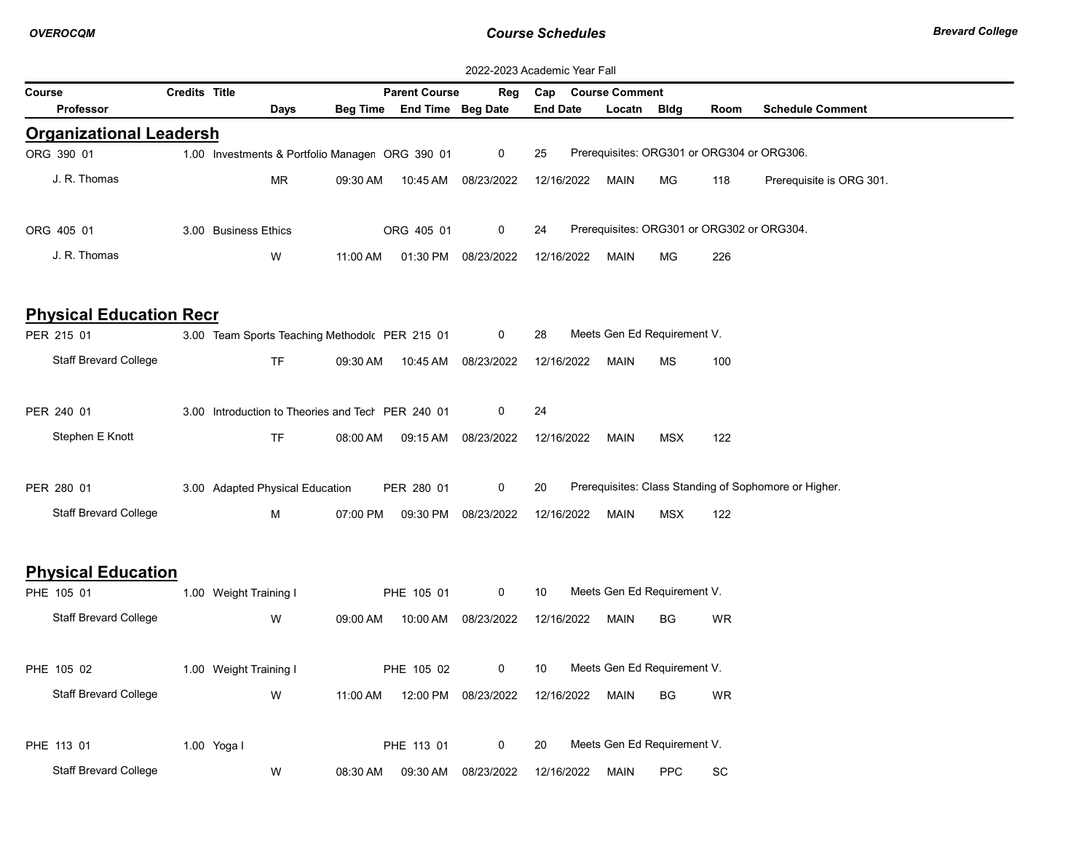| 2022-2023 Academic Year Fall   |               |                                                   |          |                            |                     |                    |                             |             |                              |                                                       |  |  |
|--------------------------------|---------------|---------------------------------------------------|----------|----------------------------|---------------------|--------------------|-----------------------------|-------------|------------------------------|-------------------------------------------------------|--|--|
| Course                         | Credits Title |                                                   |          | <b>Parent Course</b>       | Reg                 | Cap Course Comment |                             |             |                              |                                                       |  |  |
| Professor                      |               | Days                                              |          | Beg Time End Time Beg Date |                     | <b>End Date</b>    | Locatn                      | <b>Bldg</b> | Room                         | <b>Schedule Comment</b>                               |  |  |
| <b>Organizational Leadersh</b> |               |                                                   |          |                            |                     |                    |                             |             |                              |                                                       |  |  |
| ORG 390 01                     |               | 1.00 Investments & Portfolio Manager ORG 390 01   |          |                            | 0                   | 25                 |                             |             |                              | Prerequisites: ORG301 or ORG304 or ORG306.            |  |  |
| J. R. Thomas                   |               | MR                                                | 09:30 AM |                            | 10:45 AM 08/23/2022 | 12/16/2022         | MAIN                        | МG          | 118                          | Prerequisite is ORG 301.                              |  |  |
| ORG 405 01                     |               | 3.00 Business Ethics                              |          | ORG 405 01                 | 0                   | 24                 |                             |             |                              | Prerequisites: ORG301 or ORG302 or ORG304.            |  |  |
| J. R. Thomas                   |               | W                                                 | 11:00 AM |                            | 01:30 PM 08/23/2022 | 12/16/2022         | MAIN                        | МG          | 226                          |                                                       |  |  |
| <b>Physical Education Recr</b> |               |                                                   |          |                            |                     |                    |                             |             |                              |                                                       |  |  |
| PER 215 01                     |               | 3.00 Team Sports Teaching Methodol PER 215 01     |          |                            | $\mathbf 0$         | 28                 | Meets Gen Ed Requirement V. |             |                              |                                                       |  |  |
| <b>Staff Brevard College</b>   |               | <b>TF</b>                                         | 09:30 AM |                            | 10:45 AM 08/23/2022 | 12/16/2022         | MAIN                        | МS          | 100                          |                                                       |  |  |
| PER 240 01                     |               | 3.00 Introduction to Theories and Tech PER 240 01 |          |                            | 0                   | 24                 |                             |             |                              |                                                       |  |  |
| Stephen E Knott                |               | <b>TF</b>                                         | 08:00 AM |                            | 09:15 AM 08/23/2022 | 12/16/2022         | MAIN                        | MSX         | 122                          |                                                       |  |  |
| PER 280 01                     |               | 3.00 Adapted Physical Education                   |          | PER 280 01                 | 0                   | 20                 |                             |             |                              | Prerequisites: Class Standing of Sophomore or Higher. |  |  |
| <b>Staff Brevard College</b>   |               | М                                                 | 07:00 PM |                            | 09:30 PM 08/23/2022 | 12/16/2022         | MAIN                        | <b>MSX</b>  | 122                          |                                                       |  |  |
| <b>Physical Education</b>      |               |                                                   |          |                            |                     |                    |                             |             |                              |                                                       |  |  |
| PHE 105 01                     |               | 1.00 Weight Training I                            |          | PHE 105 01                 | 0                   | 10                 | Meets Gen Ed Requirement V. |             |                              |                                                       |  |  |
| <b>Staff Brevard College</b>   |               | W                                                 | 09:00 AM |                            | 10:00 AM 08/23/2022 | 12/16/2022         | MAIN                        | BG          | WR                           |                                                       |  |  |
| PHE 105 02                     |               | 1.00 Weight Training I                            |          | PHE 105 02                 | 0                   | 10                 | Meets Gen Ed Requirement V. |             |                              |                                                       |  |  |
| <b>Staff Brevard College</b>   |               | W                                                 | 11:00 AM |                            | 12:00 PM 08/23/2022 | 12/16/2022         | <b>MAIN</b>                 | BG          | WR                           |                                                       |  |  |
| PHE 113 01                     |               | 1.00 Yoga I                                       |          | PHE 113 01                 | 0                   | 20                 | Meets Gen Ed Requirement V. |             |                              |                                                       |  |  |
| <b>Staff Brevard College</b>   |               | W                                                 | 08:30 AM |                            | 09:30 AM 08/23/2022 | 12/16/2022         | <b>MAIN</b>                 | <b>PPC</b>  | $\operatorname{\textsf{SC}}$ |                                                       |  |  |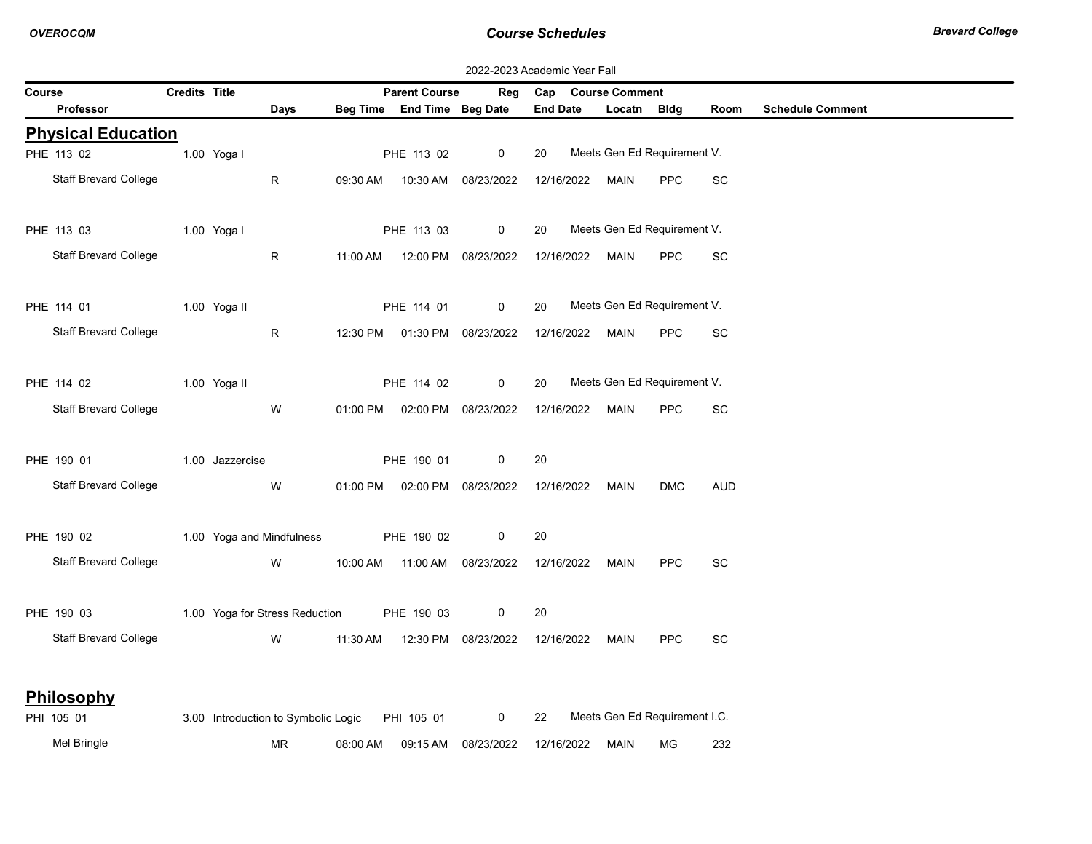|        | 2022-2023 Academic Year Fall |                      |                 |                                                |          |                            |                                  |                 |                               |            |            |                         |  |
|--------|------------------------------|----------------------|-----------------|------------------------------------------------|----------|----------------------------|----------------------------------|-----------------|-------------------------------|------------|------------|-------------------------|--|
| Course |                              | <b>Credits Title</b> |                 |                                                |          | <b>Parent Course</b>       | Reg                              |                 | Cap Course Comment            |            |            |                         |  |
|        | <b>Professor</b>             |                      |                 | Days                                           |          | Beg Time End Time Beg Date |                                  | <b>End Date</b> | Locatn Bldg                   |            | Room       | <b>Schedule Comment</b> |  |
|        | <b>Physical Education</b>    |                      |                 |                                                |          |                            |                                  |                 |                               |            |            |                         |  |
|        | PHE 113 02                   |                      | 1.00 Yogal      |                                                |          | PHE 113 02                 | $\mathbf 0$                      | 20              | Meets Gen Ed Requirement V.   |            |            |                         |  |
|        | <b>Staff Brevard College</b> |                      |                 | R                                              | 09:30 AM |                            | 10:30 AM 08/23/2022              | 12/16/2022      | MAIN                          | <b>PPC</b> | SC         |                         |  |
|        | PHE 113 03                   |                      | 1.00 Yogal      |                                                |          | PHE 113 03                 | $\mathbf 0$                      | 20              | Meets Gen Ed Requirement V.   |            |            |                         |  |
|        | <b>Staff Brevard College</b> |                      |                 | $\mathsf{R}$                                   |          |                            | 11:00 AM  12:00 PM  08/23/2022   | 12/16/2022      | MAIN                          | <b>PPC</b> | SC         |                         |  |
|        | PHE 114 01                   |                      | 1.00 Yoga II    |                                                |          | PHE 114 01                 | $\mathbf 0$                      | 20              | Meets Gen Ed Requirement V.   |            |            |                         |  |
|        | <b>Staff Brevard College</b> |                      |                 | $\mathsf{R}$                                   |          |                            | 12:30 PM  01:30 PM  08/23/2022   | 12/16/2022      | MAIN                          | <b>PPC</b> | <b>SC</b>  |                         |  |
|        | PHE 114 02                   |                      | 1.00 Yoga II    |                                                |          | PHE 114 02                 | $\mathsf{O}$                     | 20              | Meets Gen Ed Requirement V.   |            |            |                         |  |
|        | <b>Staff Brevard College</b> |                      |                 | W                                              |          |                            | 01:00 PM   02:00 PM   08/23/2022 | 12/16/2022      | MAIN                          | <b>PPC</b> | SC         |                         |  |
|        | PHE 190 01                   |                      | 1.00 Jazzercise |                                                |          | PHE 190 01                 | $\mathbf 0$                      | 20              |                               |            |            |                         |  |
|        | <b>Staff Brevard College</b> |                      |                 | W                                              |          |                            | 01:00 PM   02:00 PM   08/23/2022 | 12/16/2022 MAIN |                               | <b>DMC</b> | <b>AUD</b> |                         |  |
|        | PHE 190 02                   |                      |                 | 1.00 Yoga and Mindfulness                      |          | PHE 190 02                 | 0                                | 20              |                               |            |            |                         |  |
|        | <b>Staff Brevard College</b> |                      |                 | W                                              |          |                            | 10:00 AM  11:00 AM  08/23/2022   | 12/16/2022 MAIN |                               | <b>PPC</b> | SC         |                         |  |
|        | PHE 190 03                   |                      |                 | 1.00 Yoga for Stress Reduction                 |          | PHE 190 03                 | 0                                | 20              |                               |            |            |                         |  |
|        | Staff Brevard College        |                      |                 | W                                              | 11:30 AM |                            | 12:30 PM 08/23/2022              | 12/16/2022      | MAIN                          | <b>PPC</b> | SC         |                         |  |
|        | Philosophy                   |                      |                 |                                                |          |                            |                                  |                 |                               |            |            |                         |  |
|        | PHI 105 01                   |                      |                 | 3.00 Introduction to Symbolic Logic PHI 105 01 |          |                            | $\mathbf{0}$                     | 22              | Meets Gen Ed Requirement I.C. |            |            |                         |  |
|        | Mel Bringle                  |                      |                 | MR.                                            | 08:00 AM | 09:15 AM                   | 08/23/2022                       | 12/16/2022      | MAIN                          | MG.        | 232        |                         |  |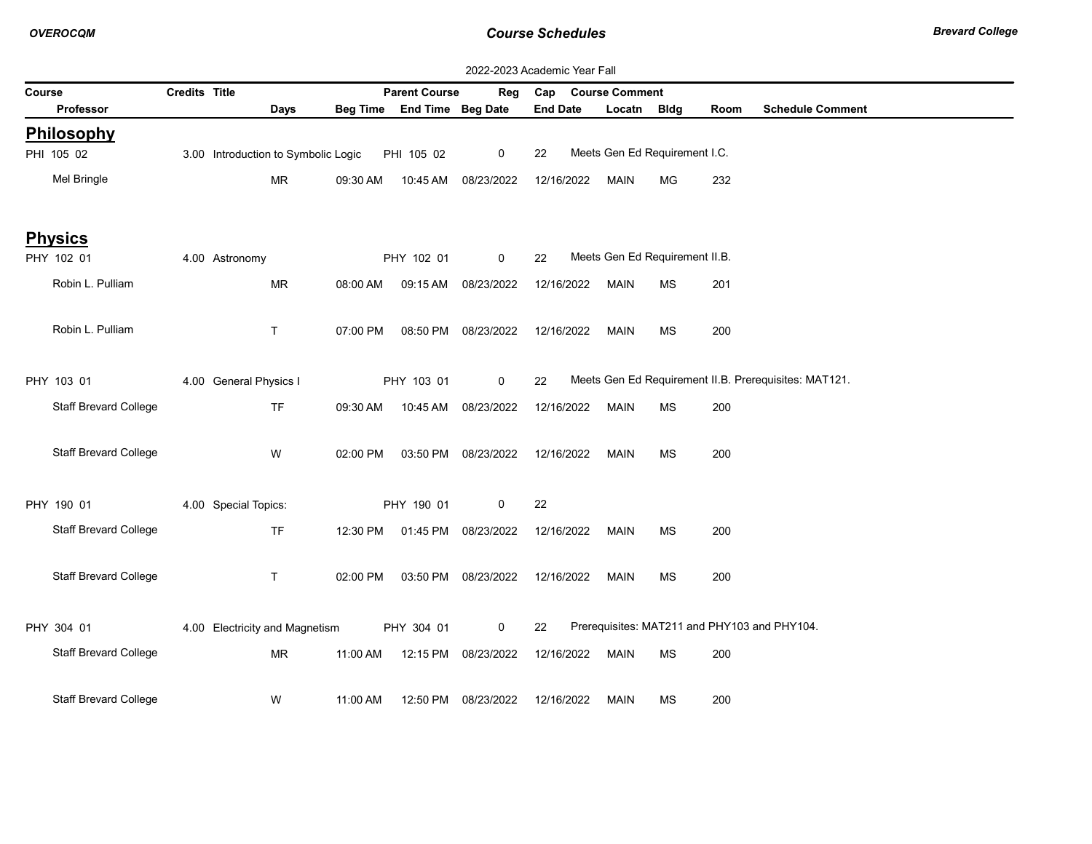|        | 2022-2023 Academic Year Fall |               |                                     |          |                            |                     |                 |                                |           |      |                                                       |  |  |
|--------|------------------------------|---------------|-------------------------------------|----------|----------------------------|---------------------|-----------------|--------------------------------|-----------|------|-------------------------------------------------------|--|--|
| Course |                              | Credits Title |                                     |          | <b>Parent Course</b>       | Reg                 | Cap             | <b>Course Comment</b>          |           |      |                                                       |  |  |
|        | <b>Professor</b>             |               | Days                                |          | Beg Time End Time Beg Date |                     | <b>End Date</b> | Locatn Bldg                    |           | Room | <b>Schedule Comment</b>                               |  |  |
|        | Philosophy                   |               |                                     |          |                            |                     |                 |                                |           |      |                                                       |  |  |
|        | PHI 105 02                   |               | 3.00 Introduction to Symbolic Logic |          | PHI 105 02                 | 0                   | 22              | Meets Gen Ed Requirement I.C.  |           |      |                                                       |  |  |
|        | Mel Bringle                  |               | <b>MR</b>                           | 09:30 AM |                            | 10:45 AM 08/23/2022 | 12/16/2022      | <b>MAIN</b>                    | MG        | 232  |                                                       |  |  |
|        |                              |               |                                     |          |                            |                     |                 |                                |           |      |                                                       |  |  |
|        | <b>Physics</b>               |               |                                     |          |                            |                     |                 |                                |           |      |                                                       |  |  |
|        | PHY 102 01                   |               | 4.00 Astronomy                      |          | PHY 102 01                 | $\mathbf 0$         | 22              | Meets Gen Ed Requirement II.B. |           |      |                                                       |  |  |
|        | Robin L. Pulliam             |               | <b>MR</b>                           | 08:00 AM |                            | 09:15 AM 08/23/2022 | 12/16/2022      | <b>MAIN</b>                    | MS        | 201  |                                                       |  |  |
|        | Robin L. Pulliam             |               | $\mathsf{T}$                        | 07:00 PM |                            | 08:50 PM 08/23/2022 | 12/16/2022      | <b>MAIN</b>                    | <b>MS</b> | 200  |                                                       |  |  |
|        |                              |               |                                     |          |                            |                     |                 |                                |           |      |                                                       |  |  |
|        | PHY 103 01                   |               | 4.00 General Physics I              |          | PHY 103 01                 | $\mathbf{0}$        | 22              |                                |           |      | Meets Gen Ed Requirement II.B. Prerequisites: MAT121. |  |  |
|        | <b>Staff Brevard College</b> |               | <b>TF</b>                           | 09:30 AM | 10:45 AM                   | 08/23/2022          | 12/16/2022      | <b>MAIN</b>                    | <b>MS</b> | 200  |                                                       |  |  |
|        | <b>Staff Brevard College</b> |               | W                                   | 02:00 PM |                            | 03:50 PM 08/23/2022 | 12/16/2022      | <b>MAIN</b>                    | <b>MS</b> | 200  |                                                       |  |  |
|        |                              |               |                                     |          |                            |                     |                 |                                |           |      |                                                       |  |  |
|        | PHY 190 01                   |               | 4.00 Special Topics:                |          | PHY 190 01                 | 0                   | 22              |                                |           |      |                                                       |  |  |
|        | <b>Staff Brevard College</b> |               | <b>TF</b>                           | 12:30 PM |                            | 01:45 PM 08/23/2022 | 12/16/2022      | <b>MAIN</b>                    | MS        | 200  |                                                       |  |  |
|        | <b>Staff Brevard College</b> |               | $\mathsf{T}$                        | 02:00 PM |                            | 03:50 PM 08/23/2022 | 12/16/2022      | <b>MAIN</b>                    | <b>MS</b> | 200  |                                                       |  |  |
|        |                              |               |                                     |          |                            |                     |                 |                                |           |      |                                                       |  |  |
|        | PHY 304 01                   |               | 4.00 Electricity and Magnetism      |          | PHY 304 01                 | $\mathbf 0$         | 22              |                                |           |      | Prerequisites: MAT211 and PHY103 and PHY104.          |  |  |
|        | <b>Staff Brevard College</b> |               | MR                                  | 11:00 AM | 12:15 PM                   | 08/23/2022          | 12/16/2022      | MAIN                           | <b>MS</b> | 200  |                                                       |  |  |
|        | <b>Staff Brevard College</b> |               | W                                   | 11:00 AM |                            |                     |                 |                                |           |      |                                                       |  |  |
|        |                              |               |                                     |          | 12:50 PM                   | 08/23/2022          | 12/16/2022      | <b>MAIN</b>                    | <b>MS</b> | 200  |                                                       |  |  |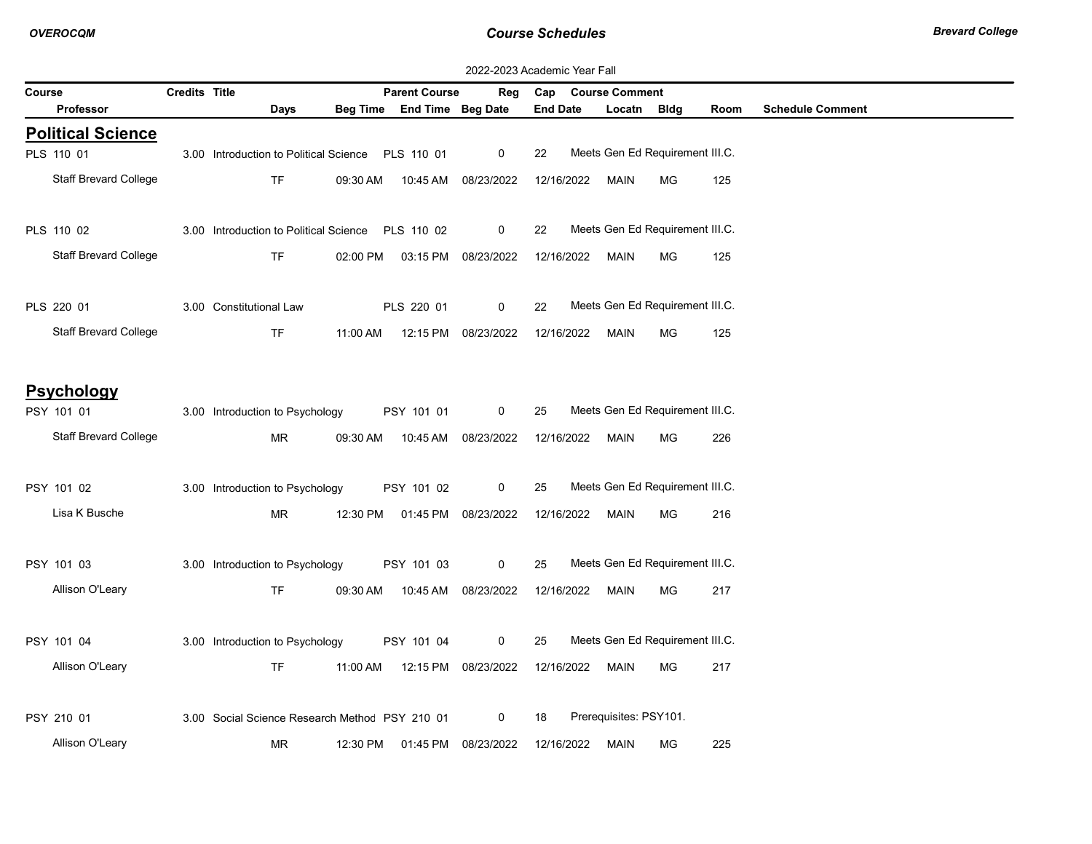|        | 2022-2023 Academic Year Fall    |                      |                                                   |          |                                |                     |                 |  |                        |                                 |      |                         |
|--------|---------------------------------|----------------------|---------------------------------------------------|----------|--------------------------------|---------------------|-----------------|--|------------------------|---------------------------------|------|-------------------------|
| Course |                                 | <b>Credits Title</b> |                                                   |          | <b>Parent Course</b>           | Reg                 |                 |  | Cap Course Comment     |                                 |      |                         |
|        | <b>Professor</b>                |                      | <b>Days</b>                                       |          | Beg Time End Time Beg Date     |                     | <b>End Date</b> |  | Locatn Bldg            |                                 | Room | <b>Schedule Comment</b> |
|        | <b>Political Science</b>        |                      |                                                   |          |                                |                     |                 |  |                        |                                 |      |                         |
|        | PLS 110 01                      |                      | 3.00 Introduction to Political Science PLS 110 01 |          |                                | $\mathbf{0}$        | 22              |  |                        | Meets Gen Ed Requirement III.C. |      |                         |
|        | <b>Staff Brevard College</b>    |                      | TF                                                |          | 09:30 AM  10:45 AM  08/23/2022 |                     | 12/16/2022      |  | <b>MAIN</b>            | МG                              | 125  |                         |
|        | PLS 110 02                      |                      | 3.00 Introduction to Political Science PLS 110 02 |          |                                | $\mathbf 0$         | 22              |  |                        | Meets Gen Ed Requirement III.C. |      |                         |
|        | <b>Staff Brevard College</b>    |                      | <b>TF</b>                                         | 02:00 PM |                                | 03:15 PM 08/23/2022 | 12/16/2022      |  | <b>MAIN</b>            | <b>MG</b>                       | 125  |                         |
|        | PLS 220 01                      |                      | 3.00 Constitutional Law                           |          | PLS 220 01                     | $\mathbf 0$         | 22              |  |                        | Meets Gen Ed Requirement III.C. |      |                         |
|        | <b>Staff Brevard College</b>    |                      | <b>TF</b>                                         | 11:00 AM |                                | 12:15 PM 08/23/2022 | 12/16/2022      |  | <b>MAIN</b>            | <b>MG</b>                       | 125  |                         |
|        | <b>Psychology</b><br>PSY 101 01 |                      | 3.00 Introduction to Psychology                   |          | PSY 101 01                     | $\mathbf 0$         | 25              |  |                        | Meets Gen Ed Requirement III.C. |      |                         |
|        | <b>Staff Brevard College</b>    |                      | <b>MR</b>                                         | 09:30 AM |                                | 10:45 AM 08/23/2022 | 12/16/2022      |  | <b>MAIN</b>            | MG                              | 226  |                         |
|        | PSY 101 02                      |                      | 3.00 Introduction to Psychology                   |          | PSY 101 02                     | $\mathbf{0}$        | 25              |  |                        | Meets Gen Ed Requirement III.C. |      |                         |
|        | Lisa K Busche                   |                      | MR                                                |          | 12:30 PM  01:45 PM  08/23/2022 |                     | 12/16/2022      |  | MAIN                   | MG                              | 216  |                         |
|        | PSY 101 03                      |                      | 3.00 Introduction to Psychology                   |          | PSY 101 03                     | $\mathbf 0$         | 25              |  |                        | Meets Gen Ed Requirement III.C. |      |                         |
|        | Allison O'Leary                 |                      | <b>TF</b>                                         |          | 09:30 AM  10:45 AM  08/23/2022 |                     | 12/16/2022      |  | <b>MAIN</b>            | MG                              | 217  |                         |
|        | PSY 101 04                      |                      | 3.00 Introduction to Psychology                   |          | PSY 101 04                     | $\mathbf 0$         | 25              |  |                        | Meets Gen Ed Requirement III.C. |      |                         |
|        | Allison O'Leary                 |                      | <b>TF</b>                                         |          | 11:00 AM  12:15 PM  08/23/2022 |                     | 12/16/2022      |  | <b>MAIN</b>            | МG                              | 217  |                         |
|        | PSY 210 01                      |                      | 3.00 Social Science Research Methoc PSY 210 01    |          |                                | $\mathbf{0}$        | 18              |  | Prerequisites: PSY101. |                                 |      |                         |
|        | Allison O'Leary                 |                      | MR.                                               |          | 12:30 PM  01:45 PM  08/23/2022 |                     | 12/16/2022      |  | MAIN                   | МG                              | 225  |                         |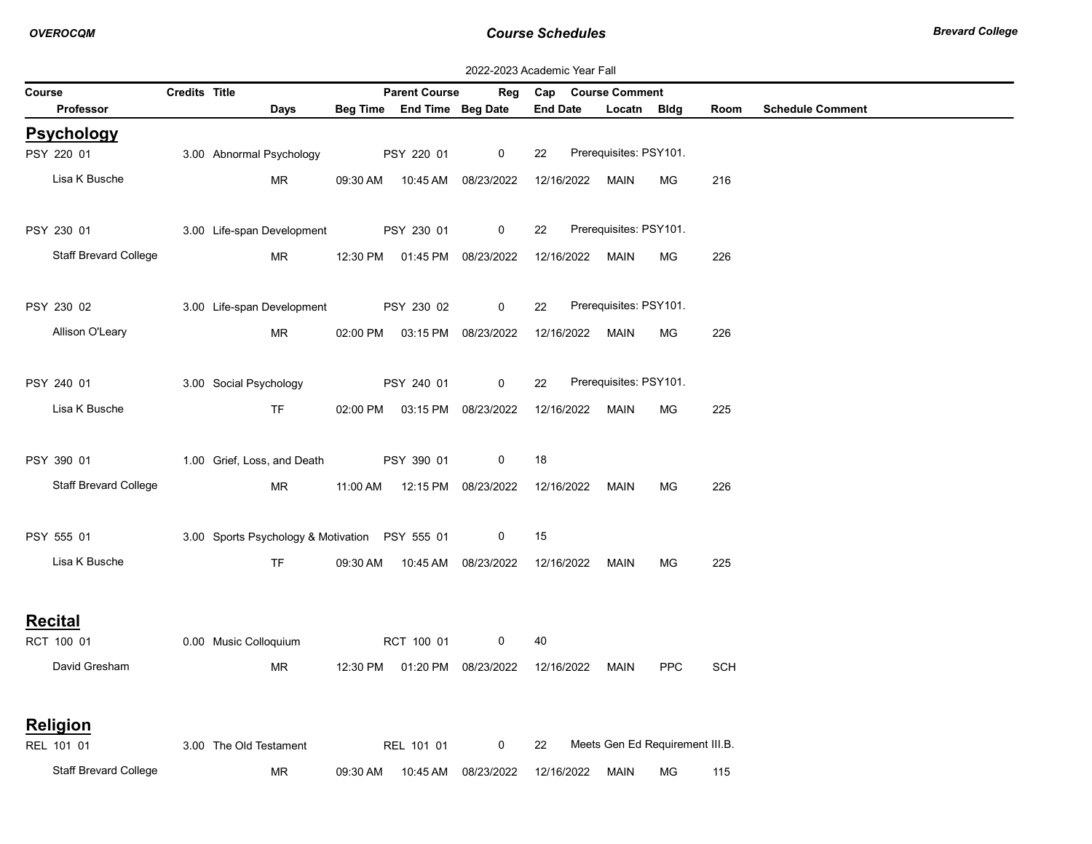|        | 2022-2023 Academic Year Fall |               |                                                |          |                            |                                |                 |            |                                 |            |            |                         |  |
|--------|------------------------------|---------------|------------------------------------------------|----------|----------------------------|--------------------------------|-----------------|------------|---------------------------------|------------|------------|-------------------------|--|
| Course |                              | Credits Title |                                                |          | <b>Parent Course</b>       | Reg                            |                 |            | Cap Course Comment              |            |            |                         |  |
|        | Professor                    |               | Days                                           |          | Beg Time End Time Beg Date |                                | <b>End Date</b> |            | Locatn Bldg                     |            | Room       | <b>Schedule Comment</b> |  |
|        | <b>Psychology</b>            |               |                                                |          |                            |                                |                 |            |                                 |            |            |                         |  |
|        | PSY 220 01                   |               | 3.00 Abnormal Psychology                       |          | PSY 220 01                 | 0                              | 22              |            | Prerequisites: PSY101.          |            |            |                         |  |
|        | Lisa K Busche                |               | MR                                             | 09:30 AM | 10:45 AM                   | 08/23/2022                     |                 | 12/16/2022 | <b>MAIN</b>                     | <b>MG</b>  | 216        |                         |  |
|        | PSY 230 01                   |               | 3.00 Life-span Development                     |          | PSY 230 01                 | 0                              | 22              |            | Prerequisites: PSY101.          |            |            |                         |  |
|        | <b>Staff Brevard College</b> |               | MR                                             |          |                            | 12:30 PM  01:45 PM  08/23/2022 |                 | 12/16/2022 | MAIN                            | MG.        | 226        |                         |  |
|        | PSY 230 02                   |               | 3.00 Life-span Development                     |          | PSY 230 02                 | 0                              | 22              |            | Prerequisites: PSY101.          |            |            |                         |  |
|        | Allison O'Leary              |               | MR                                             |          |                            | 02:00 PM  03:15 PM  08/23/2022 |                 | 12/16/2022 | <b>MAIN</b>                     | МG         | 226        |                         |  |
|        | PSY 240 01                   |               | 3.00 Social Psychology                         |          | PSY 240 01                 | 0                              | 22              |            | Prerequisites: PSY101.          |            |            |                         |  |
|        | Lisa K Busche                |               | <b>TF</b>                                      |          |                            | 02:00 PM  03:15 PM  08/23/2022 |                 | 12/16/2022 | MAIN                            | MG.        | 225        |                         |  |
|        | PSY 390 01                   |               | 1.00 Grief, Loss, and Death                    |          | PSY 390 01                 | 0                              | 18              |            |                                 |            |            |                         |  |
|        | <b>Staff Brevard College</b> |               | MR                                             |          |                            | 11:00 AM  12:15 PM  08/23/2022 |                 | 12/16/2022 | MAIN                            | МG         | 226        |                         |  |
|        | PSY 555 01                   |               | 3.00 Sports Psychology & Motivation PSY 555 01 |          |                            | 0                              | 15              |            |                                 |            |            |                         |  |
|        | Lisa K Busche                |               | <b>TF</b>                                      |          | 09:30 AM  10:45 AM         | 08/23/2022                     | 12/16/2022      |            | <b>MAIN</b>                     | МG         | 225        |                         |  |
|        |                              |               |                                                |          |                            |                                |                 |            |                                 |            |            |                         |  |
|        | <b>Recital</b><br>RCT 100 01 |               | 0.00 Music Colloquium                          |          | RCT 100 01                 | 0                              | 40              |            |                                 |            |            |                         |  |
|        | David Gresham                |               | MR                                             |          |                            | 12:30 PM  01:20 PM  08/23/2022 | 12/16/2022      |            | MAIN                            | <b>PPC</b> | <b>SCH</b> |                         |  |
|        | Religion                     |               |                                                |          |                            |                                |                 |            |                                 |            |            |                         |  |
|        | REL 101 01                   |               | 3.00 The Old Testament                         |          | REL 101 01                 | 0                              | 22              |            | Meets Gen Ed Requirement III.B. |            |            |                         |  |
|        | <b>Staff Brevard College</b> |               | MR                                             | 09:30 AM | 10:45 AM                   | 08/23/2022                     |                 | 12/16/2022 | <b>MAIN</b>                     | MG         | 115        |                         |  |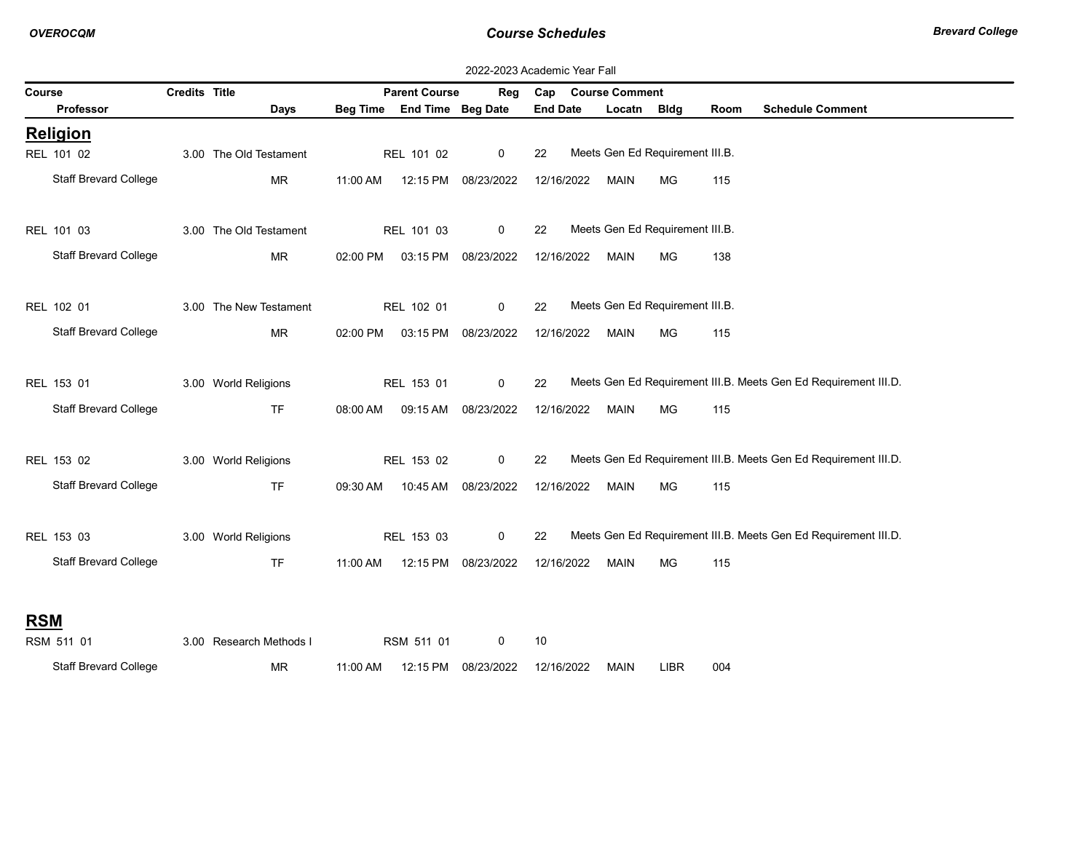|            | 2022-2023 Academic Year Fall |                      |                         |          |                            |                     |                 |  |                    |                                 |      |                                                                 |  |  |
|------------|------------------------------|----------------------|-------------------------|----------|----------------------------|---------------------|-----------------|--|--------------------|---------------------------------|------|-----------------------------------------------------------------|--|--|
| Course     |                              | <b>Credits Title</b> |                         |          | <b>Parent Course</b>       | Reg                 |                 |  | Cap Course Comment |                                 |      |                                                                 |  |  |
|            | Professor                    |                      | Days                    |          | Beg Time End Time Beg Date |                     | <b>End Date</b> |  | Locatn Bldg        |                                 | Room | <b>Schedule Comment</b>                                         |  |  |
|            | <b>Religion</b>              |                      |                         |          |                            |                     |                 |  |                    |                                 |      |                                                                 |  |  |
|            | REL 101 02                   |                      | 3.00 The Old Testament  |          | REL 101 02                 | $\mathbf 0$         | 22              |  |                    | Meets Gen Ed Requirement III.B. |      |                                                                 |  |  |
|            | <b>Staff Brevard College</b> |                      | <b>MR</b>               | 11:00 AM |                            | 12:15 PM 08/23/2022 | 12/16/2022      |  | <b>MAIN</b>        | MG                              | 115  |                                                                 |  |  |
|            | REL 101 03                   |                      | 3.00 The Old Testament  |          | REL 101 03                 | $\mathbf 0$         | 22              |  |                    | Meets Gen Ed Requirement III.B. |      |                                                                 |  |  |
|            | <b>Staff Brevard College</b> |                      | <b>MR</b>               | 02:00 PM |                            | 03:15 PM 08/23/2022 | 12/16/2022      |  | MAIN               | МG                              | 138  |                                                                 |  |  |
|            | REL 102 01                   |                      | 3.00 The New Testament  |          | REL 102 01                 | 0                   | 22              |  |                    | Meets Gen Ed Requirement III.B. |      |                                                                 |  |  |
|            | <b>Staff Brevard College</b> |                      | <b>MR</b>               | 02:00 PM |                            | 03:15 PM 08/23/2022 | 12/16/2022      |  | MAIN               | MG                              | 115  |                                                                 |  |  |
|            | REL 153 01                   |                      | 3.00 World Religions    |          | REL 153 01                 | 0                   | 22              |  |                    |                                 |      | Meets Gen Ed Requirement III.B. Meets Gen Ed Requirement III.D. |  |  |
|            | <b>Staff Brevard College</b> |                      | <b>TF</b>               | 08:00 AM |                            | 09:15 AM 08/23/2022 | 12/16/2022      |  | <b>MAIN</b>        | МG                              | 115  |                                                                 |  |  |
|            | REL 153 02                   |                      | 3.00 World Religions    |          | REL 153 02                 | $\mathbf 0$         | 22              |  |                    |                                 |      | Meets Gen Ed Requirement III.B. Meets Gen Ed Requirement III.D. |  |  |
|            | <b>Staff Brevard College</b> |                      | <b>TF</b>               | 09:30 AM |                            | 10:45 AM 08/23/2022 | 12/16/2022      |  | <b>MAIN</b>        | MG                              | 115  |                                                                 |  |  |
|            | REL 153 03                   |                      | 3.00 World Religions    |          | REL 153 03                 | $\mathbf 0$         | 22              |  |                    |                                 |      | Meets Gen Ed Requirement III.B. Meets Gen Ed Requirement III.D. |  |  |
|            | <b>Staff Brevard College</b> |                      | <b>TF</b>               | 11:00 AM |                            | 12:15 PM 08/23/2022 | 12/16/2022      |  | <b>MAIN</b>        | МG                              | 115  |                                                                 |  |  |
| <b>RSM</b> |                              |                      |                         |          |                            |                     |                 |  |                    |                                 |      |                                                                 |  |  |
|            | RSM 511 01                   |                      | 3.00 Research Methods I |          | RSM 511 01                 | 0                   | 10              |  |                    |                                 |      |                                                                 |  |  |
|            | <b>Staff Brevard College</b> |                      | <b>MR</b>               | 11:00 AM | 12:15 PM                   | 08/23/2022          | 12/16/2022      |  | MAIN               | <b>LIBR</b>                     | 004  |                                                                 |  |  |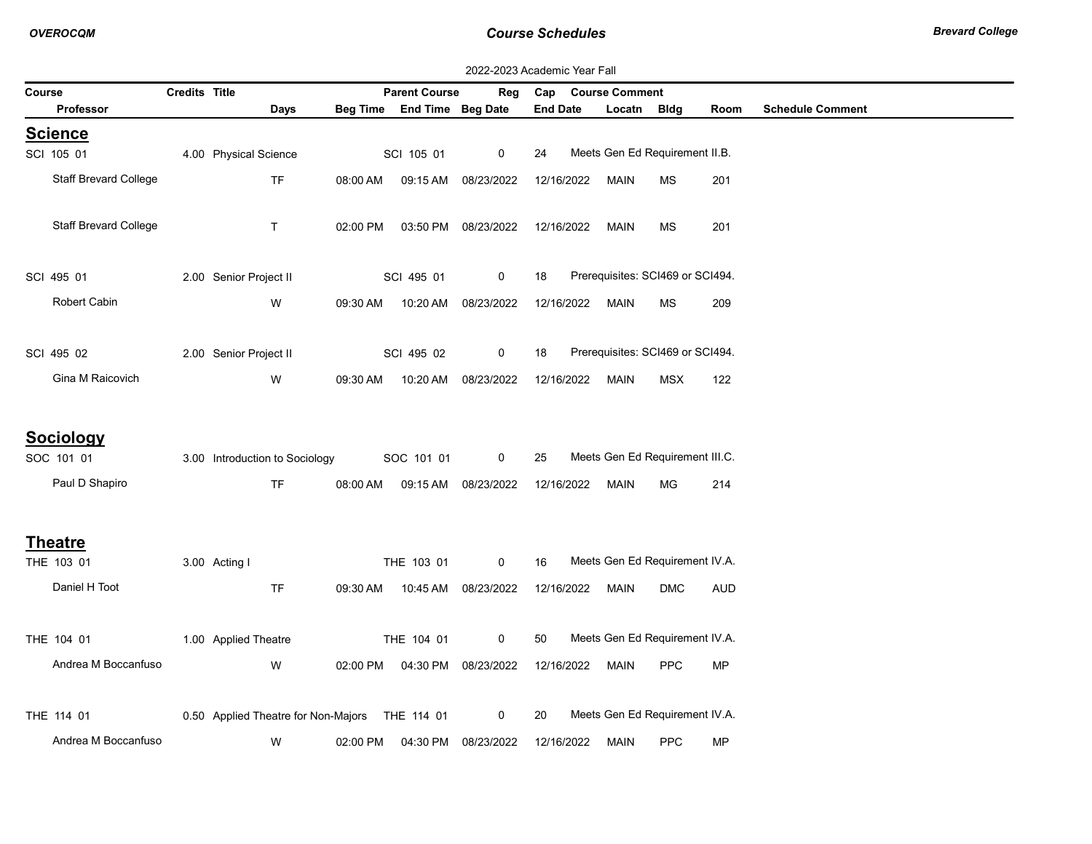| 2022-2023 Academic Year Fall |                                                  |                      |                                                |          |                            |                          |                 |            |                       |                                       |            |                         |
|------------------------------|--------------------------------------------------|----------------------|------------------------------------------------|----------|----------------------------|--------------------------|-----------------|------------|-----------------------|---------------------------------------|------------|-------------------------|
| Course                       |                                                  | <b>Credits Title</b> |                                                |          | <b>Parent Course</b>       | Reg                      | Cap             |            | <b>Course Comment</b> |                                       |            |                         |
|                              | <b>Professor</b>                                 |                      | Days                                           |          | Beg Time End Time Beg Date |                          | <b>End Date</b> |            | Locatn Bldg           |                                       | Room       | <b>Schedule Comment</b> |
|                              | <b>Science</b>                                   |                      |                                                |          |                            |                          |                 |            |                       |                                       |            |                         |
|                              | SCI 105 01                                       |                      | 4.00 Physical Science                          |          | SCI 105 01                 | 0                        | 24              |            |                       | Meets Gen Ed Requirement II.B.        |            |                         |
|                              | <b>Staff Brevard College</b>                     |                      | <b>TF</b>                                      | 08:00 AM | 09:15 AM                   | 08/23/2022               |                 | 12/16/2022 | <b>MAIN</b>           | <b>MS</b>                             | 201        |                         |
|                              | <b>Staff Brevard College</b>                     |                      | $\top$                                         | 02:00 PM |                            | 03:50 PM 08/23/2022      |                 | 12/16/2022 | <b>MAIN</b>           | <b>MS</b>                             | 201        |                         |
|                              | SCI 495 01                                       |                      | 2.00 Senior Project II                         |          | SCI 495 01                 | 0                        | 18              |            |                       | Prerequisites: SCI469 or SCI494.      |            |                         |
|                              | Robert Cabin                                     |                      | W                                              | 09:30 AM | 10:20 AM                   | 08/23/2022               |                 | 12/16/2022 | MAIN                  | <b>MS</b>                             | 209        |                         |
|                              | SCI 495 02                                       |                      | 2.00 Senior Project II                         |          | SCI 495 02                 | 0                        | 18              |            |                       | Prerequisites: SCI469 or SCI494.      |            |                         |
|                              | Gina M Raicovich                                 |                      | W                                              | 09:30 AM | 10:20 AM                   | 08/23/2022               |                 | 12/16/2022 | <b>MAIN</b>           | <b>MSX</b>                            | 122        |                         |
|                              | <b>Sociology</b><br>SOC 101 01<br>Paul D Shapiro |                      | 3.00 Introduction to Sociology<br><b>TF</b>    | 08:00 AM | SOC 101 01                 | 0<br>09:15 AM 08/23/2022 | 25              | 12/16/2022 | <b>MAIN</b>           | Meets Gen Ed Requirement III.C.<br>MG | 214        |                         |
|                              | <b>Theatre</b><br>THE 103 01                     |                      | 3.00 Acting I                                  |          | THE 103 01                 | 0                        | 16              |            |                       | Meets Gen Ed Requirement IV.A.        |            |                         |
|                              | Daniel H Toot                                    |                      | <b>TF</b>                                      | 09:30 AM |                            | 10:45 AM 08/23/2022      |                 | 12/16/2022 | MAIN                  | <b>DMC</b>                            | <b>AUD</b> |                         |
|                              | THE 104 01                                       |                      | 1.00 Applied Theatre                           |          | THE 104 01                 | 0                        | 50              |            |                       | Meets Gen Ed Requirement IV.A.        |            |                         |
|                              | Andrea M Boccanfuso                              |                      | W                                              | 02:00 PM |                            | 04:30 PM 08/23/2022      |                 | 12/16/2022 | <b>MAIN</b>           | <b>PPC</b>                            | <b>MP</b>  |                         |
|                              | THE 114 01                                       |                      | 0.50 Applied Theatre for Non-Majors THE 114 01 |          |                            | 0                        | 20              |            |                       | Meets Gen Ed Requirement IV.A.        |            |                         |
|                              | Andrea M Boccanfuso                              |                      | W                                              | 02:00 PM | 04:30 PM                   | 08/23/2022               |                 | 12/16/2022 | MAIN                  | <b>PPC</b>                            | <b>MP</b>  |                         |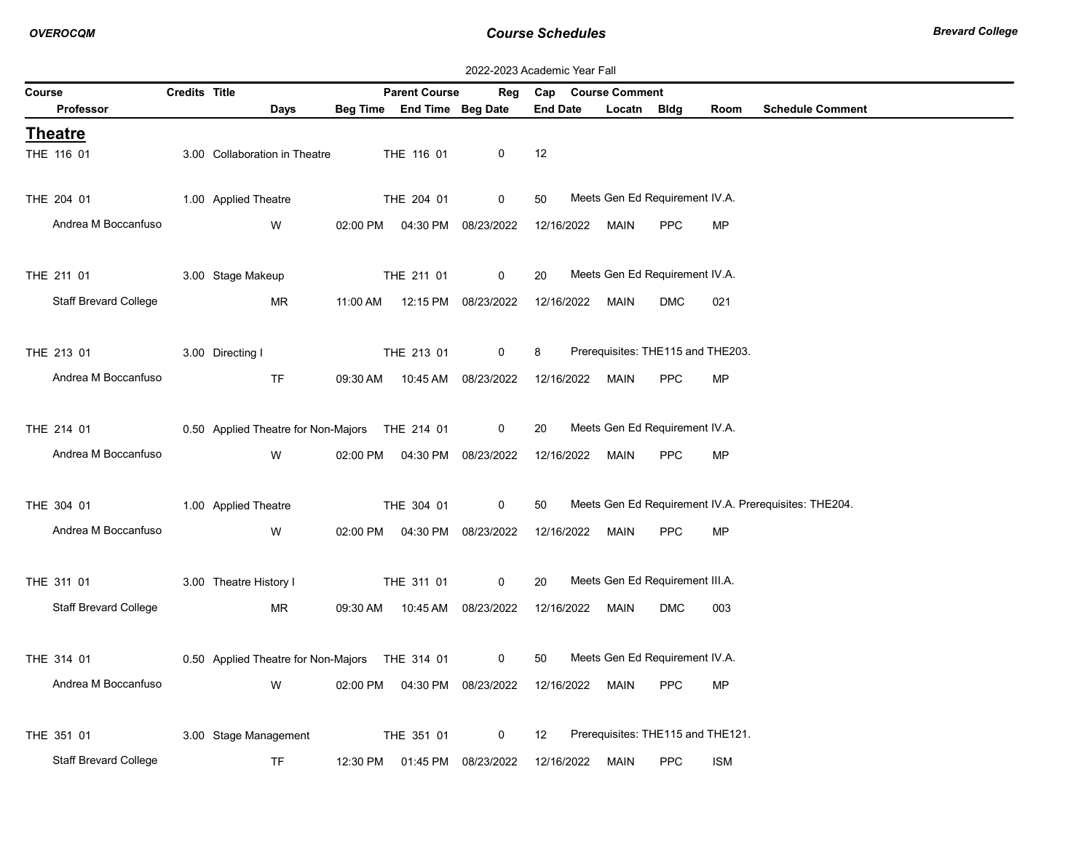|               | 2022-2023 Academic Year Fall |                      |                                                |          |                                  |                     |                   |  |                       |                                   |            |                                                       |  |
|---------------|------------------------------|----------------------|------------------------------------------------|----------|----------------------------------|---------------------|-------------------|--|-----------------------|-----------------------------------|------------|-------------------------------------------------------|--|
| <b>Course</b> |                              | <b>Credits Title</b> |                                                |          | <b>Parent Course</b>             | Reg                 | Cap               |  | <b>Course Comment</b> |                                   |            |                                                       |  |
|               | <b>Professor</b>             |                      | Days                                           |          | Beg Time End Time Beg Date       |                     | <b>End Date</b>   |  | Locatn Bldg           |                                   | Room       | <b>Schedule Comment</b>                               |  |
|               | <b>Theatre</b>               |                      |                                                |          |                                  |                     |                   |  |                       |                                   |            |                                                       |  |
|               | THE 116 01                   |                      | 3.00 Collaboration in Theatre                  |          | THE 116 01                       | 0                   | 12                |  |                       |                                   |            |                                                       |  |
|               |                              |                      |                                                |          |                                  |                     |                   |  |                       |                                   |            |                                                       |  |
|               | THE 204 01                   |                      | 1.00 Applied Theatre                           |          | THE 204 01                       | 0                   | 50                |  |                       | Meets Gen Ed Requirement IV.A.    |            |                                                       |  |
|               | Andrea M Boccanfuso          |                      | W                                              |          | 02:00 PM  04:30 PM  08/23/2022   |                     | 12/16/2022        |  | MAIN                  | <b>PPC</b>                        | <b>MP</b>  |                                                       |  |
|               |                              |                      |                                                |          |                                  |                     |                   |  |                       |                                   |            |                                                       |  |
|               | THE 211 01                   |                      | 3.00 Stage Makeup                              |          | THE 211 01                       | 0                   | 20                |  |                       | Meets Gen Ed Requirement IV.A.    |            |                                                       |  |
|               | <b>Staff Brevard College</b> |                      | <b>MR</b>                                      | 11:00 AM |                                  | 12:15 PM 08/23/2022 | 12/16/2022        |  | MAIN                  | <b>DMC</b>                        | 021        |                                                       |  |
|               |                              |                      |                                                |          |                                  |                     |                   |  |                       |                                   |            |                                                       |  |
|               | THE 213 01                   |                      | 3.00 Directing I                               |          | THE 213 01                       | $\mathbf 0$         | 8                 |  |                       | Prerequisites: THE115 and THE203. |            |                                                       |  |
|               | Andrea M Boccanfuso          |                      | <b>TF</b>                                      | 09:30 AM |                                  | 10:45 AM 08/23/2022 | 12/16/2022        |  | <b>MAIN</b>           | <b>PPC</b>                        | <b>MP</b>  |                                                       |  |
|               |                              |                      |                                                |          |                                  |                     |                   |  |                       |                                   |            |                                                       |  |
|               | THE 214 01                   |                      | 0.50 Applied Theatre for Non-Majors THE 214 01 |          |                                  | $\mathbf 0$         | 20                |  |                       | Meets Gen Ed Requirement IV.A.    |            |                                                       |  |
|               | Andrea M Boccanfuso          |                      |                                                |          |                                  |                     |                   |  |                       |                                   |            |                                                       |  |
|               |                              |                      | W                                              |          | 02:00 PM   04:30 PM   08/23/2022 |                     | 12/16/2022        |  | MAIN                  | <b>PPC</b>                        | <b>MP</b>  |                                                       |  |
|               |                              |                      |                                                |          |                                  |                     |                   |  |                       |                                   |            |                                                       |  |
|               | THE 304 01                   |                      | 1.00 Applied Theatre                           |          | THE 304 01                       | 0                   | 50                |  |                       |                                   |            | Meets Gen Ed Requirement IV.A. Prerequisites: THE204. |  |
|               | Andrea M Boccanfuso          |                      | W                                              |          | 02:00 PM  04:30 PM  08/23/2022   |                     | 12/16/2022        |  | MAIN                  | <b>PPC</b>                        | <b>MP</b>  |                                                       |  |
|               |                              |                      |                                                |          |                                  |                     |                   |  |                       |                                   |            |                                                       |  |
|               | THE 311 01                   |                      | 3.00 Theatre History I                         |          | THE 311 01                       | 0                   | 20                |  |                       | Meets Gen Ed Requirement III.A.   |            |                                                       |  |
|               | Staff Brevard College        |                      | <b>MR</b>                                      |          | 09:30 AM  10:45 AM  08/23/2022   |                     | 12/16/2022        |  | MAIN                  | <b>DMC</b>                        | 003        |                                                       |  |
|               |                              |                      |                                                |          |                                  |                     |                   |  |                       |                                   |            |                                                       |  |
|               | THE 314 01                   |                      | 0.50 Applied Theatre for Non-Majors THE 314 01 |          |                                  | $\mathbf{0}$        | 50                |  |                       | Meets Gen Ed Requirement IV.A.    |            |                                                       |  |
|               | Andrea M Boccanfuso          |                      | W                                              | 02:00 PM | 04:30 PM                         | 08/23/2022          | 12/16/2022        |  | MAIN                  | <b>PPC</b>                        | <b>MP</b>  |                                                       |  |
|               |                              |                      |                                                |          |                                  |                     |                   |  |                       |                                   |            |                                                       |  |
|               | THE 351 01                   |                      | 3.00 Stage Management                          |          | THE 351 01                       | 0                   | $12 \overline{ }$ |  |                       | Prerequisites: THE115 and THE121. |            |                                                       |  |
|               | <b>Staff Brevard College</b> |                      | <b>TF</b>                                      | 12:30 PM | 01:45 PM                         | 08/23/2022          | 12/16/2022        |  | MAIN                  | <b>PPC</b>                        | <b>ISM</b> |                                                       |  |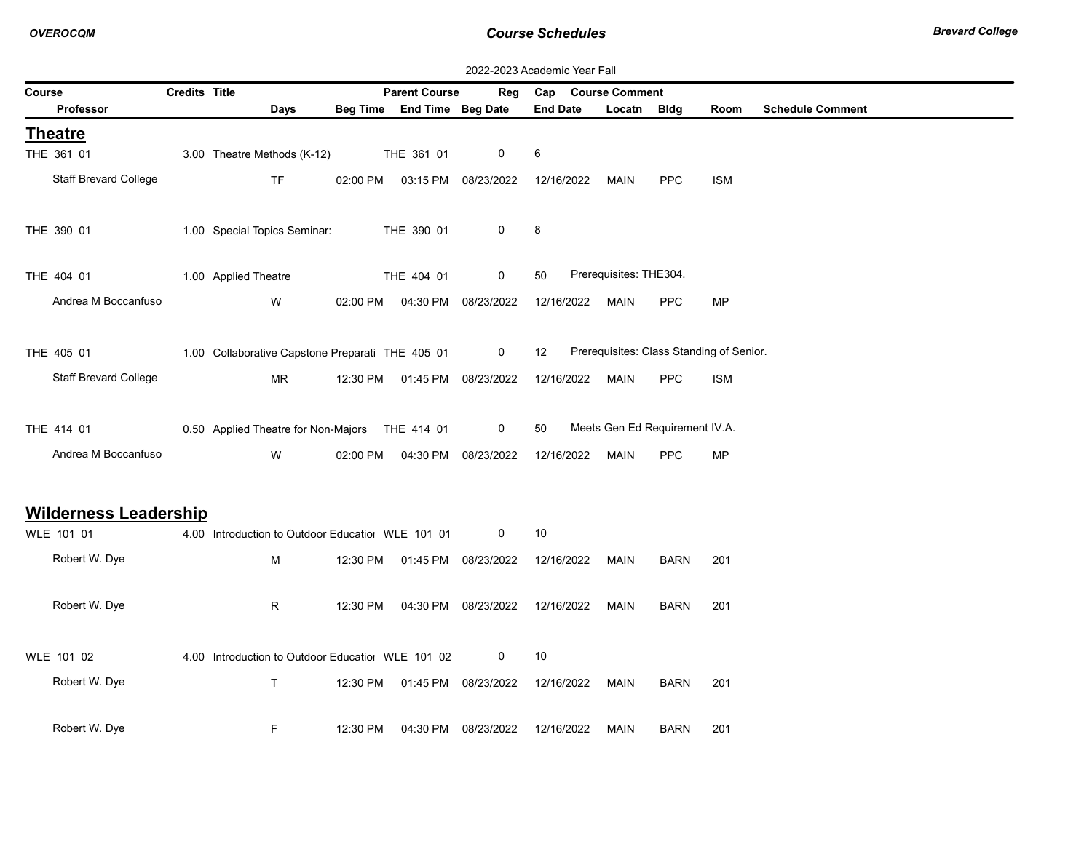OVEROCQM **COURSE SCHEDUIES** COURSE SCHEDUIES **COURSE SCHEDUIES** Brevard College

| 2022-2023 Academic Year Fall |               |                                                   |          |                                  |                     |                   |  |                        |                                |                                          |                         |  |
|------------------------------|---------------|---------------------------------------------------|----------|----------------------------------|---------------------|-------------------|--|------------------------|--------------------------------|------------------------------------------|-------------------------|--|
| Course                       | Credits Title |                                                   |          | <b>Parent Course</b>             | Reg                 | Cap               |  | <b>Course Comment</b>  |                                |                                          |                         |  |
| Professor                    |               | <b>Days</b>                                       |          | Beg Time End Time Beg Date       |                     | <b>End Date</b>   |  | Locatn Bldg            |                                | Room                                     | <b>Schedule Comment</b> |  |
| <b>Theatre</b>               |               |                                                   |          |                                  |                     |                   |  |                        |                                |                                          |                         |  |
| THE 361 01                   |               | 3.00 Theatre Methods (K-12)                       |          | THE 361 01                       | 0                   | $\,6\,$           |  |                        |                                |                                          |                         |  |
| Staff Brevard College        |               | <b>TF</b>                                         | 02:00 PM |                                  | 03:15 PM 08/23/2022 | 12/16/2022        |  | <b>MAIN</b>            | <b>PPC</b>                     | <b>ISM</b>                               |                         |  |
|                              |               |                                                   |          |                                  |                     |                   |  |                        |                                |                                          |                         |  |
| THE 390 01                   |               | 1.00 Special Topics Seminar:                      |          | THE 390 01                       | 0                   | 8                 |  |                        |                                |                                          |                         |  |
|                              |               |                                                   |          |                                  |                     |                   |  |                        |                                |                                          |                         |  |
| THE 404 01                   |               | 1.00 Applied Theatre                              |          | THE 404 01                       | 0                   | 50                |  | Prerequisites: THE304. |                                |                                          |                         |  |
|                              |               |                                                   |          |                                  |                     |                   |  |                        |                                |                                          |                         |  |
| Andrea M Boccanfuso          |               | W                                                 |          | 02:00 PM   04:30 PM   08/23/2022 |                     | 12/16/2022        |  | <b>MAIN</b>            | <b>PPC</b>                     | <b>MP</b>                                |                         |  |
|                              |               |                                                   |          |                                  |                     |                   |  |                        |                                |                                          |                         |  |
| THE 405 01                   |               | 1.00 Collaborative Capstone Preparati THE 405 01  |          |                                  | $\mathbf 0$         | $12 \overline{ }$ |  |                        |                                | Prerequisites: Class Standing of Senior. |                         |  |
| <b>Staff Brevard College</b> |               | MR                                                |          | 12:30 PM  01:45 PM  08/23/2022   |                     | 12/16/2022        |  | MAIN                   | <b>PPC</b>                     | <b>ISM</b>                               |                         |  |
|                              |               |                                                   |          |                                  |                     |                   |  |                        |                                |                                          |                         |  |
| THE 414 01                   |               | 0.50 Applied Theatre for Non-Majors THE 414 01    |          |                                  | $\mathbf 0$         | 50                |  |                        | Meets Gen Ed Requirement IV.A. |                                          |                         |  |
| Andrea M Boccanfuso          |               | W                                                 |          | 02:00 PM  04:30 PM  08/23/2022   |                     | 12/16/2022        |  | <b>MAIN</b>            | <b>PPC</b>                     | <b>MP</b>                                |                         |  |
|                              |               |                                                   |          |                                  |                     |                   |  |                        |                                |                                          |                         |  |
|                              |               |                                                   |          |                                  |                     |                   |  |                        |                                |                                          |                         |  |
| <b>Wilderness Leadership</b> |               |                                                   |          |                                  |                     |                   |  |                        |                                |                                          |                         |  |
| WLE 101 01                   |               | 4.00 Introduction to Outdoor Educatiol WLE 101 01 |          |                                  | $\mathbf{0}$        | 10                |  |                        |                                |                                          |                         |  |
| Robert W. Dye                |               | M                                                 |          | 12:30 PM  01:45 PM  08/23/2022   |                     | 12/16/2022        |  | MAIN                   | <b>BARN</b>                    | 201                                      |                         |  |
|                              |               |                                                   |          |                                  |                     |                   |  |                        |                                |                                          |                         |  |
| Robert W. Dye                |               | R                                                 |          | 12:30 PM  04:30 PM  08/23/2022   |                     | 12/16/2022        |  | MAIN                   | <b>BARN</b>                    | 201                                      |                         |  |
|                              |               |                                                   |          |                                  |                     |                   |  |                        |                                |                                          |                         |  |
| WLE 101 02                   |               | 4.00 Introduction to Outdoor Educatiol WLE 101 02 |          |                                  | 0                   | 10                |  |                        |                                |                                          |                         |  |
|                              |               |                                                   |          |                                  |                     |                   |  |                        |                                |                                          |                         |  |
| Robert W. Dye                |               | T.                                                |          | 12:30 PM  01:45 PM  08/23/2022   |                     | 12/16/2022        |  | MAIN                   | <b>BARN</b>                    | 201                                      |                         |  |
|                              |               |                                                   |          |                                  |                     |                   |  |                        |                                |                                          |                         |  |
| Robert W. Dye                |               | F                                                 | 12:30 PM |                                  | 04:30 PM 08/23/2022 | 12/16/2022        |  | MAIN                   | <b>BARN</b>                    | 201                                      |                         |  |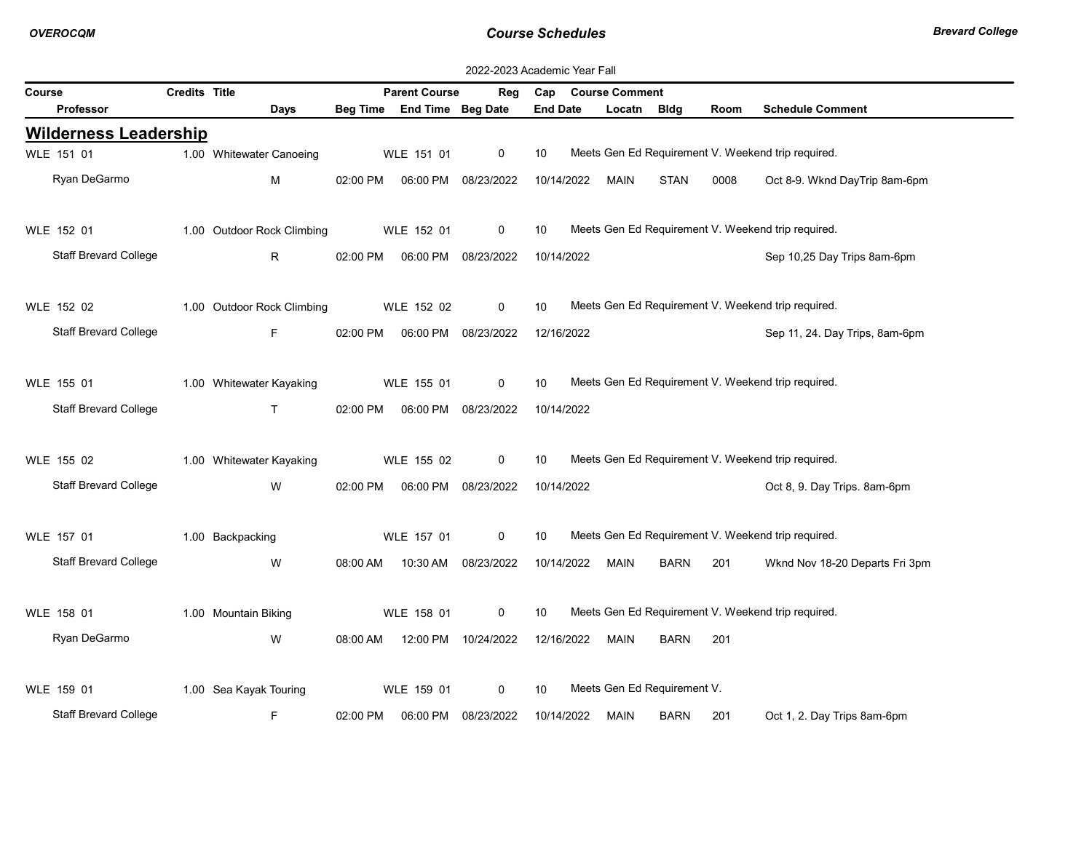|        | 2022-2023 Academic Year Fall |                      |                            |                 |                      |                     |                 |  |                             |             |      |                                                    |
|--------|------------------------------|----------------------|----------------------------|-----------------|----------------------|---------------------|-----------------|--|-----------------------------|-------------|------|----------------------------------------------------|
| Course |                              | <b>Credits Title</b> |                            |                 | <b>Parent Course</b> | Reg                 |                 |  | Cap Course Comment          |             |      |                                                    |
|        | Professor                    |                      | Days                       | <b>Beg Time</b> | End Time Beg Date    |                     | <b>End Date</b> |  | Locatn                      | Bldg        | Room | <b>Schedule Comment</b>                            |
|        | <b>Wilderness Leadership</b> |                      |                            |                 |                      |                     |                 |  |                             |             |      |                                                    |
|        | WLE 151 01                   |                      | 1.00 Whitewater Canoeing   |                 | WLE 151 01           | 0                   | 10              |  |                             |             |      | Meets Gen Ed Requirement V. Weekend trip required. |
|        | Ryan DeGarmo                 |                      | M                          | 02:00 PM        |                      | 06:00 PM 08/23/2022 | 10/14/2022      |  | <b>MAIN</b>                 | STAN        | 0008 | Oct 8-9. Wknd DayTrip 8am-6pm                      |
|        |                              |                      |                            |                 |                      |                     |                 |  |                             |             |      |                                                    |
|        | WLE 152 01                   |                      | 1.00 Outdoor Rock Climbing |                 | WLE 152 01           | 0                   | 10              |  |                             |             |      | Meets Gen Ed Requirement V. Weekend trip required. |
|        | <b>Staff Brevard College</b> |                      | R.                         | 02:00 PM        |                      | 06:00 PM 08/23/2022 | 10/14/2022      |  |                             |             |      | Sep 10,25 Day Trips 8am-6pm                        |
|        |                              |                      |                            |                 |                      |                     |                 |  |                             |             |      |                                                    |
|        | WLE 152 02                   |                      | 1.00 Outdoor Rock Climbing |                 | WLE 152 02           | $\mathbf 0$         | 10              |  |                             |             |      | Meets Gen Ed Requirement V. Weekend trip required. |
|        | <b>Staff Brevard College</b> |                      | F.                         | 02:00 PM        |                      | 06:00 PM 08/23/2022 | 12/16/2022      |  |                             |             |      | Sep 11, 24. Day Trips, 8am-6pm                     |
|        |                              |                      |                            |                 |                      |                     |                 |  |                             |             |      |                                                    |
|        | WLE 155 01                   |                      | 1.00 Whitewater Kayaking   |                 | WLE 155 01           | 0                   | 10              |  |                             |             |      | Meets Gen Ed Requirement V. Weekend trip required. |
|        | <b>Staff Brevard College</b> |                      | $\mathsf{T}$               | 02:00 PM        |                      | 06:00 PM 08/23/2022 | 10/14/2022      |  |                             |             |      |                                                    |
|        |                              |                      |                            |                 |                      |                     |                 |  |                             |             |      |                                                    |
|        | WLE 155 02                   |                      | 1.00 Whitewater Kayaking   |                 | WLE 155 02           | $\mathbf 0$         | 10              |  |                             |             |      | Meets Gen Ed Requirement V. Weekend trip required. |
|        | Staff Brevard College        |                      | W                          | 02:00 PM        | 06:00 PM 08/23/2022  |                     | 10/14/2022      |  |                             |             |      | Oct 8, 9. Day Trips. 8am-6pm                       |
|        |                              |                      |                            |                 |                      |                     |                 |  |                             |             |      |                                                    |
|        | WLE 157 01                   |                      | 1.00 Backpacking           |                 | WLE 157 01           | 0                   | 10              |  |                             |             |      | Meets Gen Ed Requirement V. Weekend trip required. |
|        | <b>Staff Brevard College</b> |                      | W                          | 08:00 AM        |                      | 10:30 AM 08/23/2022 | 10/14/2022      |  | <b>MAIN</b>                 | <b>BARN</b> | 201  | Wknd Nov 18-20 Departs Fri 3pm                     |
|        |                              |                      |                            |                 |                      |                     |                 |  |                             |             |      |                                                    |
|        | WLE 158 01                   |                      | 1.00 Mountain Biking       |                 | WLE 158 01           | 0                   | 10              |  |                             |             |      | Meets Gen Ed Requirement V. Weekend trip required. |
|        | Ryan DeGarmo                 |                      | W                          | 08:00 AM        |                      | 12:00 PM 10/24/2022 | 12/16/2022      |  | <b>MAIN</b>                 | <b>BARN</b> | 201  |                                                    |
|        |                              |                      |                            |                 |                      |                     |                 |  |                             |             |      |                                                    |
|        | WLE 159 01                   |                      | 1.00 Sea Kayak Touring     |                 | WLE 159 01           | 0                   | 10              |  | Meets Gen Ed Requirement V. |             |      |                                                    |
|        | <b>Staff Brevard College</b> |                      | F                          | 02:00 PM        | 06:00 PM             | 08/23/2022          | 10/14/2022      |  | <b>MAIN</b>                 | <b>BARN</b> | 201  | Oct 1, 2. Day Trips 8am-6pm                        |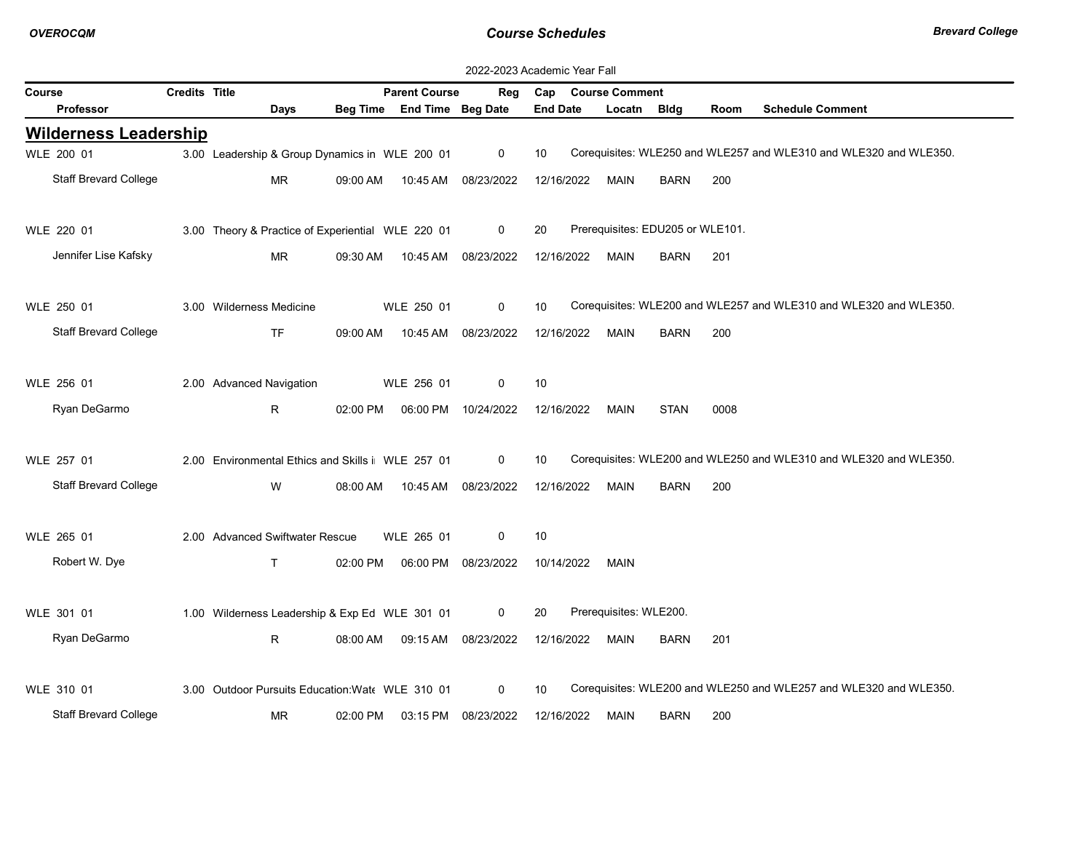| 2022-2023 Academic Year Fall |                      |                                                   |          |                            |                     |                 |            |                        |                                  |             |                                                                   |
|------------------------------|----------------------|---------------------------------------------------|----------|----------------------------|---------------------|-----------------|------------|------------------------|----------------------------------|-------------|-------------------------------------------------------------------|
| Course                       | <b>Credits Title</b> |                                                   |          | <b>Parent Course</b>       | Reg                 |                 |            | Cap Course Comment     |                                  |             |                                                                   |
| Professor                    |                      | Days                                              |          | Beg Time End Time Beg Date |                     | <b>End Date</b> |            | Locatn                 | <b>Bldg</b>                      | <b>Room</b> | <b>Schedule Comment</b>                                           |
| <b>Wilderness Leadership</b> |                      |                                                   |          |                            |                     |                 |            |                        |                                  |             |                                                                   |
| WLE 200 01                   |                      | 3.00 Leadership & Group Dynamics in WLE 200 01    |          |                            | $\mathbf 0$         | 10              |            |                        |                                  |             | Corequisites: WLE250 and WLE257 and WLE310 and WLE320 and WLE350. |
| Staff Brevard College        |                      | <b>MR</b>                                         | 09:00 AM |                            | 10:45 AM 08/23/2022 |                 | 12/16/2022 | MAIN                   | <b>BARN</b>                      | 200         |                                                                   |
|                              |                      |                                                   |          |                            |                     |                 |            |                        |                                  |             |                                                                   |
| WLE 220 01                   |                      | 3.00 Theory & Practice of Experiential WLE 220 01 |          |                            | $\mathbf 0$         | 20              |            |                        | Prerequisites: EDU205 or WLE101. |             |                                                                   |
| Jennifer Lise Kafsky         |                      | <b>MR</b>                                         | 09:30 AM | 10:45 AM                   | 08/23/2022          |                 | 12/16/2022 | MAIN                   | <b>BARN</b>                      | 201         |                                                                   |
|                              |                      |                                                   |          |                            |                     |                 |            |                        |                                  |             |                                                                   |
| WLE 250 01                   |                      | 3.00 Wilderness Medicine                          |          | WLE 250 01                 | $\mathbf 0$         | 10              |            |                        |                                  |             | Corequisites: WLE200 and WLE257 and WLE310 and WLE320 and WLE350. |
| <b>Staff Brevard College</b> |                      | <b>TF</b>                                         | 09:00 AM | 10:45 AM                   | 08/23/2022          |                 | 12/16/2022 | <b>MAIN</b>            | <b>BARN</b>                      | 200         |                                                                   |
|                              |                      |                                                   |          |                            |                     |                 |            |                        |                                  |             |                                                                   |
| WLE 256 01                   |                      | 2.00 Advanced Navigation                          |          | WLE 256 01                 | $\mathbf 0$         | 10              |            |                        |                                  |             |                                                                   |
| Ryan DeGarmo                 |                      | R.                                                | 02:00 PM |                            | 06:00 PM 10/24/2022 |                 | 12/16/2022 | MAIN                   | <b>STAN</b>                      | 0008        |                                                                   |
|                              |                      |                                                   |          |                            |                     |                 |            |                        |                                  |             |                                                                   |
| WLE 257 01                   |                      | 2.00 Environmental Ethics and Skills i WLE 257 01 |          |                            | $\mathbf{0}$        | 10              |            |                        |                                  |             | Corequisites: WLE200 and WLE250 and WLE310 and WLE320 and WLE350. |
| Staff Brevard College        |                      | W                                                 | 08:00 AM | 10:45 AM                   | 08/23/2022          |                 | 12/16/2022 | MAIN                   | <b>BARN</b>                      | 200         |                                                                   |
|                              |                      |                                                   |          |                            |                     |                 |            |                        |                                  |             |                                                                   |
| WLE 265 01                   |                      | 2.00 Advanced Swiftwater Rescue                   |          | WLE 265 01                 | $\mathbf 0$         | 10              |            |                        |                                  |             |                                                                   |
| Robert W. Dye                |                      | T.                                                | 02:00 PM |                            | 06:00 PM 08/23/2022 |                 | 10/14/2022 | MAIN                   |                                  |             |                                                                   |
|                              |                      |                                                   |          |                            |                     |                 |            |                        |                                  |             |                                                                   |
| WLE 301 01                   |                      | 1.00 Wilderness Leadership & Exp Ed WLE 301 01    |          |                            | $\mathbf 0$         | 20              |            | Prerequisites: WLE200. |                                  |             |                                                                   |
| Ryan DeGarmo                 |                      | R                                                 | 08:00 AM |                            | 09:15 AM 08/23/2022 |                 | 12/16/2022 | <b>MAIN</b>            | <b>BARN</b>                      | 201         |                                                                   |
|                              |                      |                                                   |          |                            |                     |                 |            |                        |                                  |             |                                                                   |
| WLE 310 01                   |                      | 3.00 Outdoor Pursuits Education: Wate WLE 310 01  |          |                            | $\Omega$            | 10              |            |                        |                                  |             | Corequisites: WLE200 and WLE250 and WLE257 and WLE320 and WLE350. |
|                              |                      |                                                   |          |                            |                     |                 |            |                        |                                  |             |                                                                   |
| <b>Staff Brevard College</b> |                      | <b>MR</b>                                         | 02:00 PM | 03:15 PM                   | 08/23/2022          |                 | 12/16/2022 | MAIN                   | <b>BARN</b>                      | 200         |                                                                   |